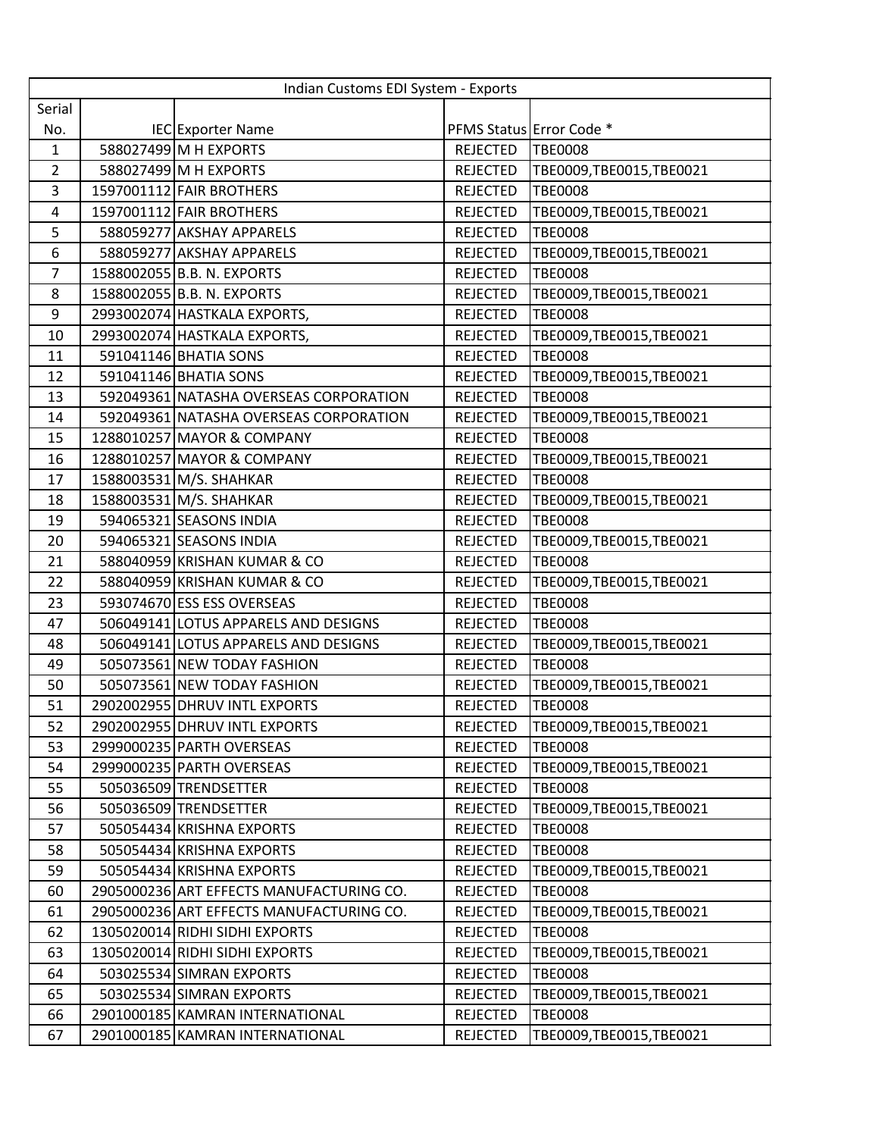| Indian Customs EDI System - Exports |  |                                          |                 |                           |
|-------------------------------------|--|------------------------------------------|-----------------|---------------------------|
| Serial                              |  |                                          |                 |                           |
| No.                                 |  | <b>IEC</b> Exporter Name                 |                 | PFMS Status Error Code *  |
| 1                                   |  | 588027499 M H EXPORTS                    | <b>REJECTED</b> | <b>TBE0008</b>            |
| 2                                   |  | 588027499 M H EXPORTS                    | <b>REJECTED</b> | TBE0009, TBE0015, TBE0021 |
| 3                                   |  | 1597001112 FAIR BROTHERS                 | <b>REJECTED</b> | <b>TBE0008</b>            |
| 4                                   |  | 1597001112 FAIR BROTHERS                 | REJECTED        | TBE0009,TBE0015,TBE0021   |
| 5                                   |  | 588059277 AKSHAY APPARELS                | <b>REJECTED</b> | <b>TBE0008</b>            |
| 6                                   |  | 588059277 AKSHAY APPARELS                | <b>REJECTED</b> | TBE0009, TBE0015, TBE0021 |
| $\overline{7}$                      |  | 1588002055 B.B. N. EXPORTS               | <b>REJECTED</b> | <b>TBE0008</b>            |
| 8                                   |  | 1588002055 B.B. N. EXPORTS               | <b>REJECTED</b> | TBE0009, TBE0015, TBE0021 |
| 9                                   |  | 2993002074 HASTKALA EXPORTS,             | <b>REJECTED</b> | <b>TBE0008</b>            |
| 10                                  |  | 2993002074 HASTKALA EXPORTS,             | <b>REJECTED</b> | TBE0009, TBE0015, TBE0021 |
| 11                                  |  | 591041146 BHATIA SONS                    | <b>REJECTED</b> | <b>TBE0008</b>            |
| 12                                  |  | 591041146 BHATIA SONS                    | <b>REJECTED</b> | TBE0009,TBE0015,TBE0021   |
| 13                                  |  | 592049361 NATASHA OVERSEAS CORPORATION   | <b>REJECTED</b> | <b>TBE0008</b>            |
| 14                                  |  | 592049361 NATASHA OVERSEAS CORPORATION   | <b>REJECTED</b> | TBE0009, TBE0015, TBE0021 |
| 15                                  |  | 1288010257 MAYOR & COMPANY               | REJECTED        | <b>TBE0008</b>            |
| 16                                  |  | 1288010257 MAYOR & COMPANY               | <b>REJECTED</b> | TBE0009, TBE0015, TBE0021 |
| 17                                  |  | 1588003531 M/S. SHAHKAR                  | <b>REJECTED</b> | <b>TBE0008</b>            |
| 18                                  |  | 1588003531 M/S. SHAHKAR                  | <b>REJECTED</b> | TBE0009, TBE0015, TBE0021 |
| 19                                  |  | 594065321 SEASONS INDIA                  | <b>REJECTED</b> | <b>TBE0008</b>            |
| 20                                  |  | 594065321 SEASONS INDIA                  | <b>REJECTED</b> | TBE0009, TBE0015, TBE0021 |
| 21                                  |  | 588040959 KRISHAN KUMAR & CO             | <b>REJECTED</b> | <b>TBE0008</b>            |
| 22                                  |  | 588040959 KRISHAN KUMAR & CO             | <b>REJECTED</b> | TBE0009,TBE0015,TBE0021   |
| 23                                  |  | 593074670 ESS ESS OVERSEAS               | <b>REJECTED</b> | <b>TBE0008</b>            |
| 47                                  |  | 506049141 LOTUS APPARELS AND DESIGNS     | <b>REJECTED</b> | <b>TBE0008</b>            |
| 48                                  |  | 506049141 LOTUS APPARELS AND DESIGNS     | <b>REJECTED</b> | TBE0009,TBE0015,TBE0021   |
| 49                                  |  | 505073561 NEW TODAY FASHION              | <b>REJECTED</b> | <b>TBE0008</b>            |
| 50                                  |  | 505073561 NEW TODAY FASHION              | <b>REJECTED</b> | TBE0009, TBE0015, TBE0021 |
| 51                                  |  | 2902002955 DHRUV INTL EXPORTS            | <b>REJECTED</b> | <b>TBE0008</b>            |
| 52                                  |  | 2902002955 DHRUV INTL EXPORTS            | <b>REJECTED</b> | TBE0009, TBE0015, TBE0021 |
| 53                                  |  | 2999000235 PARTH OVERSEAS                | <b>REJECTED</b> | <b>TBE0008</b>            |
| 54                                  |  | 2999000235 PARTH OVERSEAS                | <b>REJECTED</b> | TBE0009, TBE0015, TBE0021 |
| 55                                  |  | 505036509 TRENDSETTER                    | <b>REJECTED</b> | <b>TBE0008</b>            |
| 56                                  |  | 505036509 TRENDSETTER                    | <b>REJECTED</b> | TBE0009, TBE0015, TBE0021 |
| 57                                  |  | 505054434 KRISHNA EXPORTS                | <b>REJECTED</b> | <b>TBE0008</b>            |
| 58                                  |  | 505054434 KRISHNA EXPORTS                | <b>REJECTED</b> | <b>TBE0008</b>            |
| 59                                  |  | 505054434 KRISHNA EXPORTS                | <b>REJECTED</b> | TBE0009, TBE0015, TBE0021 |
| 60                                  |  | 2905000236 ART EFFECTS MANUFACTURING CO. | <b>REJECTED</b> | <b>TBE0008</b>            |
| 61                                  |  | 2905000236 ART EFFECTS MANUFACTURING CO. | <b>REJECTED</b> | TBE0009, TBE0015, TBE0021 |
| 62                                  |  | 1305020014 RIDHI SIDHI EXPORTS           | <b>REJECTED</b> | <b>TBE0008</b>            |
| 63                                  |  | 1305020014 RIDHI SIDHI EXPORTS           | <b>REJECTED</b> | TBE0009,TBE0015,TBE0021   |
| 64                                  |  | 503025534 SIMRAN EXPORTS                 | <b>REJECTED</b> | <b>TBE0008</b>            |
| 65                                  |  | 503025534 SIMRAN EXPORTS                 | <b>REJECTED</b> | TBE0009, TBE0015, TBE0021 |
| 66                                  |  | 2901000185 KAMRAN INTERNATIONAL          | <b>REJECTED</b> | <b>TBE0008</b>            |
| 67                                  |  | 2901000185 KAMRAN INTERNATIONAL          | <b>REJECTED</b> | TBE0009, TBE0015, TBE0021 |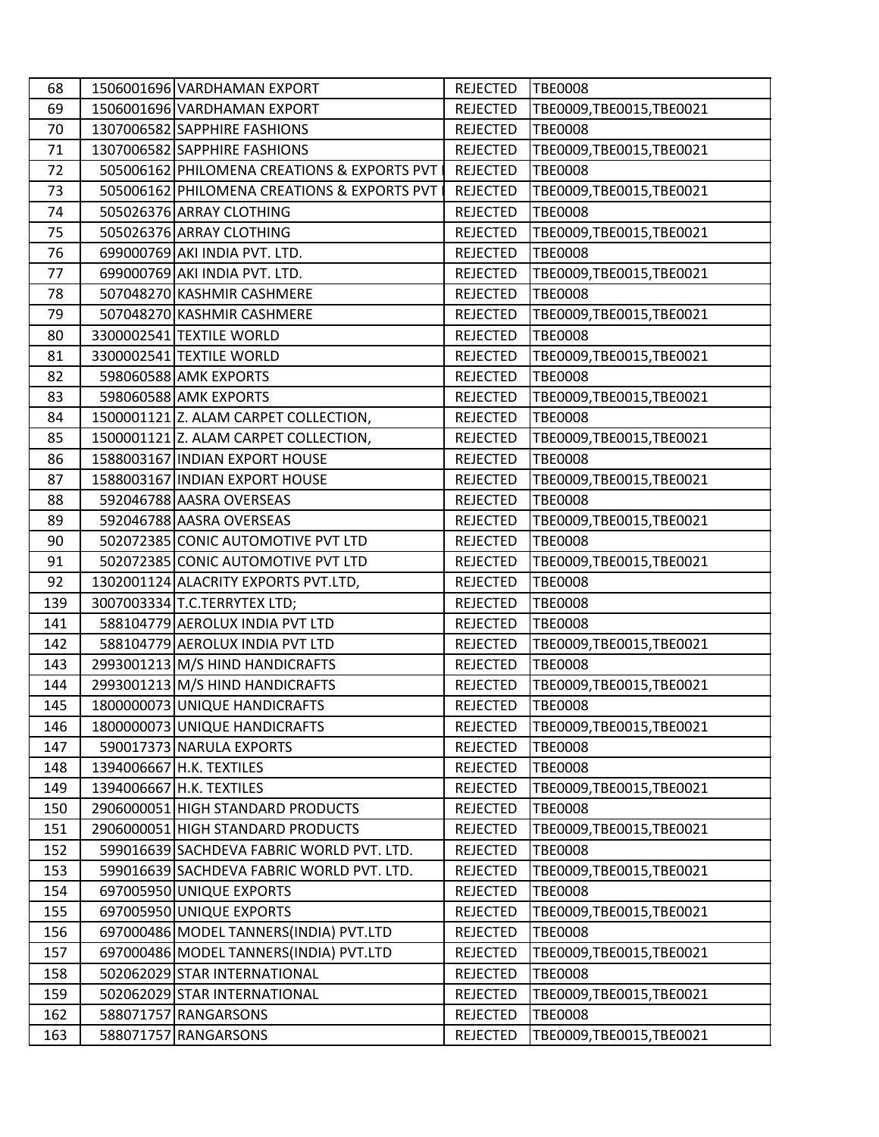| 68  | 1506001696 VARDHAMAN EXPORT                   | REJECTED        | <b>TBE0008</b>            |
|-----|-----------------------------------------------|-----------------|---------------------------|
| 69  | 1506001696 VARDHAMAN EXPORT                   | REJECTED        | TBE0009,TBE0015,TBE0021   |
| 70  | 1307006582 SAPPHIRE FASHIONS                  | REJECTED        | <b>TBE0008</b>            |
| 71  | 1307006582 SAPPHIRE FASHIONS                  | <b>REJECTED</b> | TBE0009, TBE0015, TBE0021 |
| 72  | 505006162 PHILOMENA CREATIONS & EXPORTS PVT I | REJECTED        | <b>TBE0008</b>            |
| 73  | 505006162 PHILOMENA CREATIONS & EXPORTS PVT   | REJECTED        | TBE0009, TBE0015, TBE0021 |
| 74  | 505026376 ARRAY CLOTHING                      | <b>REJECTED</b> | <b>TBE0008</b>            |
| 75  | 505026376 ARRAY CLOTHING                      | <b>REJECTED</b> | TBE0009, TBE0015, TBE0021 |
| 76  | 699000769 AKI INDIA PVT. LTD.                 | <b>REJECTED</b> | <b>TBE0008</b>            |
| 77  | 699000769 AKI INDIA PVT. LTD.                 | <b>REJECTED</b> | TBE0009,TBE0015,TBE0021   |
| 78  | 507048270 KASHMIR CASHMERE                    | REJECTED        | <b>TBE0008</b>            |
| 79  | 507048270 KASHMIR CASHMERE                    | REJECTED        | TBE0009, TBE0015, TBE0021 |
| 80  | 3300002541 TEXTILE WORLD                      | <b>REJECTED</b> | <b>TBE0008</b>            |
| 81  | 3300002541 TEXTILE WORLD                      | <b>REJECTED</b> | TBE0009,TBE0015,TBE0021   |
| 82  | 598060588 AMK EXPORTS                         | <b>REJECTED</b> | <b>TBE0008</b>            |
| 83  | 598060588 AMK EXPORTS                         | <b>REJECTED</b> | TBE0009, TBE0015, TBE0021 |
| 84  | 1500001121 Z. ALAM CARPET COLLECTION,         | <b>REJECTED</b> | <b>TBE0008</b>            |
| 85  | 1500001121 Z. ALAM CARPET COLLECTION,         | <b>REJECTED</b> | TBE0009, TBE0015, TBE0021 |
| 86  | 1588003167 INDIAN EXPORT HOUSE                | <b>REJECTED</b> | <b>TBE0008</b>            |
| 87  | 1588003167 INDIAN EXPORT HOUSE                | <b>REJECTED</b> | TBE0009,TBE0015,TBE0021   |
| 88  | 592046788 AASRA OVERSEAS                      | <b>REJECTED</b> | <b>TBE0008</b>            |
| 89  | 592046788 AASRA OVERSEAS                      | <b>REJECTED</b> | TBE0009, TBE0015, TBE0021 |
| 90  | 502072385 CONIC AUTOMOTIVE PVT LTD            | <b>REJECTED</b> | <b>TBE0008</b>            |
| 91  | 502072385 CONIC AUTOMOTIVE PVT LTD            | <b>REJECTED</b> | TBE0009,TBE0015,TBE0021   |
| 92  | 1302001124 ALACRITY EXPORTS PVT.LTD,          | <b>REJECTED</b> | <b>TBE0008</b>            |
| 139 | 3007003334 T.C.TERRYTEX LTD;                  | <b>REJECTED</b> | <b>TBE0008</b>            |
| 141 | 588104779 AEROLUX INDIA PVT LTD               | <b>REJECTED</b> | <b>TBE0008</b>            |
| 142 | 588104779 AEROLUX INDIA PVT LTD               | <b>REJECTED</b> | TBE0009, TBE0015, TBE0021 |
| 143 | 2993001213 M/S HIND HANDICRAFTS               | <b>REJECTED</b> | <b>TBE0008</b>            |
| 144 | 2993001213 M/S HIND HANDICRAFTS               | <b>REJECTED</b> | TBE0009, TBE0015, TBE0021 |
| 145 | 1800000073 UNIQUE HANDICRAFTS                 | REJECTED        | <b>TBE0008</b>            |
| 146 | 1800000073 UNIQUE HANDICRAFTS                 | REJECTED        | TBE0009, TBE0015, TBE0021 |
| 147 | 590017373 NARULA EXPORTS                      | <b>REJECTED</b> | <b>TBE0008</b>            |
| 148 | 1394006667 H.K. TEXTILES                      | <b>REJECTED</b> | <b>TBE0008</b>            |
| 149 | 1394006667 H.K. TEXTILES                      | <b>REJECTED</b> | TBE0009, TBE0015, TBE0021 |
| 150 | 2906000051 HIGH STANDARD PRODUCTS             | <b>REJECTED</b> | <b>TBE0008</b>            |
| 151 | 2906000051 HIGH STANDARD PRODUCTS             | <b>REJECTED</b> | TBE0009, TBE0015, TBE0021 |
| 152 | 599016639 SACHDEVA FABRIC WORLD PVT. LTD.     | <b>REJECTED</b> | <b>TBE0008</b>            |
| 153 | 599016639 SACHDEVA FABRIC WORLD PVT. LTD.     | <b>REJECTED</b> | TBE0009, TBE0015, TBE0021 |
| 154 | 697005950 UNIQUE EXPORTS                      | <b>REJECTED</b> | <b>TBE0008</b>            |
| 155 | 697005950 UNIQUE EXPORTS                      | <b>REJECTED</b> | TBE0009, TBE0015, TBE0021 |
| 156 | 697000486 MODEL TANNERS(INDIA) PVT.LTD        | <b>REJECTED</b> | <b>TBE0008</b>            |
| 157 | 697000486 MODEL TANNERS(INDIA) PVT.LTD        | <b>REJECTED</b> | TBE0009, TBE0015, TBE0021 |
| 158 | 502062029 STAR INTERNATIONAL                  | <b>REJECTED</b> | <b>TBE0008</b>            |
| 159 | 502062029 STAR INTERNATIONAL                  | <b>REJECTED</b> | TBE0009, TBE0015, TBE0021 |
| 162 | 588071757 RANGARSONS                          | <b>REJECTED</b> | <b>TBE0008</b>            |
| 163 | 588071757 RANGARSONS                          | <b>REJECTED</b> | TBE0009, TBE0015, TBE0021 |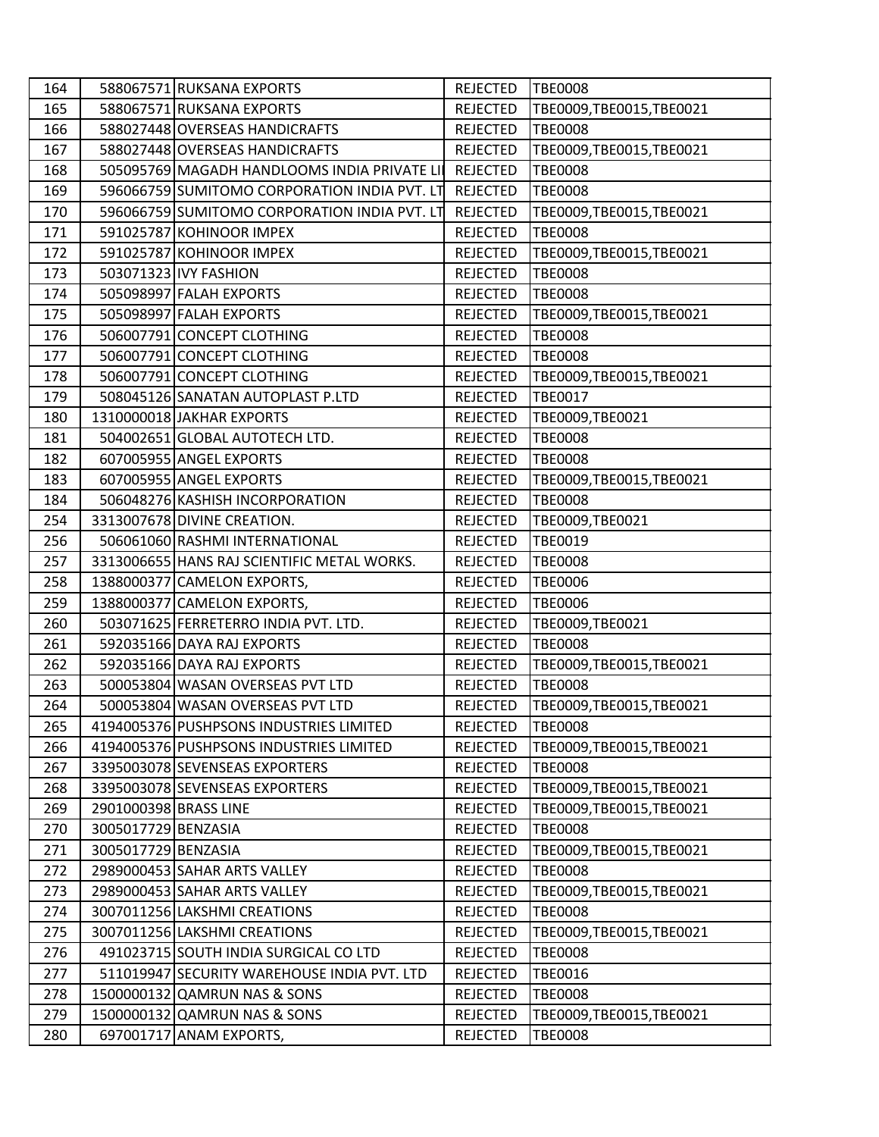| 164 |                       | 588067571 RUKSANA EXPORTS                    | <b>REJECTED</b> | <b>TBE0008</b>            |
|-----|-----------------------|----------------------------------------------|-----------------|---------------------------|
| 165 |                       | 588067571 RUKSANA EXPORTS                    | <b>REJECTED</b> | TBE0009,TBE0015,TBE0021   |
| 166 |                       | 588027448 OVERSEAS HANDICRAFTS               | <b>REJECTED</b> | <b>TBE0008</b>            |
| 167 |                       | 588027448 OVERSEAS HANDICRAFTS               | <b>REJECTED</b> | TBE0009, TBE0015, TBE0021 |
| 168 |                       | 505095769 MAGADH HANDLOOMS INDIA PRIVATE LI  | REJECTED        | <b>TBE0008</b>            |
| 169 |                       | 596066759 SUMITOMO CORPORATION INDIA PVT. LT | <b>REJECTED</b> | <b>TBE0008</b>            |
| 170 |                       | 596066759 SUMITOMO CORPORATION INDIA PVT. LT | REJECTED        | TBE0009,TBE0015,TBE0021   |
| 171 |                       | 591025787 KOHINOOR IMPEX                     | <b>REJECTED</b> | <b>TBE0008</b>            |
| 172 |                       | 591025787 KOHINOOR IMPEX                     | <b>REJECTED</b> | TBE0009, TBE0015, TBE0021 |
| 173 |                       | 503071323 IVY FASHION                        | <b>REJECTED</b> | <b>TBE0008</b>            |
| 174 |                       | 505098997 FALAH EXPORTS                      | <b>REJECTED</b> | <b>TBE0008</b>            |
| 175 |                       | 505098997 FALAH EXPORTS                      | <b>REJECTED</b> | TBE0009, TBE0015, TBE0021 |
| 176 |                       | 506007791 CONCEPT CLOTHING                   | <b>REJECTED</b> | <b>TBE0008</b>            |
| 177 |                       | 506007791 CONCEPT CLOTHING                   | <b>REJECTED</b> | <b>TBE0008</b>            |
| 178 |                       | 506007791 CONCEPT CLOTHING                   | <b>REJECTED</b> | TBE0009,TBE0015,TBE0021   |
| 179 |                       | 508045126 SANATAN AUTOPLAST P.LTD            | REJECTED        | <b>TBE0017</b>            |
| 180 |                       | 1310000018 JAKHAR EXPORTS                    | <b>REJECTED</b> | TBE0009,TBE0021           |
| 181 |                       | 504002651 GLOBAL AUTOTECH LTD.               | <b>REJECTED</b> | <b>TBE0008</b>            |
| 182 |                       | 607005955 ANGEL EXPORTS                      | <b>REJECTED</b> | <b>TBE0008</b>            |
| 183 |                       | 607005955 ANGEL EXPORTS                      | <b>REJECTED</b> | TBE0009,TBE0015,TBE0021   |
| 184 |                       | 506048276 KASHISH INCORPORATION              | <b>REJECTED</b> | <b>TBE0008</b>            |
| 254 |                       | 3313007678 DIVINE CREATION.                  | <b>REJECTED</b> | TBE0009, TBE0021          |
| 256 |                       | 506061060 RASHMI INTERNATIONAL               | <b>REJECTED</b> | TBE0019                   |
| 257 |                       | 3313006655 HANS RAJ SCIENTIFIC METAL WORKS.  | <b>REJECTED</b> | <b>TBE0008</b>            |
| 258 |                       | 1388000377 CAMELON EXPORTS,                  | <b>REJECTED</b> | <b>TBE0006</b>            |
| 259 |                       | 1388000377 CAMELON EXPORTS,                  | <b>REJECTED</b> | <b>TBE0006</b>            |
| 260 |                       | 503071625 FERRETERRO INDIA PVT. LTD.         | <b>REJECTED</b> | TBE0009, TBE0021          |
| 261 |                       | 592035166 DAYA RAJ EXPORTS                   | <b>REJECTED</b> | <b>TBE0008</b>            |
| 262 |                       | 592035166 DAYA RAJ EXPORTS                   | <b>REJECTED</b> | TBE0009, TBE0015, TBE0021 |
| 263 |                       | 500053804 WASAN OVERSEAS PVT LTD             | <b>REJECTED</b> | <b>TBE0008</b>            |
| 264 |                       | 500053804 WASAN OVERSEAS PVT LTD             | <b>REJECTED</b> | TBE0009, TBE0015, TBE0021 |
| 265 |                       | 4194005376 PUSHPSONS INDUSTRIES LIMITED      | REJECTED        | TBE0008                   |
| 266 |                       | 4194005376 PUSHPSONS INDUSTRIES LIMITED      | <b>REJECTED</b> | TBE0009,TBE0015,TBE0021   |
| 267 |                       | 3395003078 SEVENSEAS EXPORTERS               | <b>REJECTED</b> | <b>TBE0008</b>            |
| 268 |                       | 3395003078 SEVENSEAS EXPORTERS               | <b>REJECTED</b> | TBE0009, TBE0015, TBE0021 |
| 269 | 2901000398 BRASS LINE |                                              | <b>REJECTED</b> | TBE0009, TBE0015, TBE0021 |
| 270 | 3005017729 BENZASIA   |                                              | <b>REJECTED</b> | <b>TBE0008</b>            |
| 271 | 3005017729 BENZASIA   |                                              | <b>REJECTED</b> | TBE0009, TBE0015, TBE0021 |
| 272 |                       | 2989000453 SAHAR ARTS VALLEY                 | <b>REJECTED</b> | <b>TBE0008</b>            |
| 273 |                       | 2989000453 SAHAR ARTS VALLEY                 | <b>REJECTED</b> | TBE0009, TBE0015, TBE0021 |
| 274 |                       | 3007011256 LAKSHMI CREATIONS                 | <b>REJECTED</b> | <b>TBE0008</b>            |
| 275 |                       | 3007011256 LAKSHMI CREATIONS                 | <b>REJECTED</b> | TBE0009, TBE0015, TBE0021 |
| 276 |                       | 491023715 SOUTH INDIA SURGICAL CO LTD        | <b>REJECTED</b> | <b>TBE0008</b>            |
| 277 |                       | 511019947 SECURITY WAREHOUSE INDIA PVT. LTD  | <b>REJECTED</b> | <b>TBE0016</b>            |
| 278 |                       | 1500000132 QAMRUN NAS & SONS                 | <b>REJECTED</b> | <b>TBE0008</b>            |
| 279 |                       | 1500000132 QAMRUN NAS & SONS                 | <b>REJECTED</b> | TBE0009, TBE0015, TBE0021 |
| 280 |                       | 697001717 ANAM EXPORTS,                      | <b>REJECTED</b> | <b>TBE0008</b>            |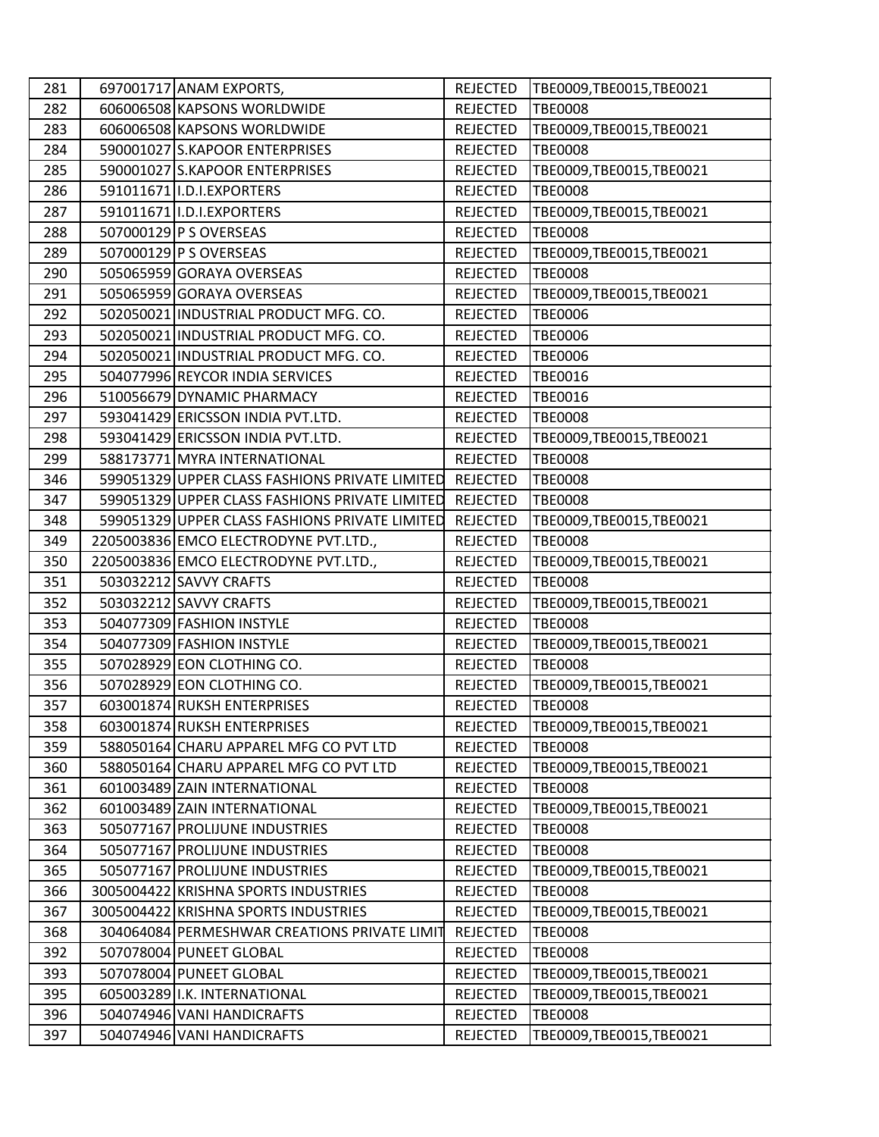| 281 | 697001717 ANAM EXPORTS,                        | <b>REJECTED</b> | TBE0009, TBE0015, TBE0021 |
|-----|------------------------------------------------|-----------------|---------------------------|
| 282 | 606006508 KAPSONS WORLDWIDE                    | <b>REJECTED</b> | <b>TBE0008</b>            |
| 283 | 606006508 KAPSONS WORLDWIDE                    | <b>REJECTED</b> | TBE0009, TBE0015, TBE0021 |
| 284 | 590001027 S.KAPOOR ENTERPRISES                 | <b>REJECTED</b> | <b>TBE0008</b>            |
| 285 | 590001027 S.KAPOOR ENTERPRISES                 | <b>REJECTED</b> | TBE0009,TBE0015,TBE0021   |
| 286 | 591011671 I.D.I.EXPORTERS                      | <b>REJECTED</b> | <b>TBE0008</b>            |
| 287 | 591011671 I.D.I.EXPORTERS                      | <b>REJECTED</b> | TBE0009,TBE0015,TBE0021   |
| 288 | 507000129 P S OVERSEAS                         | <b>REJECTED</b> | <b>TBE0008</b>            |
| 289 | 507000129 P S OVERSEAS                         | <b>REJECTED</b> | TBE0009, TBE0015, TBE0021 |
| 290 | 505065959 GORAYA OVERSEAS                      | <b>REJECTED</b> | <b>TBE0008</b>            |
| 291 | 505065959 GORAYA OVERSEAS                      | <b>REJECTED</b> | TBE0009, TBE0015, TBE0021 |
| 292 | 502050021 INDUSTRIAL PRODUCT MFG. CO.          | <b>REJECTED</b> | <b>TBE0006</b>            |
| 293 | 502050021 INDUSTRIAL PRODUCT MFG. CO.          | <b>REJECTED</b> | <b>TBE0006</b>            |
| 294 | 502050021 INDUSTRIAL PRODUCT MFG. CO.          | <b>REJECTED</b> | <b>TBE0006</b>            |
| 295 | 504077996 REYCOR INDIA SERVICES                | <b>REJECTED</b> | <b>TBE0016</b>            |
| 296 | 510056679 DYNAMIC PHARMACY                     | REJECTED        | <b>TBE0016</b>            |
| 297 | 593041429 ERICSSON INDIA PVT.LTD.              | <b>REJECTED</b> | <b>TBE0008</b>            |
| 298 | 593041429 ERICSSON INDIA PVT.LTD.              | <b>REJECTED</b> | TBE0009,TBE0015,TBE0021   |
| 299 | 588173771 MYRA INTERNATIONAL                   | <b>REJECTED</b> | <b>TBE0008</b>            |
| 346 | 599051329 UPPER CLASS FASHIONS PRIVATE LIMITED | <b>REJECTED</b> | <b>TBE0008</b>            |
| 347 | 599051329 UPPER CLASS FASHIONS PRIVATE LIMITED | REJECTED        | <b>TBE0008</b>            |
| 348 | 599051329 UPPER CLASS FASHIONS PRIVATE LIMITED | <b>REJECTED</b> | TBE0009, TBE0015, TBE0021 |
| 349 | 2205003836 EMCO ELECTRODYNE PVT.LTD.,          | <b>REJECTED</b> | <b>TBE0008</b>            |
| 350 | 2205003836 EMCO ELECTRODYNE PVT.LTD.,          | <b>REJECTED</b> | TBE0009,TBE0015,TBE0021   |
| 351 | 503032212 SAVVY CRAFTS                         | <b>REJECTED</b> | <b>TBE0008</b>            |
| 352 | 503032212 SAVVY CRAFTS                         | <b>REJECTED</b> | TBE0009, TBE0015, TBE0021 |
| 353 | 504077309 FASHION INSTYLE                      | <b>REJECTED</b> | <b>TBE0008</b>            |
| 354 | 504077309 FASHION INSTYLE                      | <b>REJECTED</b> | TBE0009,TBE0015,TBE0021   |
| 355 | 507028929 EON CLOTHING CO.                     | <b>REJECTED</b> | <b>TBE0008</b>            |
| 356 | 507028929 EON CLOTHING CO.                     | <b>REJECTED</b> | TBE0009, TBE0015, TBE0021 |
| 357 | 603001874 RUKSH ENTERPRISES                    | <b>REJECTED</b> | <b>TBE0008</b>            |
| 358 | 603001874 RUKSH ENTERPRISES                    | <b>REJECTED</b> | TBE0009,TBE0015,TBE0021   |
| 359 | 588050164 CHARU APPAREL MFG CO PVT LTD         | <b>REJECTED</b> | <b>TBE0008</b>            |
| 360 | 588050164 CHARU APPAREL MFG CO PVT LTD         | <b>REJECTED</b> | TBE0009, TBE0015, TBE0021 |
| 361 | 601003489 ZAIN INTERNATIONAL                   | <b>REJECTED</b> | <b>TBE0008</b>            |
| 362 | 601003489 ZAIN INTERNATIONAL                   | <b>REJECTED</b> | TBE0009, TBE0015, TBE0021 |
| 363 | 505077167 PROLIJUNE INDUSTRIES                 | <b>REJECTED</b> | <b>TBE0008</b>            |
| 364 | 505077167 PROLIJUNE INDUSTRIES                 | <b>REJECTED</b> | <b>TBE0008</b>            |
| 365 | 505077167 PROLIJUNE INDUSTRIES                 | <b>REJECTED</b> | TBE0009, TBE0015, TBE0021 |
| 366 | 3005004422 KRISHNA SPORTS INDUSTRIES           | <b>REJECTED</b> | <b>TBE0008</b>            |
| 367 | 3005004422 KRISHNA SPORTS INDUSTRIES           | <b>REJECTED</b> | TBE0009, TBE0015, TBE0021 |
| 368 | 304064084 PERMESHWAR CREATIONS PRIVATE LIMIT   | <b>REJECTED</b> | <b>TBE0008</b>            |
| 392 | 507078004 PUNEET GLOBAL                        | <b>REJECTED</b> | <b>TBE0008</b>            |
| 393 | 507078004 PUNEET GLOBAL                        | <b>REJECTED</b> | TBE0009, TBE0015, TBE0021 |
| 395 | 605003289 I.K. INTERNATIONAL                   | <b>REJECTED</b> | TBE0009, TBE0015, TBE0021 |
| 396 | 504074946 VANI HANDICRAFTS                     | <b>REJECTED</b> | <b>TBE0008</b>            |
| 397 | 504074946 VANI HANDICRAFTS                     | <b>REJECTED</b> | TBE0009, TBE0015, TBE0021 |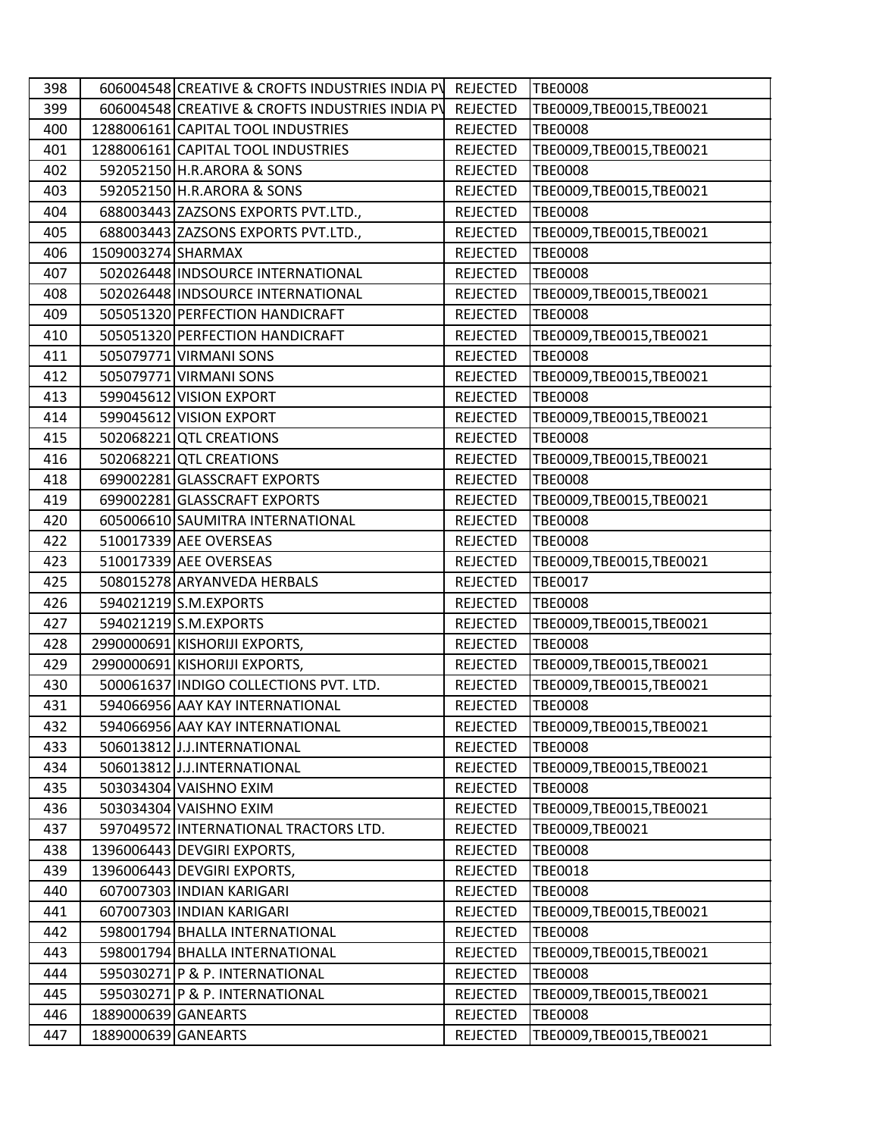| 398 |                     | 606004548 CREATIVE & CROFTS INDUSTRIES INDIA PV | <b>REJECTED</b> | <b>TBE0008</b>            |
|-----|---------------------|-------------------------------------------------|-----------------|---------------------------|
| 399 |                     | 606004548 CREATIVE & CROFTS INDUSTRIES INDIA PV | <b>REJECTED</b> | TBE0009,TBE0015,TBE0021   |
| 400 |                     | 1288006161 CAPITAL TOOL INDUSTRIES              | <b>REJECTED</b> | <b>TBE0008</b>            |
| 401 |                     | 1288006161 CAPITAL TOOL INDUSTRIES              | <b>REJECTED</b> | TBE0009, TBE0015, TBE0021 |
| 402 |                     | 592052150 H.R.ARORA & SONS                      | <b>REJECTED</b> | <b>TBE0008</b>            |
| 403 |                     | 592052150 H.R.ARORA & SONS                      | <b>REJECTED</b> | TBE0009, TBE0015, TBE0021 |
| 404 |                     | 688003443 ZAZSONS EXPORTS PVT.LTD.,             | <b>REJECTED</b> | <b>TBE0008</b>            |
| 405 |                     | 688003443 ZAZSONS EXPORTS PVT.LTD.,             | <b>REJECTED</b> | TBE0009,TBE0015,TBE0021   |
| 406 | 1509003274 SHARMAX  |                                                 | <b>REJECTED</b> | <b>TBE0008</b>            |
| 407 |                     | 502026448 INDSOURCE INTERNATIONAL               | <b>REJECTED</b> | <b>TBE0008</b>            |
| 408 |                     | 502026448 INDSOURCE INTERNATIONAL               | <b>REJECTED</b> | TBE0009, TBE0015, TBE0021 |
| 409 |                     | 505051320 PERFECTION HANDICRAFT                 | <b>REJECTED</b> | <b>TBE0008</b>            |
| 410 |                     | 505051320 PERFECTION HANDICRAFT                 | <b>REJECTED</b> | TBE0009, TBE0015, TBE0021 |
| 411 |                     | 505079771 VIRMANI SONS                          | <b>REJECTED</b> | <b>TBE0008</b>            |
| 412 |                     | 505079771 VIRMANI SONS                          | <b>REJECTED</b> | TBE0009,TBE0015,TBE0021   |
| 413 |                     | 599045612 VISION EXPORT                         | <b>REJECTED</b> | <b>TBE0008</b>            |
| 414 |                     | 599045612 VISION EXPORT                         | <b>REJECTED</b> | TBE0009, TBE0015, TBE0021 |
| 415 |                     | 502068221 QTL CREATIONS                         | <b>REJECTED</b> | <b>TBE0008</b>            |
| 416 |                     | 502068221 QTL CREATIONS                         | <b>REJECTED</b> | TBE0009,TBE0015,TBE0021   |
| 418 |                     | 699002281 GLASSCRAFT EXPORTS                    | <b>REJECTED</b> | <b>TBE0008</b>            |
| 419 |                     | 699002281 GLASSCRAFT EXPORTS                    | <b>REJECTED</b> | TBE0009,TBE0015,TBE0021   |
| 420 |                     | 605006610 SAUMITRA INTERNATIONAL                | <b>REJECTED</b> | <b>TBE0008</b>            |
| 422 |                     | 510017339 AEE OVERSEAS                          | <b>REJECTED</b> | <b>TBE0008</b>            |
| 423 |                     | 510017339 AEE OVERSEAS                          | <b>REJECTED</b> | TBE0009, TBE0015, TBE0021 |
| 425 |                     | 508015278 ARYANVEDA HERBALS                     | <b>REJECTED</b> | <b>TBE0017</b>            |
| 426 |                     | 594021219 S.M.EXPORTS                           | <b>REJECTED</b> | <b>TBE0008</b>            |
| 427 |                     | 594021219 S.M.EXPORTS                           | <b>REJECTED</b> | TBE0009, TBE0015, TBE0021 |
| 428 |                     | 2990000691 KISHORIJI EXPORTS,                   | <b>REJECTED</b> | <b>TBE0008</b>            |
| 429 |                     | 2990000691 KISHORIJI EXPORTS,                   | <b>REJECTED</b> | TBE0009,TBE0015,TBE0021   |
| 430 |                     | 500061637 INDIGO COLLECTIONS PVT. LTD.          | <b>REJECTED</b> | TBE0009,TBE0015,TBE0021   |
| 431 |                     | 594066956 AAY KAY INTERNATIONAL                 | <b>REJECTED</b> | <b>TBE0008</b>            |
| 432 |                     | 594066956 AAY KAY INTERNATIONAL                 | <b>REJECTED</b> | TBE0009,TBE0015,TBE0021   |
| 433 |                     | 506013812 J.J.INTERNATIONAL                     | <b>REJECTED</b> | <b>TBE0008</b>            |
| 434 |                     | 506013812 J.J.INTERNATIONAL                     | <b>REJECTED</b> | TBE0009, TBE0015, TBE0021 |
| 435 |                     | 503034304 VAISHNO EXIM                          | <b>REJECTED</b> | <b>TBE0008</b>            |
| 436 |                     | 503034304 VAISHNO EXIM                          | <b>REJECTED</b> | TBE0009, TBE0015, TBE0021 |
| 437 |                     | 597049572 INTERNATIONAL TRACTORS LTD.           | <b>REJECTED</b> | TBE0009,TBE0021           |
| 438 |                     | 1396006443 DEVGIRI EXPORTS,                     | <b>REJECTED</b> | <b>TBE0008</b>            |
| 439 |                     | 1396006443 DEVGIRI EXPORTS,                     | <b>REJECTED</b> | <b>TBE0018</b>            |
| 440 |                     | 607007303 INDIAN KARIGARI                       | <b>REJECTED</b> | <b>TBE0008</b>            |
| 441 |                     | 607007303 INDIAN KARIGARI                       | <b>REJECTED</b> | TBE0009, TBE0015, TBE0021 |
| 442 |                     | 598001794 BHALLA INTERNATIONAL                  | <b>REJECTED</b> | <b>TBE0008</b>            |
| 443 |                     | 598001794 BHALLA INTERNATIONAL                  | <b>REJECTED</b> | TBE0009, TBE0015, TBE0021 |
| 444 |                     | 595030271 P & P. INTERNATIONAL                  | <b>REJECTED</b> | <b>TBE0008</b>            |
| 445 |                     | 595030271 P & P. INTERNATIONAL                  | <b>REJECTED</b> | TBE0009, TBE0015, TBE0021 |
| 446 | 1889000639 GANEARTS |                                                 | <b>REJECTED</b> | <b>TBE0008</b>            |
| 447 | 1889000639 GANEARTS |                                                 | <b>REJECTED</b> | TBE0009, TBE0015, TBE0021 |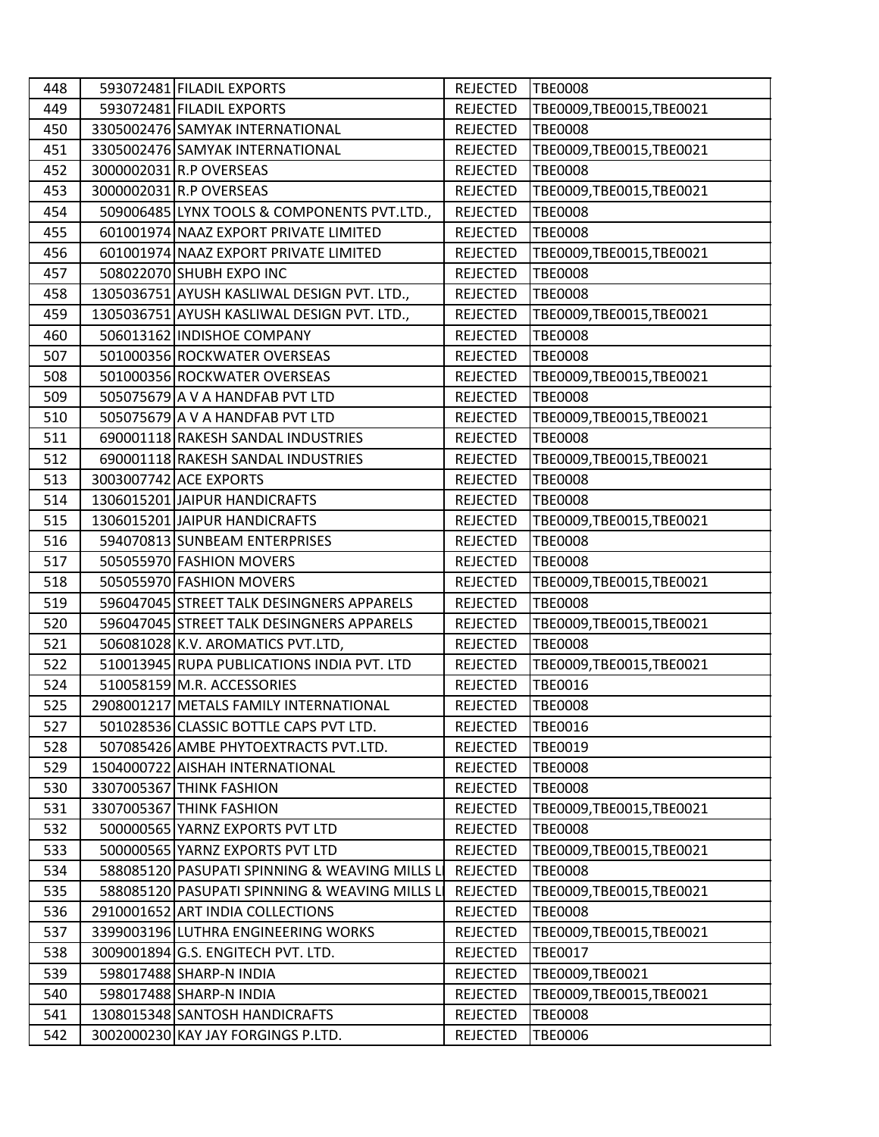| 448 | 593072481 FILADIL EXPORTS                     | REJECTED        | <b>TBE0008</b>            |
|-----|-----------------------------------------------|-----------------|---------------------------|
| 449 | 593072481 FILADIL EXPORTS                     | REJECTED        | TBE0009,TBE0015,TBE0021   |
| 450 | 3305002476 SAMYAK INTERNATIONAL               | REJECTED        | <b>TBE0008</b>            |
| 451 | 3305002476 SAMYAK INTERNATIONAL               | <b>REJECTED</b> | TBE0009, TBE0015, TBE0021 |
| 452 | 3000002031 R.P OVERSEAS                       | <b>REJECTED</b> | <b>TBE0008</b>            |
| 453 | 3000002031 R.P OVERSEAS                       | <b>REJECTED</b> | TBE0009, TBE0015, TBE0021 |
| 454 | 509006485 LYNX TOOLS & COMPONENTS PVT.LTD.,   | REJECTED        | <b>TBE0008</b>            |
| 455 | 601001974 NAAZ EXPORT PRIVATE LIMITED         | <b>REJECTED</b> | <b>TBE0008</b>            |
| 456 | 601001974 NAAZ EXPORT PRIVATE LIMITED         | <b>REJECTED</b> | TBE0009,TBE0015,TBE0021   |
| 457 | 508022070 SHUBH EXPO INC                      | <b>REJECTED</b> | <b>TBE0008</b>            |
| 458 | 1305036751 AYUSH KASLIWAL DESIGN PVT. LTD.,   | REJECTED        | <b>TBE0008</b>            |
| 459 | 1305036751 AYUSH KASLIWAL DESIGN PVT. LTD.,   | <b>REJECTED</b> | TBE0009, TBE0015, TBE0021 |
| 460 | 506013162 INDISHOE COMPANY                    | <b>REJECTED</b> | <b>TBE0008</b>            |
| 507 | 501000356 ROCKWATER OVERSEAS                  | <b>REJECTED</b> | <b>TBE0008</b>            |
| 508 | 501000356 ROCKWATER OVERSEAS                  | <b>REJECTED</b> | TBE0009,TBE0015,TBE0021   |
| 509 | 505075679 A V A HANDFAB PVT LTD               | <b>REJECTED</b> | <b>TBE0008</b>            |
| 510 | 505075679 A V A HANDFAB PVT LTD               | <b>REJECTED</b> | TBE0009, TBE0015, TBE0021 |
| 511 | 690001118 RAKESH SANDAL INDUSTRIES            | REJECTED        | <b>TBE0008</b>            |
| 512 | 690001118 RAKESH SANDAL INDUSTRIES            | <b>REJECTED</b> | TBE0009,TBE0015,TBE0021   |
| 513 | 3003007742 ACE EXPORTS                        | <b>REJECTED</b> | <b>TBE0008</b>            |
| 514 | 1306015201 JAIPUR HANDICRAFTS                 | REJECTED        | <b>TBE0008</b>            |
| 515 | 1306015201 JAIPUR HANDICRAFTS                 | <b>REJECTED</b> | TBE0009, TBE0015, TBE0021 |
| 516 | 594070813 SUNBEAM ENTERPRISES                 | <b>REJECTED</b> | <b>TBE0008</b>            |
| 517 | 505055970 FASHION MOVERS                      | <b>REJECTED</b> | <b>TBE0008</b>            |
| 518 | 505055970 FASHION MOVERS                      | REJECTED        | TBE0009,TBE0015,TBE0021   |
| 519 | 596047045 STREET TALK DESINGNERS APPARELS     | <b>REJECTED</b> | <b>TBE0008</b>            |
| 520 | 596047045 STREET TALK DESINGNERS APPARELS     | <b>REJECTED</b> | TBE0009, TBE0015, TBE0021 |
| 521 | 506081028 K.V. AROMATICS PVT.LTD,             | <b>REJECTED</b> | <b>TBE0008</b>            |
| 522 | 510013945 RUPA PUBLICATIONS INDIA PVT. LTD    | <b>REJECTED</b> | TBE0009, TBE0015, TBE0021 |
| 524 | 510058159 M.R. ACCESSORIES                    | <b>REJECTED</b> | <b>TBE0016</b>            |
| 525 | 2908001217 METALS FAMILY INTERNATIONAL        | <b>REJECTED</b> | <b>TBE0008</b>            |
| 527 | 501028536 CLASSIC BOTTLE CAPS PVT LTD.        | <b>REJECTED</b> | <b>TBE0016</b>            |
| 528 | 507085426 AMBE PHYTOEXTRACTS PVT.LTD.         | <b>REJECTED</b> | TBE0019                   |
| 529 | 1504000722 AISHAH INTERNATIONAL               | <b>REJECTED</b> | <b>TBE0008</b>            |
| 530 | 3307005367 THINK FASHION                      | <b>REJECTED</b> | <b>TBE0008</b>            |
| 531 | 3307005367 THINK FASHION                      | <b>REJECTED</b> | TBE0009, TBE0015, TBE0021 |
| 532 | 500000565 YARNZ EXPORTS PVT LTD               | <b>REJECTED</b> | <b>TBE0008</b>            |
| 533 | 500000565 YARNZ EXPORTS PVT LTD               | <b>REJECTED</b> | TBE0009,TBE0015,TBE0021   |
| 534 | 588085120 PASUPATI SPINNING & WEAVING MILLS L | <b>REJECTED</b> | <b>TBE0008</b>            |
| 535 | 588085120 PASUPATI SPINNING & WEAVING MILLS L | <b>REJECTED</b> | TBE0009, TBE0015, TBE0021 |
| 536 | 2910001652 ART INDIA COLLECTIONS              | <b>REJECTED</b> | <b>TBE0008</b>            |
| 537 | 3399003196 LUTHRA ENGINEERING WORKS           | <b>REJECTED</b> | TBE0009, TBE0015, TBE0021 |
| 538 | 3009001894 G.S. ENGITECH PVT. LTD.            | <b>REJECTED</b> | <b>TBE0017</b>            |
| 539 | 598017488 SHARP-N INDIA                       | <b>REJECTED</b> | TBE0009, TBE0021          |
| 540 | 598017488 SHARP-N INDIA                       | <b>REJECTED</b> | TBE0009, TBE0015, TBE0021 |
| 541 | 1308015348 SANTOSH HANDICRAFTS                | <b>REJECTED</b> | <b>TBE0008</b>            |
| 542 | 3002000230 KAY JAY FORGINGS P.LTD.            | <b>REJECTED</b> | <b>TBE0006</b>            |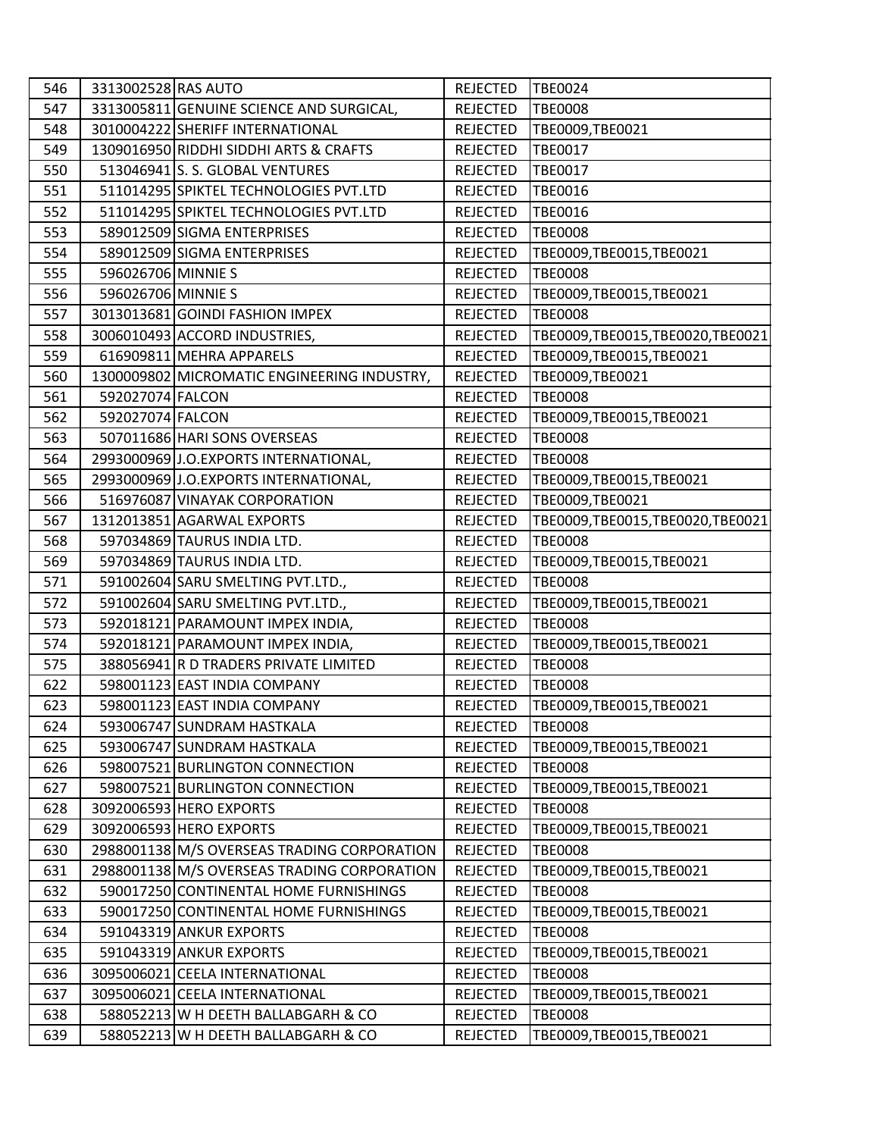| 546 | 3313002528 RAS AUTO |                                             | <b>REJECTED</b> | <b>TBE0024</b>                     |
|-----|---------------------|---------------------------------------------|-----------------|------------------------------------|
| 547 |                     | 3313005811 GENUINE SCIENCE AND SURGICAL,    | <b>REJECTED</b> | <b>TBE0008</b>                     |
| 548 |                     | 3010004222 SHERIFF INTERNATIONAL            | <b>REJECTED</b> | TBE0009,TBE0021                    |
| 549 |                     | 1309016950 RIDDHI SIDDHI ARTS & CRAFTS      | <b>REJECTED</b> | <b>TBE0017</b>                     |
| 550 |                     | 513046941 S. S. GLOBAL VENTURES             | <b>REJECTED</b> | <b>TBE0017</b>                     |
| 551 |                     | 511014295 SPIKTEL TECHNOLOGIES PVT.LTD      | <b>REJECTED</b> | <b>TBE0016</b>                     |
| 552 |                     | 511014295 SPIKTEL TECHNOLOGIES PVT.LTD      | <b>REJECTED</b> | <b>TBE0016</b>                     |
| 553 |                     | 589012509 SIGMA ENTERPRISES                 | <b>REJECTED</b> | <b>TBE0008</b>                     |
| 554 |                     | 589012509 SIGMA ENTERPRISES                 | <b>REJECTED</b> | TBE0009, TBE0015, TBE0021          |
| 555 | 596026706 MINNIE S  |                                             | <b>REJECTED</b> | <b>TBE0008</b>                     |
| 556 | 596026706 MINNIES   |                                             | <b>REJECTED</b> | TBE0009, TBE0015, TBE0021          |
| 557 |                     | 3013013681 GOINDI FASHION IMPEX             | <b>REJECTED</b> | <b>TBE0008</b>                     |
| 558 |                     | 3006010493 ACCORD INDUSTRIES,               | <b>REJECTED</b> | TBE0009, TBE0015, TBE0020, TBE0021 |
| 559 |                     | 616909811 MEHRA APPARELS                    | <b>REJECTED</b> | TBE0009,TBE0015,TBE0021            |
| 560 |                     | 1300009802 MICROMATIC ENGINEERING INDUSTRY, | <b>REJECTED</b> | TBE0009,TBE0021                    |
| 561 | 592027074 FALCON    |                                             | <b>REJECTED</b> | <b>TBE0008</b>                     |
| 562 | 592027074 FALCON    |                                             | <b>REJECTED</b> | TBE0009,TBE0015,TBE0021            |
| 563 |                     | 507011686 HARI SONS OVERSEAS                | <b>REJECTED</b> | <b>TBE0008</b>                     |
| 564 |                     | 2993000969 J.O. EXPORTS INTERNATIONAL,      | <b>REJECTED</b> | <b>TBE0008</b>                     |
| 565 |                     | 2993000969 J.O. EXPORTS INTERNATIONAL,      | <b>REJECTED</b> | TBE0009, TBE0015, TBE0021          |
| 566 |                     | 516976087 VINAYAK CORPORATION               | <b>REJECTED</b> | TBE0009,TBE0021                    |
| 567 |                     | 1312013851 AGARWAL EXPORTS                  | <b>REJECTED</b> | TBE0009, TBE0015, TBE0020, TBE0021 |
| 568 |                     | 597034869 TAURUS INDIA LTD.                 | <b>REJECTED</b> | <b>TBE0008</b>                     |
| 569 |                     | 597034869 TAURUS INDIA LTD.                 | <b>REJECTED</b> | TBE0009, TBE0015, TBE0021          |
| 571 |                     | 591002604 SARU SMELTING PVT.LTD.,           | <b>REJECTED</b> | <b>TBE0008</b>                     |
| 572 |                     | 591002604 SARU SMELTING PVT.LTD.,           | <b>REJECTED</b> | TBE0009, TBE0015, TBE0021          |
| 573 |                     | 592018121 PARAMOUNT IMPEX INDIA,            | <b>REJECTED</b> | <b>TBE0008</b>                     |
| 574 |                     | 592018121 PARAMOUNT IMPEX INDIA,            | <b>REJECTED</b> | TBE0009, TBE0015, TBE0021          |
| 575 |                     | 388056941 R D TRADERS PRIVATE LIMITED       | <b>REJECTED</b> | <b>TBE0008</b>                     |
| 622 |                     | 598001123 EAST INDIA COMPANY                | <b>REJECTED</b> | <b>TBE0008</b>                     |
| 623 |                     | 598001123 EAST INDIA COMPANY                | <b>REJECTED</b> | TBE0009, TBE0015, TBE0021          |
| 624 |                     | 593006747 SUNDRAM HASTKALA                  | <b>REJECTED</b> | <b>TBE0008</b>                     |
| 625 |                     | 593006747 SUNDRAM HASTKALA                  | <b>REJECTED</b> | TBE0009, TBE0015, TBE0021          |
| 626 |                     | 598007521 BURLINGTON CONNECTION             | <b>REJECTED</b> | <b>TBE0008</b>                     |
| 627 |                     | 598007521 BURLINGTON CONNECTION             | <b>REJECTED</b> | TBE0009, TBE0015, TBE0021          |
| 628 |                     | 3092006593 HERO EXPORTS                     | <b>REJECTED</b> | <b>TBE0008</b>                     |
| 629 |                     | 3092006593 HERO EXPORTS                     | <b>REJECTED</b> | TBE0009,TBE0015,TBE0021            |
| 630 |                     | 2988001138 M/S OVERSEAS TRADING CORPORATION | <b>REJECTED</b> | <b>TBE0008</b>                     |
| 631 |                     | 2988001138 M/S OVERSEAS TRADING CORPORATION | <b>REJECTED</b> | TBE0009, TBE0015, TBE0021          |
| 632 |                     | 590017250 CONTINENTAL HOME FURNISHINGS      | <b>REJECTED</b> | <b>TBE0008</b>                     |
| 633 |                     | 590017250 CONTINENTAL HOME FURNISHINGS      | <b>REJECTED</b> | TBE0009, TBE0015, TBE0021          |
| 634 |                     | 591043319 ANKUR EXPORTS                     | <b>REJECTED</b> | <b>TBE0008</b>                     |
| 635 |                     | 591043319 ANKUR EXPORTS                     | <b>REJECTED</b> | TBE0009, TBE0015, TBE0021          |
| 636 |                     | 3095006021 CEELA INTERNATIONAL              | <b>REJECTED</b> | <b>TBE0008</b>                     |
| 637 |                     | 3095006021 CEELA INTERNATIONAL              | <b>REJECTED</b> | TBE0009, TBE0015, TBE0021          |
| 638 |                     | 588052213 W H DEETH BALLABGARH & CO         | <b>REJECTED</b> | <b>TBE0008</b>                     |
| 639 |                     | 588052213 W H DEETH BALLABGARH & CO         | <b>REJECTED</b> | TBE0009, TBE0015, TBE0021          |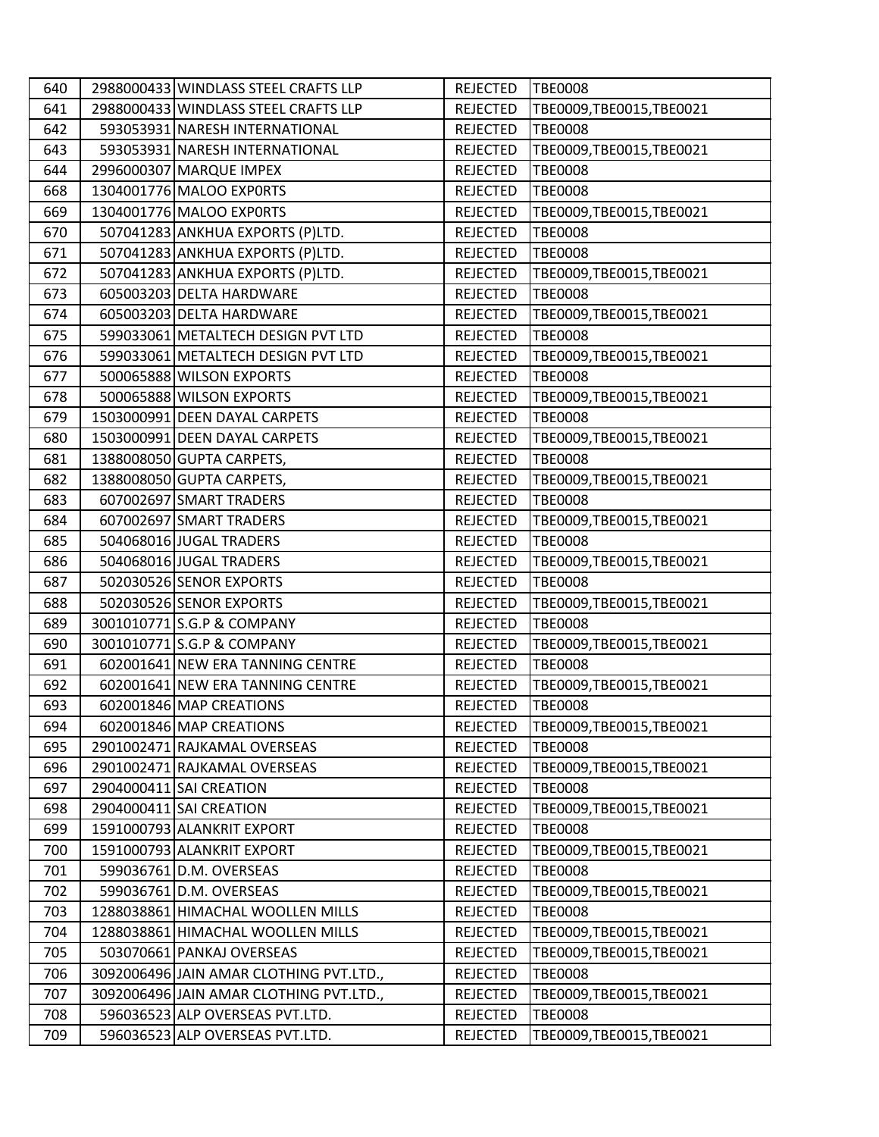| 640 | 2988000433 WINDLASS STEEL CRAFTS LLP    | REJECTED        | <b>TBE0008</b>            |
|-----|-----------------------------------------|-----------------|---------------------------|
| 641 | 2988000433 WINDLASS STEEL CRAFTS LLP    | REJECTED        | TBE0009, TBE0015, TBE0021 |
| 642 | 593053931 NARESH INTERNATIONAL          | REJECTED        | <b>TBE0008</b>            |
| 643 | 593053931 NARESH INTERNATIONAL          | <b>REJECTED</b> | TBE0009,TBE0015,TBE0021   |
| 644 | 2996000307 MARQUE IMPEX                 | <b>REJECTED</b> | <b>TBE0008</b>            |
| 668 | 1304001776 MALOO EXPORTS                | <b>REJECTED</b> | <b>TBE0008</b>            |
| 669 | 1304001776 MALOO EXPORTS                | <b>REJECTED</b> | TBE0009, TBE0015, TBE0021 |
| 670 | 507041283 ANKHUA EXPORTS (P)LTD.        | <b>REJECTED</b> | <b>TBE0008</b>            |
| 671 | 507041283 ANKHUA EXPORTS (P)LTD.        | <b>REJECTED</b> | <b>TBE0008</b>            |
| 672 | 507041283 ANKHUA EXPORTS (P)LTD.        | <b>REJECTED</b> | TBE0009, TBE0015, TBE0021 |
| 673 | 605003203 DELTA HARDWARE                | <b>REJECTED</b> | <b>TBE0008</b>            |
| 674 | 605003203 DELTA HARDWARE                | <b>REJECTED</b> | TBE0009, TBE0015, TBE0021 |
| 675 | 599033061 METALTECH DESIGN PVT LTD      | <b>REJECTED</b> | <b>TBE0008</b>            |
| 676 | 599033061 METALTECH DESIGN PVT LTD      | <b>REJECTED</b> | TBE0009,TBE0015,TBE0021   |
| 677 | 500065888 WILSON EXPORTS                | <b>REJECTED</b> | <b>TBE0008</b>            |
| 678 | 500065888 WILSON EXPORTS                | <b>REJECTED</b> | TBE0009, TBE0015, TBE0021 |
| 679 | 1503000991 DEEN DAYAL CARPETS           | <b>REJECTED</b> | <b>TBE0008</b>            |
| 680 | 1503000991 DEEN DAYAL CARPETS           | <b>REJECTED</b> | TBE0009, TBE0015, TBE0021 |
| 681 | 1388008050 GUPTA CARPETS,               | <b>REJECTED</b> | <b>TBE0008</b>            |
| 682 | 1388008050 GUPTA CARPETS,               | <b>REJECTED</b> | TBE0009,TBE0015,TBE0021   |
| 683 | 607002697 SMART TRADERS                 | <b>REJECTED</b> | <b>TBE0008</b>            |
| 684 | 607002697 SMART TRADERS                 | <b>REJECTED</b> | TBE0009, TBE0015, TBE0021 |
| 685 | 504068016 JUGAL TRADERS                 | <b>REJECTED</b> | <b>TBE0008</b>            |
| 686 | 504068016 JUGAL TRADERS                 | <b>REJECTED</b> | TBE0009, TBE0015, TBE0021 |
| 687 | 502030526 SENOR EXPORTS                 | <b>REJECTED</b> | <b>TBE0008</b>            |
| 688 | 502030526 SENOR EXPORTS                 | REJECTED        | TBE0009, TBE0015, TBE0021 |
| 689 | 3001010771 S.G.P & COMPANY              | <b>REJECTED</b> | <b>TBE0008</b>            |
| 690 | 3001010771 S.G.P & COMPANY              | REJECTED        | TBE0009,TBE0015,TBE0021   |
| 691 | 602001641 NEW ERA TANNING CENTRE        | <b>REJECTED</b> | <b>TBE0008</b>            |
| 692 | 602001641 NEW ERA TANNING CENTRE        | <b>REJECTED</b> | TBE0009,TBE0015,TBE0021   |
| 693 | 602001846 MAP CREATIONS                 | <b>REJECTED</b> | <b>TBE0008</b>            |
| 694 | 602001846 MAP CREATIONS                 | REJECTED        | TBE0009,TBE0015,TBE0021   |
| 695 | 2901002471 RAJKAMAL OVERSEAS            | <b>REJECTED</b> | <b>TBE0008</b>            |
| 696 | 2901002471 RAJKAMAL OVERSEAS            | <b>REJECTED</b> | TBE0009,TBE0015,TBE0021   |
| 697 | 2904000411 SAI CREATION                 | <b>REJECTED</b> | <b>TBE0008</b>            |
| 698 | 2904000411 SAI CREATION                 | <b>REJECTED</b> | TBE0009, TBE0015, TBE0021 |
| 699 | 1591000793 ALANKRIT EXPORT              | <b>REJECTED</b> | <b>TBE0008</b>            |
| 700 | 1591000793 ALANKRIT EXPORT              | <b>REJECTED</b> | TBE0009, TBE0015, TBE0021 |
| 701 | 599036761 D.M. OVERSEAS                 | <b>REJECTED</b> | <b>TBE0008</b>            |
| 702 | 599036761 D.M. OVERSEAS                 | <b>REJECTED</b> | TBE0009, TBE0015, TBE0021 |
| 703 | 1288038861 HIMACHAL WOOLLEN MILLS       | <b>REJECTED</b> | <b>TBE0008</b>            |
| 704 | 1288038861 HIMACHAL WOOLLEN MILLS       | <b>REJECTED</b> | TBE0009, TBE0015, TBE0021 |
| 705 | 503070661 PANKAJ OVERSEAS               | <b>REJECTED</b> | TBE0009, TBE0015, TBE0021 |
| 706 | 3092006496 JAIN AMAR CLOTHING PVT.LTD., | <b>REJECTED</b> | <b>TBE0008</b>            |
| 707 | 3092006496 JAIN AMAR CLOTHING PVT.LTD., | <b>REJECTED</b> | TBE0009, TBE0015, TBE0021 |
| 708 | 596036523 ALP OVERSEAS PVT.LTD.         | REJECTED        | <b>TBE0008</b>            |
| 709 | 596036523 ALP OVERSEAS PVT.LTD.         | <b>REJECTED</b> | TBE0009, TBE0015, TBE0021 |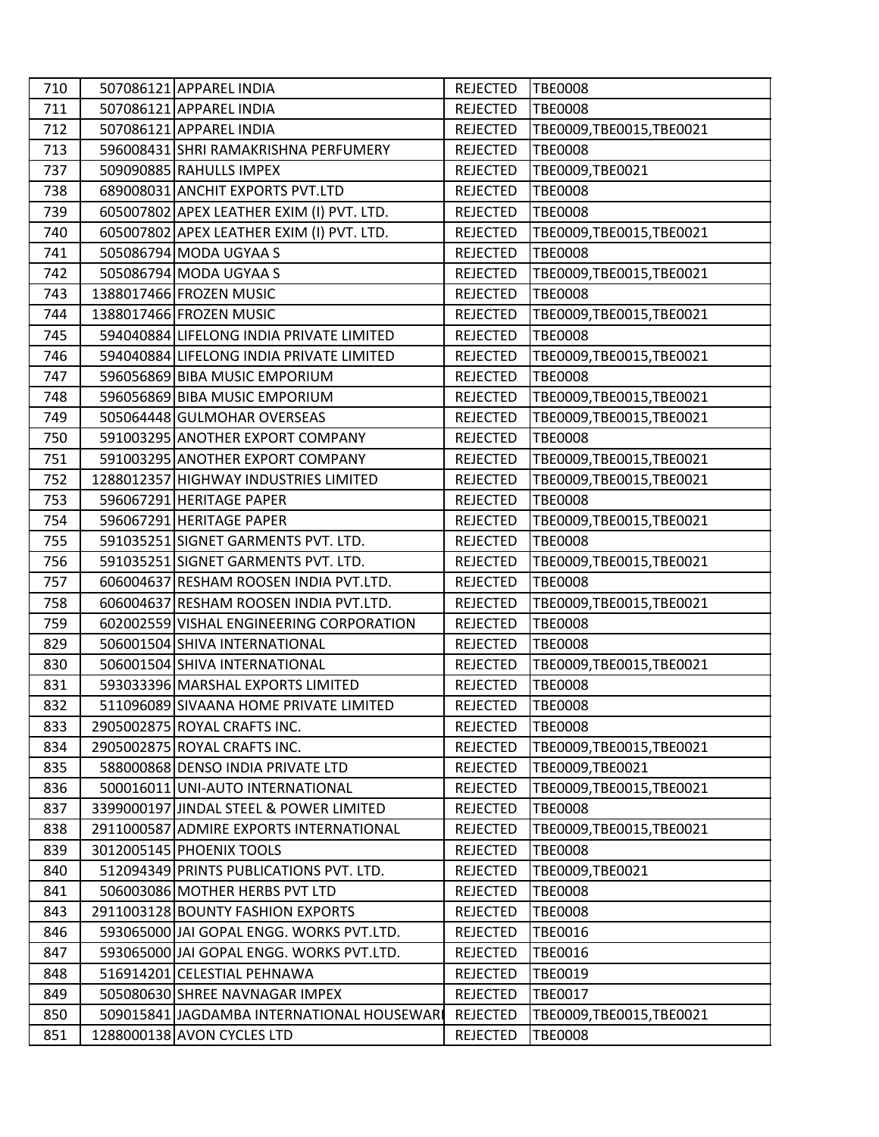| 710 | 507086121 APPAREL INDIA                    | <b>REJECTED</b> | <b>TBE0008</b>            |
|-----|--------------------------------------------|-----------------|---------------------------|
| 711 | 507086121 APPAREL INDIA                    | <b>REJECTED</b> | <b>TBE0008</b>            |
| 712 | 507086121 APPAREL INDIA                    | <b>REJECTED</b> | TBE0009,TBE0015,TBE0021   |
| 713 | 596008431 SHRI RAMAKRISHNA PERFUMERY       | <b>REJECTED</b> | <b>TBE0008</b>            |
| 737 | 509090885 RAHULLS IMPEX                    | <b>REJECTED</b> | TBE0009,TBE0021           |
| 738 | 689008031 ANCHIT EXPORTS PVT.LTD           | <b>REJECTED</b> | <b>TBE0008</b>            |
| 739 | 605007802 APEX LEATHER EXIM (I) PVT. LTD.  | <b>REJECTED</b> | <b>TBE0008</b>            |
| 740 | 605007802 APEX LEATHER EXIM (I) PVT. LTD.  | <b>REJECTED</b> | TBE0009,TBE0015,TBE0021   |
| 741 | 505086794 MODA UGYAA S                     | <b>REJECTED</b> | <b>TBE0008</b>            |
| 742 | 505086794 MODA UGYAA S                     | <b>REJECTED</b> | TBE0009,TBE0015,TBE0021   |
| 743 | 1388017466 FROZEN MUSIC                    | <b>REJECTED</b> | <b>TBE0008</b>            |
| 744 | 1388017466 FROZEN MUSIC                    | <b>REJECTED</b> | TBE0009,TBE0015,TBE0021   |
| 745 | 594040884 LIFELONG INDIA PRIVATE LIMITED   | <b>REJECTED</b> | <b>TBE0008</b>            |
| 746 | 594040884 LIFELONG INDIA PRIVATE LIMITED   | <b>REJECTED</b> | TBE0009, TBE0015, TBE0021 |
| 747 | 596056869 BIBA MUSIC EMPORIUM              | <b>REJECTED</b> | <b>TBE0008</b>            |
| 748 | 596056869 BIBA MUSIC EMPORIUM              | <b>REJECTED</b> | TBE0009, TBE0015, TBE0021 |
| 749 | 505064448 GULMOHAR OVERSEAS                | <b>REJECTED</b> | TBE0009,TBE0015,TBE0021   |
| 750 | 591003295 ANOTHER EXPORT COMPANY           | <b>REJECTED</b> | <b>TBE0008</b>            |
| 751 | 591003295 ANOTHER EXPORT COMPANY           | <b>REJECTED</b> | TBE0009, TBE0015, TBE0021 |
| 752 | 1288012357 HIGHWAY INDUSTRIES LIMITED      | <b>REJECTED</b> | TBE0009,TBE0015,TBE0021   |
| 753 | 596067291 HERITAGE PAPER                   | <b>REJECTED</b> | <b>TBE0008</b>            |
| 754 | 596067291 HERITAGE PAPER                   | <b>REJECTED</b> | TBE0009,TBE0015,TBE0021   |
| 755 | 591035251 SIGNET GARMENTS PVT. LTD.        | <b>REJECTED</b> | <b>TBE0008</b>            |
| 756 | 591035251 SIGNET GARMENTS PVT. LTD.        | <b>REJECTED</b> | TBE0009,TBE0015,TBE0021   |
| 757 | 606004637 RESHAM ROOSEN INDIA PVT.LTD.     | <b>REJECTED</b> | <b>TBE0008</b>            |
| 758 | 606004637 RESHAM ROOSEN INDIA PVT.LTD.     | <b>REJECTED</b> | TBE0009, TBE0015, TBE0021 |
| 759 | 602002559 VISHAL ENGINEERING CORPORATION   | <b>REJECTED</b> | <b>TBE0008</b>            |
| 829 | 506001504 SHIVA INTERNATIONAL              | <b>REJECTED</b> | <b>TBE0008</b>            |
| 830 | 506001504 SHIVA INTERNATIONAL              | <b>REJECTED</b> | TBE0009, TBE0015, TBE0021 |
| 831 | 593033396 MARSHAL EXPORTS LIMITED          | <b>REJECTED</b> | <b>TBE0008</b>            |
| 832 | 511096089 SIVAANA HOME PRIVATE LIMITED     | <b>REJECTED</b> | <b>TBE0008</b>            |
| 833 | 2905002875 ROYAL CRAFTS INC.               | <b>REJECTED</b> | TBE0008                   |
| 834 | 2905002875 ROYAL CRAFTS INC.               | <b>REJECTED</b> | TBE0009, TBE0015, TBE0021 |
| 835 | 588000868 DENSO INDIA PRIVATE LTD          | <b>REJECTED</b> | TBE0009,TBE0021           |
| 836 | 500016011 UNI-AUTO INTERNATIONAL           | <b>REJECTED</b> | TBE0009, TBE0015, TBE0021 |
| 837 | 3399000197 JINDAL STEEL & POWER LIMITED    | <b>REJECTED</b> | <b>TBE0008</b>            |
| 838 | 2911000587 ADMIRE EXPORTS INTERNATIONAL    | <b>REJECTED</b> | TBE0009,TBE0015,TBE0021   |
| 839 | 3012005145 PHOENIX TOOLS                   | <b>REJECTED</b> | <b>TBE0008</b>            |
| 840 | 512094349 PRINTS PUBLICATIONS PVT. LTD.    | <b>REJECTED</b> | TBE0009,TBE0021           |
| 841 | 506003086 MOTHER HERBS PVT LTD             | <b>REJECTED</b> | <b>TBE0008</b>            |
| 843 | 2911003128 BOUNTY FASHION EXPORTS          | <b>REJECTED</b> | <b>TBE0008</b>            |
| 846 | 593065000 JAI GOPAL ENGG. WORKS PVT.LTD.   | <b>REJECTED</b> | <b>TBE0016</b>            |
| 847 | 593065000 JAI GOPAL ENGG. WORKS PVT.LTD.   | <b>REJECTED</b> | <b>TBE0016</b>            |
| 848 | 516914201 CELESTIAL PEHNAWA                | <b>REJECTED</b> | <b>TBE0019</b>            |
| 849 | 505080630 SHREE NAVNAGAR IMPEX             | <b>REJECTED</b> | <b>TBE0017</b>            |
| 850 | 509015841 JAGDAMBA INTERNATIONAL HOUSEWARI | <b>REJECTED</b> | TBE0009, TBE0015, TBE0021 |
| 851 | 1288000138 AVON CYCLES LTD                 | <b>REJECTED</b> | <b>TBE0008</b>            |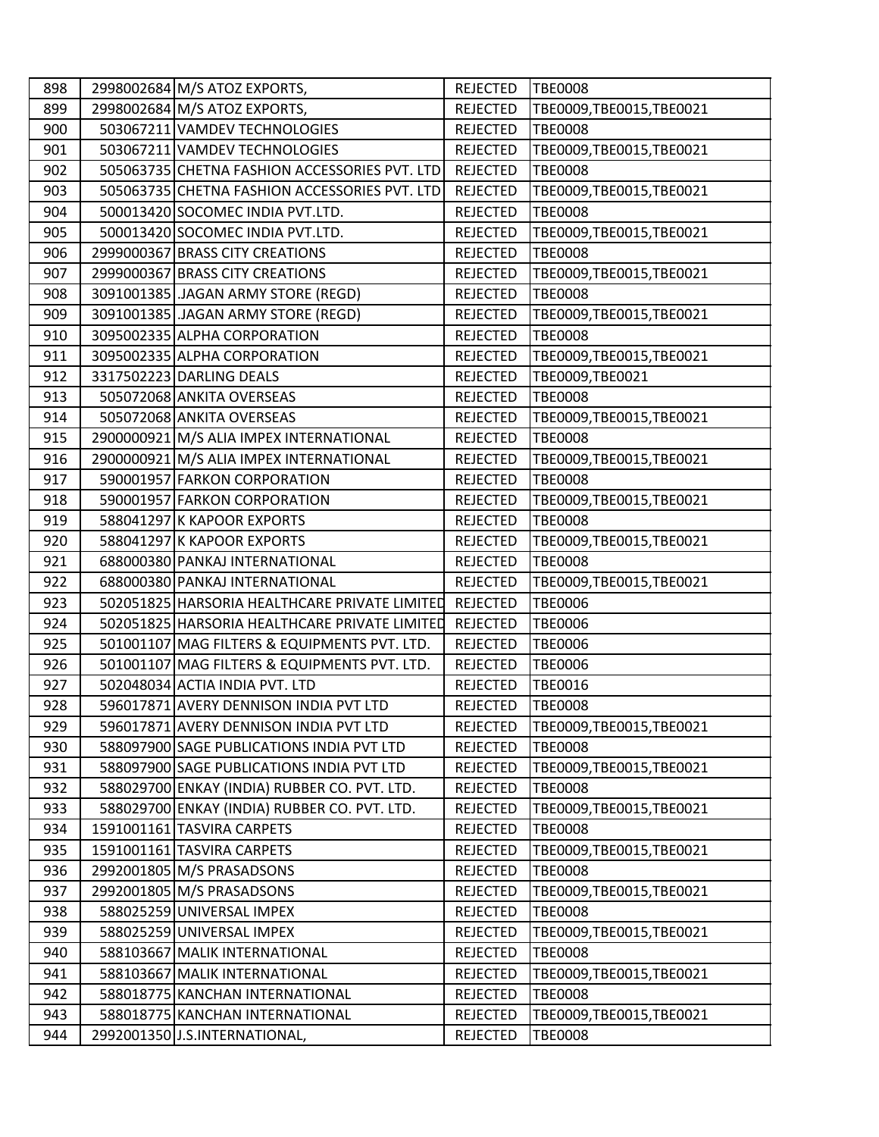| 898 | 2998002684 M/S ATOZ EXPORTS,                  | <b>REJECTED</b> | <b>TBE0008</b>            |
|-----|-----------------------------------------------|-----------------|---------------------------|
| 899 | 2998002684 M/S ATOZ EXPORTS,                  | <b>REJECTED</b> | TBE0009,TBE0015,TBE0021   |
| 900 | 503067211 VAMDEV TECHNOLOGIES                 | <b>REJECTED</b> | <b>TBE0008</b>            |
| 901 | 503067211 VAMDEV TECHNOLOGIES                 | <b>REJECTED</b> | TBE0009, TBE0015, TBE0021 |
| 902 | 505063735 CHETNA FASHION ACCESSORIES PVT. LTD | <b>REJECTED</b> | <b>TBE0008</b>            |
| 903 | 505063735 CHETNA FASHION ACCESSORIES PVT. LTD | <b>REJECTED</b> | TBE0009, TBE0015, TBE0021 |
| 904 | 500013420 SOCOMEC INDIA PVT.LTD.              | <b>REJECTED</b> | <b>TBE0008</b>            |
| 905 | 500013420 SOCOMEC INDIA PVT.LTD.              | <b>REJECTED</b> | TBE0009, TBE0015, TBE0021 |
| 906 | 2999000367 BRASS CITY CREATIONS               | <b>REJECTED</b> | <b>TBE0008</b>            |
| 907 | 2999000367 BRASS CITY CREATIONS               | <b>REJECTED</b> | TBE0009,TBE0015,TBE0021   |
| 908 | 3091001385 J.JAGAN ARMY STORE (REGD)          | <b>REJECTED</b> | <b>TBE0008</b>            |
| 909 | 3091001385 JAGAN ARMY STORE (REGD)            | <b>REJECTED</b> | TBE0009,TBE0015,TBE0021   |
| 910 | 3095002335 ALPHA CORPORATION                  | REJECTED        | <b>TBE0008</b>            |
| 911 | 3095002335 ALPHA CORPORATION                  | <b>REJECTED</b> | TBE0009, TBE0015, TBE0021 |
| 912 | 3317502223 DARLING DEALS                      | <b>REJECTED</b> | TBE0009,TBE0021           |
| 913 | 505072068 ANKITA OVERSEAS                     | <b>REJECTED</b> | <b>TBE0008</b>            |
| 914 | 505072068 ANKITA OVERSEAS                     | <b>REJECTED</b> | TBE0009,TBE0015,TBE0021   |
| 915 | 2900000921 M/S ALIA IMPEX INTERNATIONAL       | <b>REJECTED</b> | <b>TBE0008</b>            |
| 916 | 2900000921 M/S ALIA IMPEX INTERNATIONAL       | <b>REJECTED</b> | TBE0009, TBE0015, TBE0021 |
| 917 | 590001957 FARKON CORPORATION                  | <b>REJECTED</b> | <b>TBE0008</b>            |
| 918 | 590001957 FARKON CORPORATION                  | <b>REJECTED</b> | TBE0009, TBE0015, TBE0021 |
| 919 | 588041297 K KAPOOR EXPORTS                    | <b>REJECTED</b> | <b>TBE0008</b>            |
| 920 | 588041297 K KAPOOR EXPORTS                    | <b>REJECTED</b> | TBE0009, TBE0015, TBE0021 |
| 921 | 688000380 PANKAJ INTERNATIONAL                | <b>REJECTED</b> | <b>TBE0008</b>            |
| 922 | 688000380 PANKAJ INTERNATIONAL                | <b>REJECTED</b> | TBE0009,TBE0015,TBE0021   |
| 923 | 502051825 HARSORIA HEALTHCARE PRIVATE LIMITED | <b>REJECTED</b> | <b>TBE0006</b>            |
| 924 | 502051825 HARSORIA HEALTHCARE PRIVATE LIMITED | <b>REJECTED</b> | <b>TBE0006</b>            |
| 925 | 501001107 MAG FILTERS & EQUIPMENTS PVT. LTD.  | <b>REJECTED</b> | <b>TBE0006</b>            |
| 926 | 501001107 MAG FILTERS & EQUIPMENTS PVT. LTD.  | <b>REJECTED</b> | <b>TBE0006</b>            |
| 927 | 502048034 ACTIA INDIA PVT. LTD                | <b>REJECTED</b> | <b>TBE0016</b>            |
| 928 | 596017871 AVERY DENNISON INDIA PVT LTD        | <b>REJECTED</b> | <b>TBE0008</b>            |
| 929 | 596017871 AVERY DENNISON INDIA PVT LTD        | <b>REJECTED</b> | TBE0009,TBE0015,TBE0021   |
| 930 | 588097900 SAGE PUBLICATIONS INDIA PVT LTD     | <b>REJECTED</b> | <b>TBE0008</b>            |
| 931 | 588097900 SAGE PUBLICATIONS INDIA PVT LTD     | <b>REJECTED</b> | TBE0009,TBE0015,TBE0021   |
| 932 | 588029700 ENKAY (INDIA) RUBBER CO. PVT. LTD.  | <b>REJECTED</b> | <b>TBE0008</b>            |
| 933 | 588029700 ENKAY (INDIA) RUBBER CO. PVT. LTD.  | <b>REJECTED</b> | TBE0009, TBE0015, TBE0021 |
| 934 | 1591001161 TASVIRA CARPETS                    | <b>REJECTED</b> | <b>TBE0008</b>            |
| 935 | 1591001161 TASVIRA CARPETS                    | <b>REJECTED</b> | TBE0009,TBE0015,TBE0021   |
| 936 | 2992001805 M/S PRASADSONS                     | <b>REJECTED</b> | <b>TBE0008</b>            |
| 937 | 2992001805 M/S PRASADSONS                     | <b>REJECTED</b> | TBE0009, TBE0015, TBE0021 |
| 938 | 588025259 UNIVERSAL IMPEX                     | <b>REJECTED</b> | <b>TBE0008</b>            |
| 939 | 588025259 UNIVERSAL IMPEX                     | <b>REJECTED</b> | TBE0009,TBE0015,TBE0021   |
| 940 | 588103667 MALIK INTERNATIONAL                 | <b>REJECTED</b> | <b>TBE0008</b>            |
| 941 | 588103667 MALIK INTERNATIONAL                 | <b>REJECTED</b> | TBE0009,TBE0015,TBE0021   |
| 942 | 588018775 KANCHAN INTERNATIONAL               | <b>REJECTED</b> | <b>TBE0008</b>            |
| 943 | 588018775 KANCHAN INTERNATIONAL               | <b>REJECTED</b> | TBE0009,TBE0015,TBE0021   |
| 944 | 2992001350 J.S.INTERNATIONAL,                 | <b>REJECTED</b> | <b>TBE0008</b>            |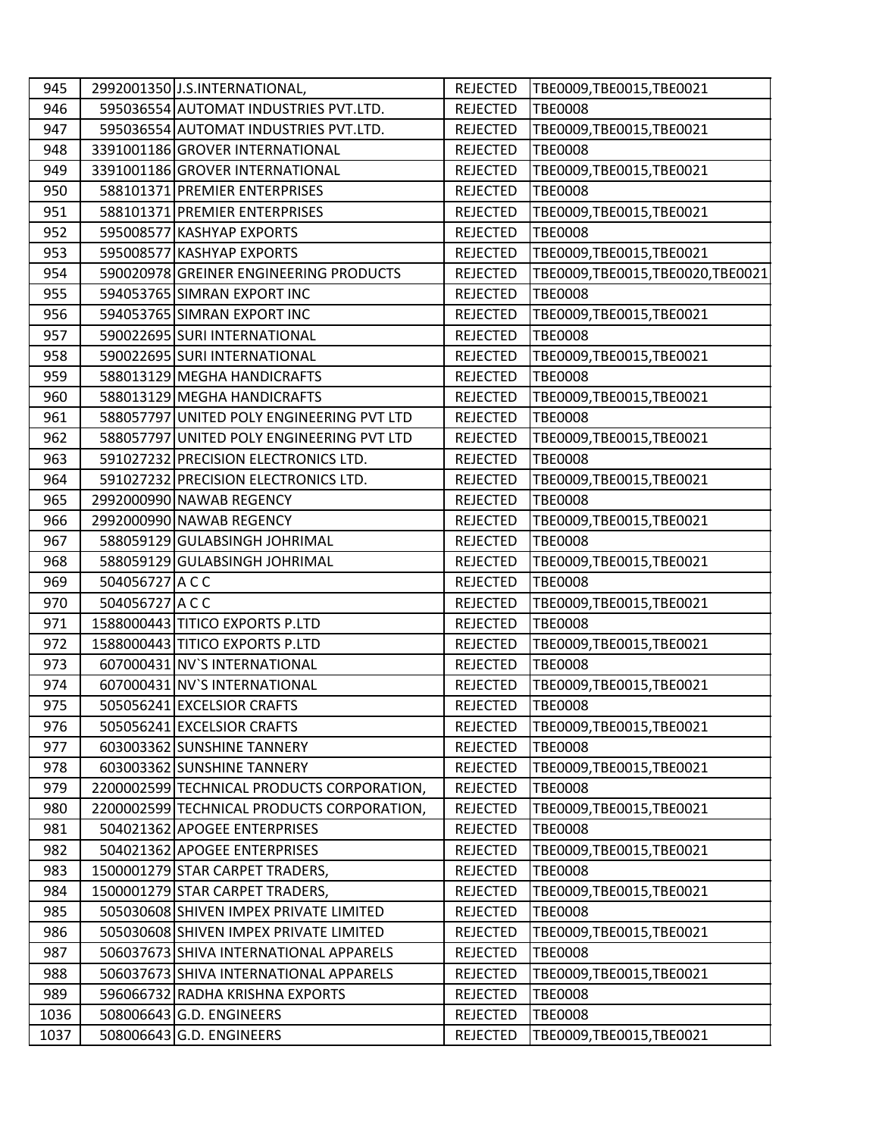| 945  |                 | 2992001350 J.S.INTERNATIONAL,              | <b>REJECTED</b> | TBE0009,TBE0015,TBE0021            |
|------|-----------------|--------------------------------------------|-----------------|------------------------------------|
| 946  |                 | 595036554 AUTOMAT INDUSTRIES PVT.LTD.      | <b>REJECTED</b> | <b>TBE0008</b>                     |
| 947  |                 | 595036554 AUTOMAT INDUSTRIES PVT.LTD.      | <b>REJECTED</b> | TBE0009,TBE0015,TBE0021            |
| 948  |                 | 3391001186 GROVER INTERNATIONAL            | <b>REJECTED</b> | <b>TBE0008</b>                     |
| 949  |                 | 3391001186 GROVER INTERNATIONAL            | <b>REJECTED</b> | TBE0009, TBE0015, TBE0021          |
| 950  |                 | 588101371 PREMIER ENTERPRISES              | <b>REJECTED</b> | <b>TBE0008</b>                     |
| 951  |                 | 588101371 PREMIER ENTERPRISES              | <b>REJECTED</b> | TBE0009,TBE0015,TBE0021            |
| 952  |                 | 595008577 KASHYAP EXPORTS                  | <b>REJECTED</b> | <b>TBE0008</b>                     |
| 953  |                 | 595008577 KASHYAP EXPORTS                  | <b>REJECTED</b> | TBE0009, TBE0015, TBE0021          |
| 954  |                 | 590020978 GREINER ENGINEERING PRODUCTS     | <b>REJECTED</b> | TBE0009, TBE0015, TBE0020, TBE0021 |
| 955  |                 | 594053765 SIMRAN EXPORT INC                | <b>REJECTED</b> | <b>TBE0008</b>                     |
| 956  |                 | 594053765 SIMRAN EXPORT INC                | <b>REJECTED</b> | TBE0009,TBE0015,TBE0021            |
| 957  |                 | 590022695 SURI INTERNATIONAL               | <b>REJECTED</b> | <b>TBE0008</b>                     |
| 958  |                 | 590022695 SURI INTERNATIONAL               | <b>REJECTED</b> | TBE0009,TBE0015,TBE0021            |
| 959  |                 | 588013129 MEGHA HANDICRAFTS                | <b>REJECTED</b> | <b>TBE0008</b>                     |
| 960  |                 | 588013129 MEGHA HANDICRAFTS                | <b>REJECTED</b> | TBE0009, TBE0015, TBE0021          |
| 961  |                 | 588057797 UNITED POLY ENGINEERING PVT LTD  | <b>REJECTED</b> | <b>TBE0008</b>                     |
| 962  |                 | 588057797 UNITED POLY ENGINEERING PVT LTD  | <b>REJECTED</b> | TBE0009,TBE0015,TBE0021            |
| 963  |                 | 591027232 PRECISION ELECTRONICS LTD.       | <b>REJECTED</b> | <b>TBE0008</b>                     |
| 964  |                 | 591027232 PRECISION ELECTRONICS LTD.       | <b>REJECTED</b> | TBE0009,TBE0015,TBE0021            |
| 965  |                 | 2992000990 NAWAB REGENCY                   | <b>REJECTED</b> | <b>TBE0008</b>                     |
| 966  |                 | 2992000990 NAWAB REGENCY                   | <b>REJECTED</b> | TBE0009, TBE0015, TBE0021          |
| 967  |                 | 588059129 GULABSINGH JOHRIMAL              | <b>REJECTED</b> | <b>TBE0008</b>                     |
| 968  |                 | 588059129 GULABSINGH JOHRIMAL              | <b>REJECTED</b> | TBE0009, TBE0015, TBE0021          |
| 969  | 504056727 A C C |                                            | <b>REJECTED</b> | <b>TBE0008</b>                     |
| 970  | 504056727 A C C |                                            | <b>REJECTED</b> | TBE0009,TBE0015,TBE0021            |
| 971  |                 | 1588000443 TITICO EXPORTS P.LTD            | <b>REJECTED</b> | <b>TBE0008</b>                     |
| 972  |                 | 1588000443 TITICO EXPORTS P.LTD            | <b>REJECTED</b> | TBE0009,TBE0015,TBE0021            |
| 973  |                 | 607000431 NV'S INTERNATIONAL               | <b>REJECTED</b> | <b>TBE0008</b>                     |
| 974  |                 | 607000431 NV'S INTERNATIONAL               | <b>REJECTED</b> | TBE0009,TBE0015,TBE0021            |
| 975  |                 | 505056241 EXCELSIOR CRAFTS                 | <b>REJECTED</b> | <b>TBE0008</b>                     |
| 976  |                 | 505056241 EXCELSIOR CRAFTS                 | <b>REJECTED</b> | TBE0009, TBE0015, TBE0021          |
| 977  |                 | 603003362 SUNSHINE TANNERY                 | <b>REJECTED</b> | <b>TBE0008</b>                     |
| 978  |                 | 603003362 SUNSHINE TANNERY                 | <b>REJECTED</b> | TBE0009, TBE0015, TBE0021          |
| 979  |                 | 2200002599 TECHNICAL PRODUCTS CORPORATION, | <b>REJECTED</b> | <b>TBE0008</b>                     |
| 980  |                 | 2200002599 TECHNICAL PRODUCTS CORPORATION, | <b>REJECTED</b> | TBE0009, TBE0015, TBE0021          |
| 981  |                 | 504021362 APOGEE ENTERPRISES               | <b>REJECTED</b> | <b>TBE0008</b>                     |
| 982  |                 | 504021362 APOGEE ENTERPRISES               | <b>REJECTED</b> | TBE0009, TBE0015, TBE0021          |
| 983  |                 | 1500001279 STAR CARPET TRADERS,            | <b>REJECTED</b> | <b>TBE0008</b>                     |
| 984  |                 | 1500001279 STAR CARPET TRADERS,            | <b>REJECTED</b> | TBE0009, TBE0015, TBE0021          |
| 985  |                 | 505030608 SHIVEN IMPEX PRIVATE LIMITED     | <b>REJECTED</b> | <b>TBE0008</b>                     |
| 986  |                 | 505030608 SHIVEN IMPEX PRIVATE LIMITED     | <b>REJECTED</b> | TBE0009, TBE0015, TBE0021          |
| 987  |                 | 506037673 SHIVA INTERNATIONAL APPARELS     | <b>REJECTED</b> | <b>TBE0008</b>                     |
| 988  |                 | 506037673 SHIVA INTERNATIONAL APPARELS     | <b>REJECTED</b> | TBE0009, TBE0015, TBE0021          |
| 989  |                 | 596066732 RADHA KRISHNA EXPORTS            | <b>REJECTED</b> | <b>TBE0008</b>                     |
| 1036 |                 | 508006643 G.D. ENGINEERS                   | <b>REJECTED</b> | <b>TBE0008</b>                     |
| 1037 |                 | 508006643 G.D. ENGINEERS                   | <b>REJECTED</b> | TBE0009, TBE0015, TBE0021          |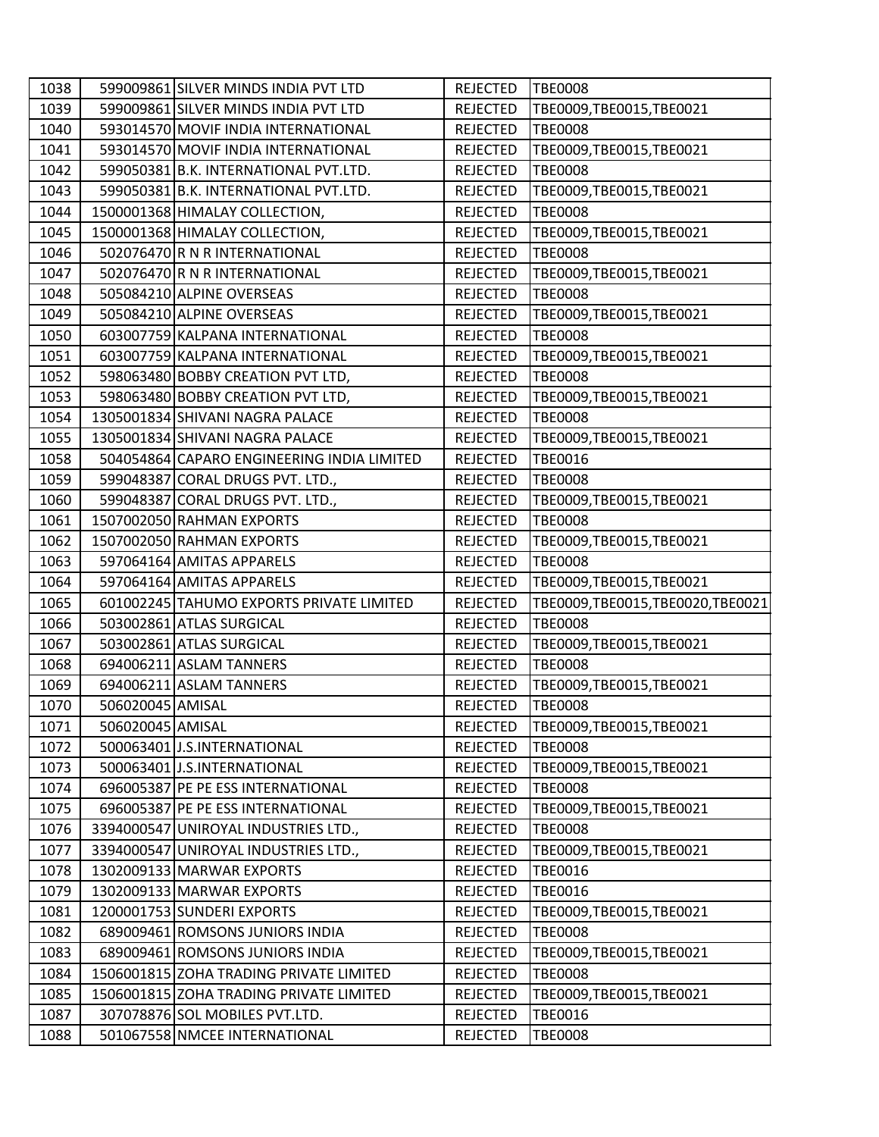| 1038 |                  | 599009861 SILVER MINDS INDIA PVT LTD       | <b>REJECTED</b> | <b>TBE0008</b>                  |
|------|------------------|--------------------------------------------|-----------------|---------------------------------|
| 1039 |                  | 599009861 SILVER MINDS INDIA PVT LTD       | <b>REJECTED</b> | TBE0009,TBE0015,TBE0021         |
| 1040 |                  | 593014570 MOVIF INDIA INTERNATIONAL        | <b>REJECTED</b> | <b>TBE0008</b>                  |
| 1041 |                  | 593014570 MOVIF INDIA INTERNATIONAL        | <b>REJECTED</b> | TBE0009, TBE0015, TBE0021       |
| 1042 |                  | 599050381 B.K. INTERNATIONAL PVT.LTD.      | <b>REJECTED</b> | <b>TBE0008</b>                  |
| 1043 |                  | 599050381 B.K. INTERNATIONAL PVT.LTD.      | <b>REJECTED</b> | TBE0009, TBE0015, TBE0021       |
| 1044 |                  | 1500001368 HIMALAY COLLECTION,             | <b>REJECTED</b> | <b>TBE0008</b>                  |
| 1045 |                  | 1500001368 HIMALAY COLLECTION,             | <b>REJECTED</b> | TBE0009, TBE0015, TBE0021       |
| 1046 |                  | 502076470R N R INTERNATIONAL               | <b>REJECTED</b> | <b>TBE0008</b>                  |
| 1047 |                  | 502076470 R N R INTERNATIONAL              | <b>REJECTED</b> | TBE0009,TBE0015,TBE0021         |
| 1048 |                  | 505084210 ALPINE OVERSEAS                  | <b>REJECTED</b> | <b>TBE0008</b>                  |
| 1049 |                  | 505084210 ALPINE OVERSEAS                  | <b>REJECTED</b> | TBE0009,TBE0015,TBE0021         |
| 1050 |                  | 603007759 KALPANA INTERNATIONAL            | <b>REJECTED</b> | <b>TBE0008</b>                  |
| 1051 |                  | 603007759 KALPANA INTERNATIONAL            | <b>REJECTED</b> | TBE0009, TBE0015, TBE0021       |
| 1052 |                  | 598063480 BOBBY CREATION PVT LTD,          | <b>REJECTED</b> | <b>TBE0008</b>                  |
| 1053 |                  | 598063480 BOBBY CREATION PVT LTD,          | <b>REJECTED</b> | TBE0009,TBE0015,TBE0021         |
| 1054 |                  | 1305001834 SHIVANI NAGRA PALACE            | <b>REJECTED</b> | <b>TBE0008</b>                  |
| 1055 |                  | 1305001834 SHIVANI NAGRA PALACE            | <b>REJECTED</b> | TBE0009, TBE0015, TBE0021       |
| 1058 |                  | 504054864 CAPARO ENGINEERING INDIA LIMITED | <b>REJECTED</b> | <b>TBE0016</b>                  |
| 1059 |                  | 599048387 CORAL DRUGS PVT. LTD.,           | <b>REJECTED</b> | <b>TBE0008</b>                  |
| 1060 |                  | 599048387 CORAL DRUGS PVT. LTD.,           | <b>REJECTED</b> | TBE0009, TBE0015, TBE0021       |
| 1061 |                  | 1507002050 RAHMAN EXPORTS                  | <b>REJECTED</b> | <b>TBE0008</b>                  |
| 1062 |                  | 1507002050 RAHMAN EXPORTS                  | <b>REJECTED</b> | TBE0009,TBE0015,TBE0021         |
| 1063 |                  | 597064164 AMITAS APPARELS                  | <b>REJECTED</b> | <b>TBE0008</b>                  |
| 1064 |                  | 597064164 AMITAS APPARELS                  | <b>REJECTED</b> | TBE0009,TBE0015,TBE0021         |
| 1065 |                  | 601002245 TAHUMO EXPORTS PRIVATE LIMITED   | <b>REJECTED</b> | TBE0009,TBE0015,TBE0020,TBE0021 |
| 1066 |                  | 503002861 ATLAS SURGICAL                   | <b>REJECTED</b> | <b>TBE0008</b>                  |
| 1067 |                  | 503002861 ATLAS SURGICAL                   | <b>REJECTED</b> | TBE0009,TBE0015,TBE0021         |
| 1068 |                  | 694006211 ASLAM TANNERS                    | <b>REJECTED</b> | <b>TBE0008</b>                  |
| 1069 |                  | 694006211 ASLAM TANNERS                    | <b>REJECTED</b> | TBE0009, TBE0015, TBE0021       |
| 1070 | 506020045 AMISAL |                                            | <b>REJECTED</b> | <b>TBE0008</b>                  |
| 1071 | 506020045 AMISAL |                                            | <b>REJECTED</b> | TBE0009,TBE0015,TBE0021         |
| 1072 |                  | 500063401 J.S.INTERNATIONAL                | <b>REJECTED</b> | <b>TBE0008</b>                  |
| 1073 |                  | 500063401 J.S.INTERNATIONAL                | <b>REJECTED</b> | TBE0009, TBE0015, TBE0021       |
| 1074 |                  | 696005387 PE PE ESS INTERNATIONAL          | <b>REJECTED</b> | <b>TBE0008</b>                  |
| 1075 |                  | 696005387 PE PE ESS INTERNATIONAL          | REJECTED        | TBE0009, TBE0015, TBE0021       |
| 1076 |                  | 3394000547 UNIROYAL INDUSTRIES LTD.,       | <b>REJECTED</b> | <b>TBE0008</b>                  |
| 1077 |                  | 3394000547 UNIROYAL INDUSTRIES LTD.,       | <b>REJECTED</b> | TBE0009,TBE0015,TBE0021         |
| 1078 |                  | 1302009133 MARWAR EXPORTS                  | <b>REJECTED</b> | <b>TBE0016</b>                  |
| 1079 |                  | 1302009133 MARWAR EXPORTS                  | <b>REJECTED</b> | <b>TBE0016</b>                  |
| 1081 |                  | 1200001753 SUNDERI EXPORTS                 | <b>REJECTED</b> | TBE0009, TBE0015, TBE0021       |
| 1082 |                  | 689009461 ROMSONS JUNIORS INDIA            | <b>REJECTED</b> | <b>TBE0008</b>                  |
| 1083 |                  | 689009461 ROMSONS JUNIORS INDIA            | <b>REJECTED</b> | TBE0009, TBE0015, TBE0021       |
| 1084 |                  | 1506001815 ZOHA TRADING PRIVATE LIMITED    | <b>REJECTED</b> | <b>TBE0008</b>                  |
| 1085 |                  | 1506001815 ZOHA TRADING PRIVATE LIMITED    | <b>REJECTED</b> | TBE0009, TBE0015, TBE0021       |
| 1087 |                  | 307078876 SOL MOBILES PVT.LTD.             | <b>REJECTED</b> | <b>TBE0016</b>                  |
| 1088 |                  | 501067558 NMCEE INTERNATIONAL              | <b>REJECTED</b> | <b>TBE0008</b>                  |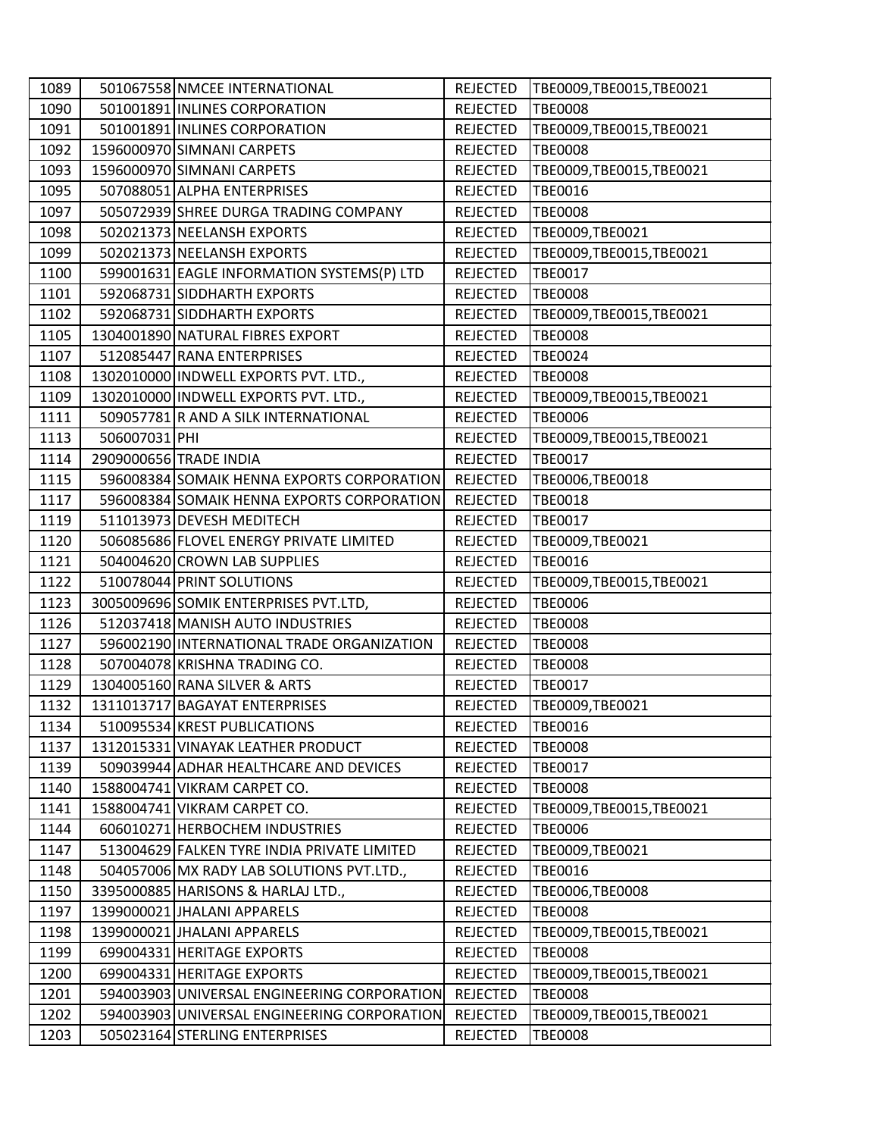| 1089 |               | 501067558 NMCEE INTERNATIONAL               | <b>REJECTED</b> | TBE0009, TBE0015, TBE0021 |
|------|---------------|---------------------------------------------|-----------------|---------------------------|
| 1090 |               | 501001891 INLINES CORPORATION               | <b>REJECTED</b> | <b>TBE0008</b>            |
| 1091 |               | 501001891 INLINES CORPORATION               | <b>REJECTED</b> | TBE0009,TBE0015,TBE0021   |
| 1092 |               | 1596000970 SIMNANI CARPETS                  | <b>REJECTED</b> | <b>TBE0008</b>            |
| 1093 |               | 1596000970 SIMNANI CARPETS                  | <b>REJECTED</b> | TBE0009,TBE0015,TBE0021   |
| 1095 |               | 507088051 ALPHA ENTERPRISES                 | <b>REJECTED</b> | <b>TBE0016</b>            |
| 1097 |               | 505072939 SHREE DURGA TRADING COMPANY       | <b>REJECTED</b> | <b>TBE0008</b>            |
| 1098 |               | 502021373 NEELANSH EXPORTS                  | <b>REJECTED</b> | TBE0009,TBE0021           |
| 1099 |               | 502021373 NEELANSH EXPORTS                  | <b>REJECTED</b> | TBE0009, TBE0015, TBE0021 |
| 1100 |               | 599001631 EAGLE INFORMATION SYSTEMS(P) LTD  | <b>REJECTED</b> | <b>TBE0017</b>            |
| 1101 |               | 592068731 SIDDHARTH EXPORTS                 | <b>REJECTED</b> | <b>TBE0008</b>            |
| 1102 |               | 592068731 SIDDHARTH EXPORTS                 | <b>REJECTED</b> | TBE0009, TBE0015, TBE0021 |
| 1105 |               | 1304001890 NATURAL FIBRES EXPORT            | <b>REJECTED</b> | <b>TBE0008</b>            |
| 1107 |               | 512085447 RANA ENTERPRISES                  | <b>REJECTED</b> | <b>TBE0024</b>            |
| 1108 |               | 1302010000 INDWELL EXPORTS PVT. LTD.,       | <b>REJECTED</b> | <b>TBE0008</b>            |
| 1109 |               | 1302010000 INDWELL EXPORTS PVT. LTD.,       | <b>REJECTED</b> | TBE0009, TBE0015, TBE0021 |
| 1111 |               | 509057781 R AND A SILK INTERNATIONAL        | <b>REJECTED</b> | <b>TBE0006</b>            |
| 1113 | 506007031 PHI |                                             | <b>REJECTED</b> | TBE0009,TBE0015,TBE0021   |
| 1114 |               | 2909000656 TRADE INDIA                      | <b>REJECTED</b> | TBE0017                   |
| 1115 |               | 596008384 SOMAIK HENNA EXPORTS CORPORATION  | <b>REJECTED</b> | TBE0006, TBE0018          |
| 1117 |               | 596008384 SOMAIK HENNA EXPORTS CORPORATION  | <b>REJECTED</b> | <b>TBE0018</b>            |
| 1119 |               | 511013973 DEVESH MEDITECH                   | <b>REJECTED</b> | <b>TBE0017</b>            |
| 1120 |               | 506085686 FLOVEL ENERGY PRIVATE LIMITED     | <b>REJECTED</b> | TBE0009,TBE0021           |
| 1121 |               | 504004620 CROWN LAB SUPPLIES                | <b>REJECTED</b> | <b>TBE0016</b>            |
| 1122 |               | 510078044 PRINT SOLUTIONS                   | <b>REJECTED</b> | TBE0009, TBE0015, TBE0021 |
| 1123 |               | 3005009696 SOMIK ENTERPRISES PVT.LTD,       | <b>REJECTED</b> | <b>TBE0006</b>            |
| 1126 |               | 512037418 MANISH AUTO INDUSTRIES            | <b>REJECTED</b> | <b>TBE0008</b>            |
| 1127 |               | 596002190 INTERNATIONAL TRADE ORGANIZATION  | <b>REJECTED</b> | <b>TBE0008</b>            |
| 1128 |               | 507004078 KRISHNA TRADING CO.               | <b>REJECTED</b> | <b>TBE0008</b>            |
| 1129 |               | 1304005160 RANA SILVER & ARTS               | <b>REJECTED</b> | <b>TBE0017</b>            |
| 1132 |               | 1311013717 BAGAYAT ENTERPRISES              | <b>REJECTED</b> | TBE0009,TBE0021           |
| 1134 |               | 510095534 KREST PUBLICATIONS                | REJECTED        | <b>TBE0016</b>            |
| 1137 |               | 1312015331 VINAYAK LEATHER PRODUCT          | <b>REJECTED</b> | <b>TBE0008</b>            |
| 1139 |               | 509039944 ADHAR HEALTHCARE AND DEVICES      | REJECTED        | <b>TBE0017</b>            |
| 1140 |               | 1588004741 VIKRAM CARPET CO.                | <b>REJECTED</b> | <b>TBE0008</b>            |
| 1141 |               | 1588004741 VIKRAM CARPET CO.                | <b>REJECTED</b> | TBE0009, TBE0015, TBE0021 |
| 1144 |               | 606010271 HERBOCHEM INDUSTRIES              | <b>REJECTED</b> | <b>TBE0006</b>            |
| 1147 |               | 513004629 FALKEN TYRE INDIA PRIVATE LIMITED | <b>REJECTED</b> | TBE0009, TBE0021          |
| 1148 |               | 504057006 MX RADY LAB SOLUTIONS PVT.LTD.,   | <b>REJECTED</b> | <b>TBE0016</b>            |
| 1150 |               | 3395000885 HARISONS & HARLAJ LTD.,          | <b>REJECTED</b> | TBE0006, TBE0008          |
| 1197 |               | 1399000021 JHALANI APPARELS                 | <b>REJECTED</b> | <b>TBE0008</b>            |
| 1198 |               | 1399000021 JHALANI APPARELS                 | <b>REJECTED</b> | TBE0009, TBE0015, TBE0021 |
| 1199 |               | 699004331 HERITAGE EXPORTS                  | <b>REJECTED</b> | <b>TBE0008</b>            |
| 1200 |               | 699004331 HERITAGE EXPORTS                  | <b>REJECTED</b> | TBE0009, TBE0015, TBE0021 |
| 1201 |               | 594003903 UNIVERSAL ENGINEERING CORPORATION | <b>REJECTED</b> | <b>TBE0008</b>            |
| 1202 |               | 594003903 UNIVERSAL ENGINEERING CORPORATION | <b>REJECTED</b> | TBE0009, TBE0015, TBE0021 |
| 1203 |               | 505023164 STERLING ENTERPRISES              | <b>REJECTED</b> | <b>TBE0008</b>            |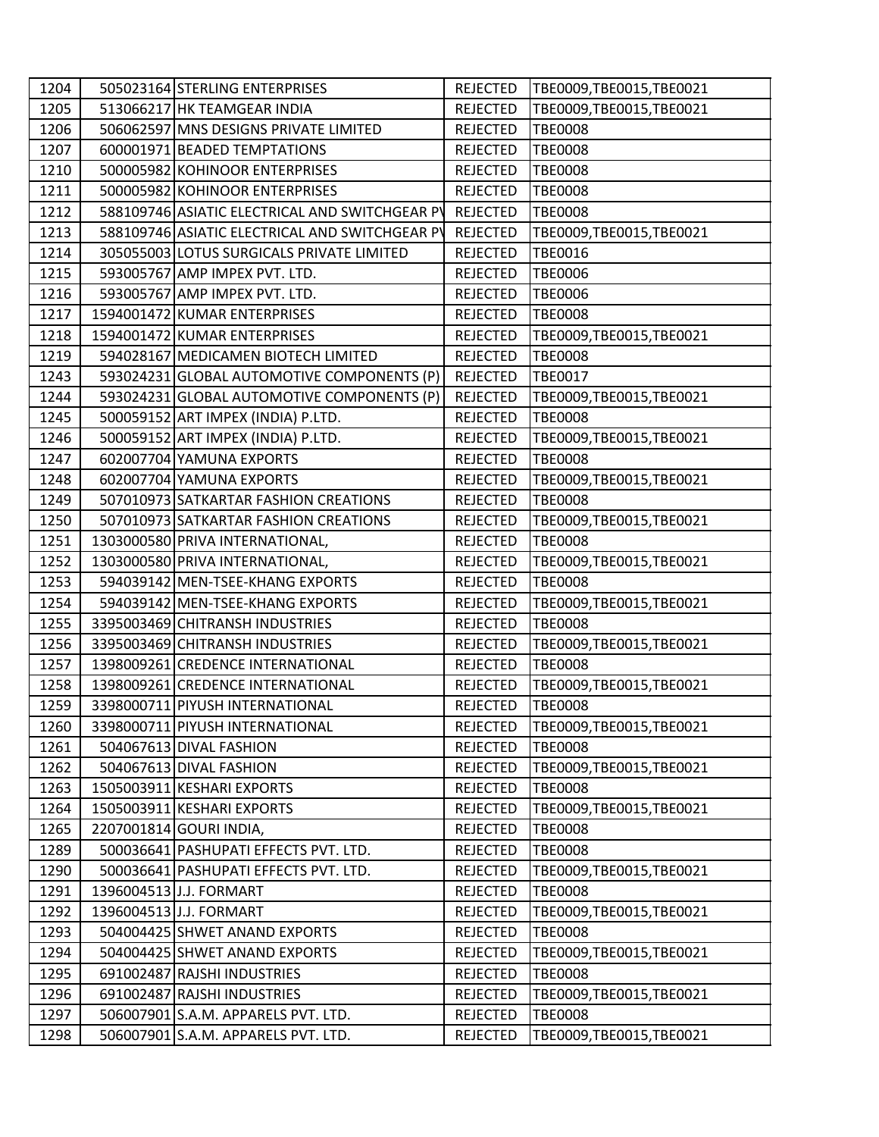| 1204 | 505023164 STERLING ENTERPRISES                 | <b>REJECTED</b> | TBE0009,TBE0015,TBE0021   |
|------|------------------------------------------------|-----------------|---------------------------|
| 1205 | 513066217 HK TEAMGEAR INDIA                    | <b>REJECTED</b> | TBE0009,TBE0015,TBE0021   |
| 1206 | 506062597 MNS DESIGNS PRIVATE LIMITED          | <b>REJECTED</b> | <b>TBE0008</b>            |
| 1207 | 600001971 BEADED TEMPTATIONS                   | <b>REJECTED</b> | <b>TBE0008</b>            |
| 1210 | 500005982 KOHINOOR ENTERPRISES                 | <b>REJECTED</b> | <b>TBE0008</b>            |
| 1211 | 500005982 KOHINOOR ENTERPRISES                 | REJECTED        | <b>TBE0008</b>            |
| 1212 | 588109746 ASIATIC ELECTRICAL AND SWITCHGEAR PV | <b>REJECTED</b> | <b>TBE0008</b>            |
| 1213 | 588109746 ASIATIC ELECTRICAL AND SWITCHGEAR PV | <b>REJECTED</b> | TBE0009, TBE0015, TBE0021 |
| 1214 | 305055003 LOTUS SURGICALS PRIVATE LIMITED      | <b>REJECTED</b> | <b>TBE0016</b>            |
| 1215 | 593005767 AMP IMPEX PVT. LTD.                  | <b>REJECTED</b> | <b>TBE0006</b>            |
| 1216 | 593005767 AMP IMPEX PVT. LTD.                  | <b>REJECTED</b> | <b>TBE0006</b>            |
| 1217 | 1594001472 KUMAR ENTERPRISES                   | <b>REJECTED</b> | <b>TBE0008</b>            |
| 1218 | 1594001472 KUMAR ENTERPRISES                   | <b>REJECTED</b> | TBE0009,TBE0015,TBE0021   |
| 1219 | 594028167 MEDICAMEN BIOTECH LIMITED            | <b>REJECTED</b> | <b>TBE0008</b>            |
| 1243 | 593024231 GLOBAL AUTOMOTIVE COMPONENTS (P)     | <b>REJECTED</b> | <b>TBE0017</b>            |
| 1244 | 593024231 GLOBAL AUTOMOTIVE COMPONENTS (P)     | <b>REJECTED</b> | TBE0009,TBE0015,TBE0021   |
| 1245 | 500059152 ART IMPEX (INDIA) P.LTD.             | <b>REJECTED</b> | <b>TBE0008</b>            |
| 1246 | 500059152 ART IMPEX (INDIA) P.LTD.             | <b>REJECTED</b> | TBE0009,TBE0015,TBE0021   |
| 1247 | 602007704 YAMUNA EXPORTS                       | <b>REJECTED</b> | <b>TBE0008</b>            |
| 1248 | 602007704 YAMUNA EXPORTS                       | <b>REJECTED</b> | TBE0009,TBE0015,TBE0021   |
| 1249 | 507010973 SATKARTAR FASHION CREATIONS          | <b>REJECTED</b> | <b>TBE0008</b>            |
| 1250 | 507010973 SATKARTAR FASHION CREATIONS          | <b>REJECTED</b> | TBE0009,TBE0015,TBE0021   |
| 1251 | 1303000580 PRIVA INTERNATIONAL,                | <b>REJECTED</b> | <b>TBE0008</b>            |
| 1252 | 1303000580 PRIVA INTERNATIONAL,                | <b>REJECTED</b> | TBE0009, TBE0015, TBE0021 |
| 1253 | 594039142 MEN-TSEE-KHANG EXPORTS               | <b>REJECTED</b> | <b>TBE0008</b>            |
| 1254 | 594039142 MEN-TSEE-KHANG EXPORTS               | <b>REJECTED</b> | TBE0009, TBE0015, TBE0021 |
| 1255 | 3395003469 CHITRANSH INDUSTRIES                | <b>REJECTED</b> | <b>TBE0008</b>            |
| 1256 | 3395003469 CHITRANSH INDUSTRIES                | <b>REJECTED</b> | TBE0009,TBE0015,TBE0021   |
| 1257 | 1398009261 CREDENCE INTERNATIONAL              | <b>REJECTED</b> | <b>TBE0008</b>            |
| 1258 | 1398009261 CREDENCE INTERNATIONAL              | <b>REJECTED</b> | TBE0009,TBE0015,TBE0021   |
| 1259 | 3398000711 PIYUSH INTERNATIONAL                | <b>REJECTED</b> | <b>TBE0008</b>            |
| 1260 | 3398000711 PIYUSH INTERNATIONAL                | REJECTED        | TBE0009, TBE0015, TBE0021 |
| 1261 | 504067613 DIVAL FASHION                        | <b>REJECTED</b> | <b>TBE0008</b>            |
| 1262 | 504067613 DIVAL FASHION                        | REJECTED        | TBE0009,TBE0015,TBE0021   |
| 1263 | 1505003911 KESHARI EXPORTS                     | <b>REJECTED</b> | <b>TBE0008</b>            |
| 1264 | 1505003911 KESHARI EXPORTS                     | <b>REJECTED</b> | TBE0009,TBE0015,TBE0021   |
| 1265 | 2207001814 GOURI INDIA,                        | <b>REJECTED</b> | <b>TBE0008</b>            |
| 1289 | 500036641 PASHUPATI EFFECTS PVT. LTD.          | <b>REJECTED</b> | <b>TBE0008</b>            |
| 1290 | 500036641 PASHUPATI EFFECTS PVT. LTD.          | <b>REJECTED</b> | TBE0009,TBE0015,TBE0021   |
| 1291 | 1396004513 J.J. FORMART                        | <b>REJECTED</b> | <b>TBE0008</b>            |
| 1292 | 1396004513 J.J. FORMART                        | <b>REJECTED</b> | TBE0009, TBE0015, TBE0021 |
| 1293 | 504004425 SHWET ANAND EXPORTS                  | <b>REJECTED</b> | <b>TBE0008</b>            |
| 1294 | 504004425 SHWET ANAND EXPORTS                  | <b>REJECTED</b> | TBE0009,TBE0015,TBE0021   |
| 1295 | 691002487 RAJSHI INDUSTRIES                    | <b>REJECTED</b> | <b>TBE0008</b>            |
| 1296 | 691002487 RAJSHI INDUSTRIES                    | <b>REJECTED</b> | TBE0009, TBE0015, TBE0021 |
| 1297 | 506007901 S.A.M. APPARELS PVT. LTD.            | <b>REJECTED</b> | <b>TBE0008</b>            |
| 1298 | 506007901 S.A.M. APPARELS PVT. LTD.            | <b>REJECTED</b> | TBE0009,TBE0015,TBE0021   |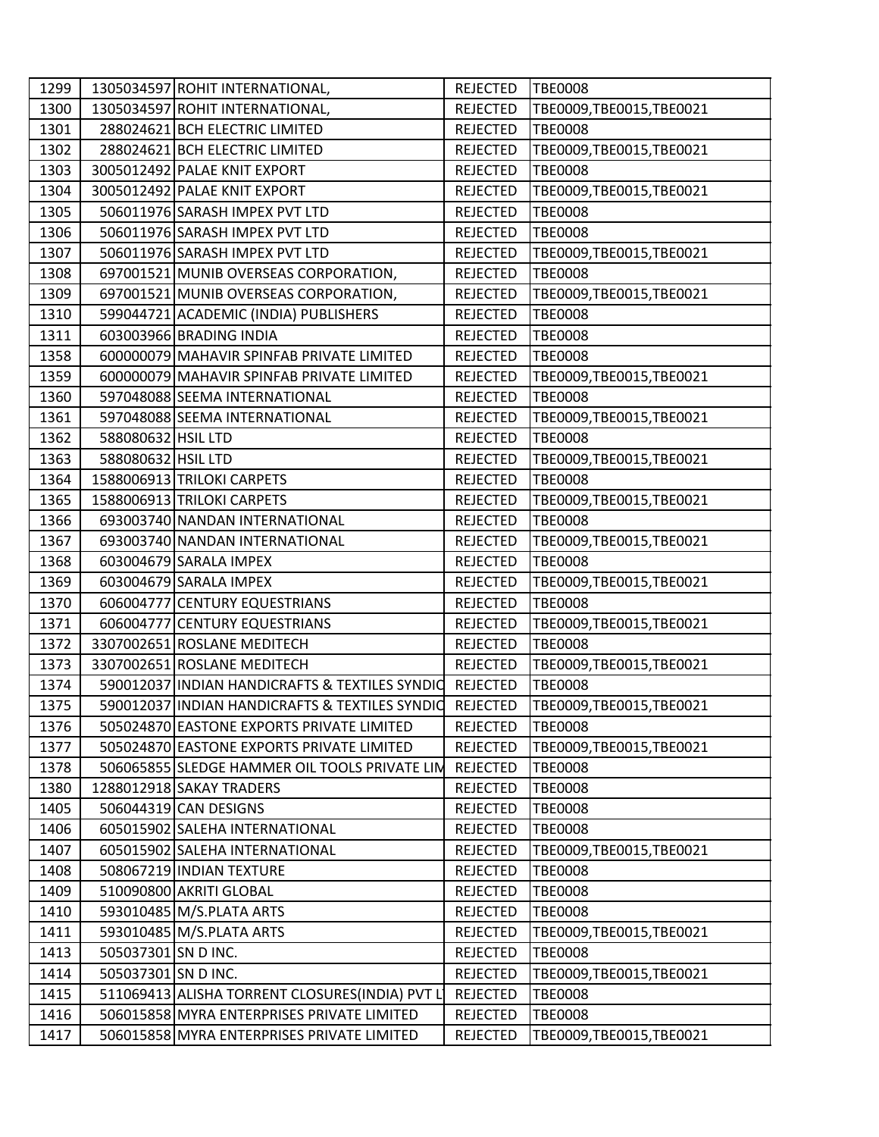| 1299 |                     | 1305034597 ROHIT INTERNATIONAL,                | REJECTED        | <b>TBE0008</b>            |
|------|---------------------|------------------------------------------------|-----------------|---------------------------|
| 1300 |                     | 1305034597 ROHIT INTERNATIONAL,                | REJECTED        | TBE0009,TBE0015,TBE0021   |
| 1301 |                     | 288024621 BCH ELECTRIC LIMITED                 | <b>REJECTED</b> | <b>TBE0008</b>            |
| 1302 |                     | 288024621 BCH ELECTRIC LIMITED                 | <b>REJECTED</b> | TBE0009, TBE0015, TBE0021 |
| 1303 |                     | 3005012492 PALAE KNIT EXPORT                   | <b>REJECTED</b> | <b>TBE0008</b>            |
| 1304 |                     | 3005012492 PALAE KNIT EXPORT                   | <b>REJECTED</b> | TBE0009, TBE0015, TBE0021 |
| 1305 |                     | 506011976 SARASH IMPEX PVT LTD                 | <b>REJECTED</b> | <b>TBE0008</b>            |
| 1306 |                     | 506011976 SARASH IMPEX PVT LTD                 | <b>REJECTED</b> | <b>TBE0008</b>            |
| 1307 |                     | 506011976 SARASH IMPEX PVT LTD                 | <b>REJECTED</b> | TBE0009, TBE0015, TBE0021 |
| 1308 |                     | 697001521 MUNIB OVERSEAS CORPORATION,          | <b>REJECTED</b> | <b>TBE0008</b>            |
| 1309 |                     | 697001521 MUNIB OVERSEAS CORPORATION,          | <b>REJECTED</b> | TBE0009, TBE0015, TBE0021 |
| 1310 |                     | 599044721 ACADEMIC (INDIA) PUBLISHERS          | <b>REJECTED</b> | <b>TBE0008</b>            |
| 1311 |                     | 603003966 BRADING INDIA                        | <b>REJECTED</b> | <b>TBE0008</b>            |
| 1358 |                     | 600000079 MAHAVIR SPINFAB PRIVATE LIMITED      | <b>REJECTED</b> | <b>TBE0008</b>            |
| 1359 |                     | 600000079 MAHAVIR SPINFAB PRIVATE LIMITED      | <b>REJECTED</b> | TBE0009, TBE0015, TBE0021 |
| 1360 |                     | 597048088 SEEMA INTERNATIONAL                  | <b>REJECTED</b> | <b>TBE0008</b>            |
| 1361 |                     | 597048088 SEEMA INTERNATIONAL                  | <b>REJECTED</b> | TBE0009, TBE0015, TBE0021 |
| 1362 | 588080632 HSIL LTD  |                                                | <b>REJECTED</b> | <b>TBE0008</b>            |
| 1363 | 588080632 HSIL LTD  |                                                | <b>REJECTED</b> | TBE0009, TBE0015, TBE0021 |
| 1364 |                     | 1588006913 TRILOKI CARPETS                     | <b>REJECTED</b> | <b>TBE0008</b>            |
| 1365 |                     | 1588006913 TRILOKI CARPETS                     | <b>REJECTED</b> | TBE0009, TBE0015, TBE0021 |
| 1366 |                     | 693003740 NANDAN INTERNATIONAL                 | <b>REJECTED</b> | <b>TBE0008</b>            |
| 1367 |                     | 693003740 NANDAN INTERNATIONAL                 | <b>REJECTED</b> | TBE0009, TBE0015, TBE0021 |
| 1368 |                     | 603004679 SARALA IMPEX                         | <b>REJECTED</b> | <b>TBE0008</b>            |
| 1369 |                     | 603004679 SARALA IMPEX                         | <b>REJECTED</b> | TBE0009, TBE0015, TBE0021 |
| 1370 |                     | 606004777 CENTURY EQUESTRIANS                  | <b>REJECTED</b> | <b>TBE0008</b>            |
| 1371 |                     | 606004777 CENTURY EQUESTRIANS                  | <b>REJECTED</b> | TBE0009, TBE0015, TBE0021 |
| 1372 |                     | 3307002651 ROSLANE MEDITECH                    | <b>REJECTED</b> | <b>TBE0008</b>            |
| 1373 |                     | 3307002651 ROSLANE MEDITECH                    | <b>REJECTED</b> | TBE0009, TBE0015, TBE0021 |
| 1374 |                     | 590012037 INDIAN HANDICRAFTS & TEXTILES SYNDIC | <b>REJECTED</b> | <b>TBE0008</b>            |
| 1375 |                     | 590012037 INDIAN HANDICRAFTS & TEXTILES SYNDIC | REJECTED        | TBE0009,TBE0015,TBE0021   |
| 1376 |                     | 505024870 EASTONE EXPORTS PRIVATE LIMITED      | <b>REJECTED</b> | <b>TBE0008</b>            |
| 1377 |                     | 505024870 EASTONE EXPORTS PRIVATE LIMITED      | <b>REJECTED</b> | TBE0009,TBE0015,TBE0021   |
| 1378 |                     | 506065855 SLEDGE HAMMER OIL TOOLS PRIVATE LIM  | REJECTED        | <b>TBE0008</b>            |
| 1380 |                     | 1288012918 SAKAY TRADERS                       | <b>REJECTED</b> | <b>TBE0008</b>            |
| 1405 |                     | 506044319 CAN DESIGNS                          | <b>REJECTED</b> | <b>TBE0008</b>            |
| 1406 |                     | 605015902 SALEHA INTERNATIONAL                 | <b>REJECTED</b> | <b>TBE0008</b>            |
| 1407 |                     | 605015902 SALEHA INTERNATIONAL                 | <b>REJECTED</b> | TBE0009,TBE0015,TBE0021   |
| 1408 |                     | 508067219 INDIAN TEXTURE                       | <b>REJECTED</b> | <b>TBE0008</b>            |
| 1409 |                     | 510090800 AKRITI GLOBAL                        | <b>REJECTED</b> | <b>TBE0008</b>            |
| 1410 |                     | 593010485 M/S.PLATA ARTS                       | <b>REJECTED</b> | <b>TBE0008</b>            |
| 1411 |                     | 593010485 M/S.PLATA ARTS                       | <b>REJECTED</b> | TBE0009, TBE0015, TBE0021 |
| 1413 | 505037301 SN D INC. |                                                | <b>REJECTED</b> | <b>TBE0008</b>            |
| 1414 | 505037301 SN D INC. |                                                | <b>REJECTED</b> | TBE0009, TBE0015, TBE0021 |
| 1415 |                     | 511069413 ALISHA TORRENT CLOSURES(INDIA) PVT L | <b>REJECTED</b> | <b>TBE0008</b>            |
| 1416 |                     | 506015858 MYRA ENTERPRISES PRIVATE LIMITED     | <b>REJECTED</b> | <b>TBE0008</b>            |
| 1417 |                     | 506015858 MYRA ENTERPRISES PRIVATE LIMITED     | <b>REJECTED</b> | TBE0009, TBE0015, TBE0021 |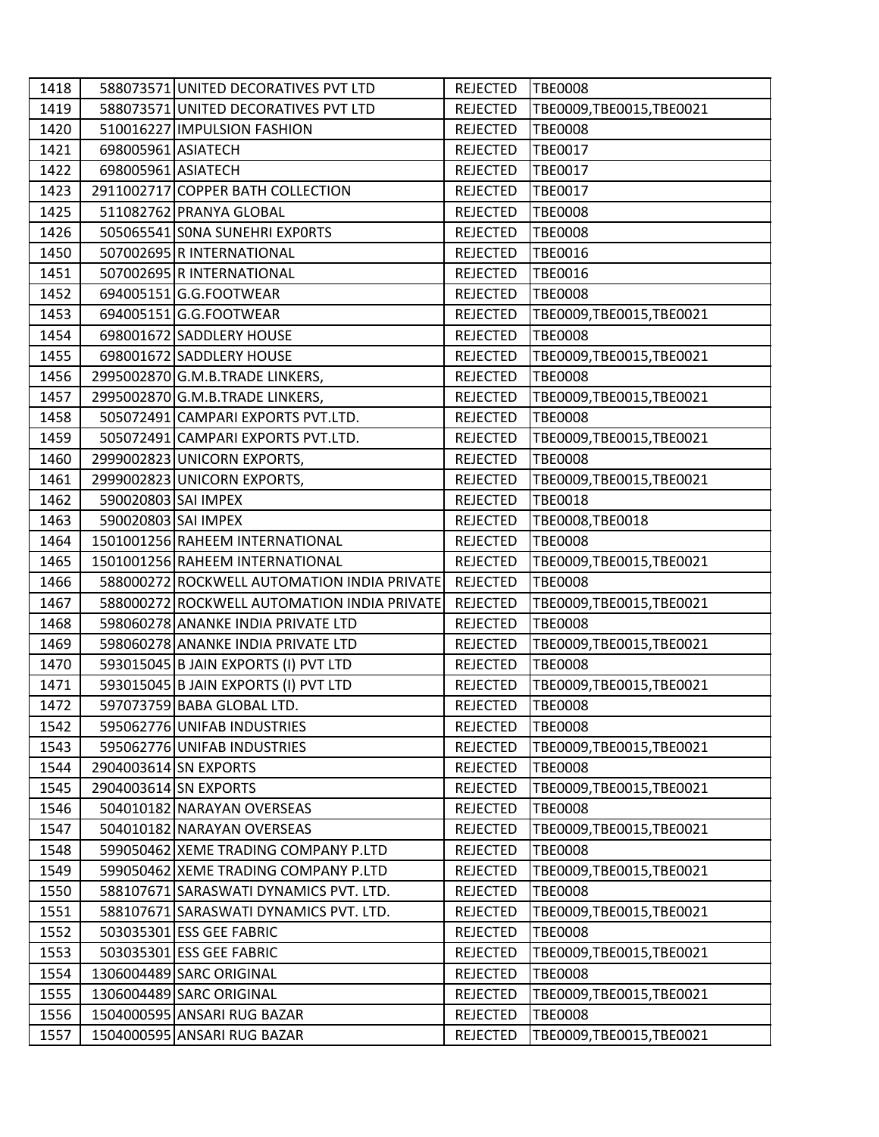| 1418 |                     | 588073571 UNITED DECORATIVES PVT LTD        | REJECTED        | <b>TBE0008</b>            |
|------|---------------------|---------------------------------------------|-----------------|---------------------------|
| 1419 |                     | 588073571 UNITED DECORATIVES PVT LTD        | REJECTED        | TBE0009,TBE0015,TBE0021   |
| 1420 |                     | 510016227 IMPULSION FASHION                 | REJECTED        | <b>TBE0008</b>            |
| 1421 | 698005961 ASIATECH  |                                             | <b>REJECTED</b> | <b>TBE0017</b>            |
| 1422 | 698005961 ASIATECH  |                                             | <b>REJECTED</b> | <b>TBE0017</b>            |
| 1423 |                     | 2911002717 COPPER BATH COLLECTION           | REJECTED        | <b>TBE0017</b>            |
| 1425 |                     | 511082762 PRANYA GLOBAL                     | <b>REJECTED</b> | <b>TBE0008</b>            |
| 1426 |                     | 505065541 SONA SUNEHRI EXPORTS              | REJECTED        | <b>TBE0008</b>            |
| 1450 |                     | 507002695 R INTERNATIONAL                   | <b>REJECTED</b> | <b>TBE0016</b>            |
| 1451 |                     | 507002695 R INTERNATIONAL                   | <b>REJECTED</b> | <b>TBE0016</b>            |
| 1452 |                     | 694005151 G.G.FOOTWEAR                      | REJECTED        | <b>TBE0008</b>            |
| 1453 |                     | 694005151 G.G.FOOTWEAR                      | <b>REJECTED</b> | TBE0009, TBE0015, TBE0021 |
| 1454 |                     | 698001672 SADDLERY HOUSE                    | <b>REJECTED</b> | <b>TBE0008</b>            |
| 1455 |                     | 698001672 SADDLERY HOUSE                    | <b>REJECTED</b> | TBE0009,TBE0015,TBE0021   |
| 1456 |                     | 2995002870 G.M.B.TRADE LINKERS,             | <b>REJECTED</b> | <b>TBE0008</b>            |
| 1457 |                     | 2995002870 G.M.B.TRADE LINKERS,             | REJECTED        | TBE0009, TBE0015, TBE0021 |
| 1458 |                     | 505072491 CAMPARI EXPORTS PVT.LTD.          | <b>REJECTED</b> | <b>TBE0008</b>            |
| 1459 |                     | 505072491 CAMPARI EXPORTS PVT.LTD.          | <b>REJECTED</b> | TBE0009,TBE0015,TBE0021   |
| 1460 |                     | 2999002823 UNICORN EXPORTS,                 | <b>REJECTED</b> | <b>TBE0008</b>            |
| 1461 |                     | 2999002823 UNICORN EXPORTS,                 | <b>REJECTED</b> | TBE0009,TBE0015,TBE0021   |
| 1462 | 590020803 SAI IMPEX |                                             | REJECTED        | <b>TBE0018</b>            |
| 1463 | 590020803 SAI IMPEX |                                             | <b>REJECTED</b> | TBE0008, TBE0018          |
| 1464 |                     | 1501001256 RAHEEM INTERNATIONAL             | <b>REJECTED</b> | <b>TBE0008</b>            |
| 1465 |                     | 1501001256 RAHEEM INTERNATIONAL             | <b>REJECTED</b> | TBE0009, TBE0015, TBE0021 |
| 1466 |                     | 588000272 ROCKWELL AUTOMATION INDIA PRIVATE | <b>REJECTED</b> | <b>TBE0008</b>            |
| 1467 |                     | 588000272 ROCKWELL AUTOMATION INDIA PRIVATE | <b>REJECTED</b> | TBE0009, TBE0015, TBE0021 |
| 1468 |                     | 598060278 ANANKE INDIA PRIVATE LTD          | <b>REJECTED</b> | <b>TBE0008</b>            |
| 1469 |                     | 598060278 ANANKE INDIA PRIVATE LTD          | <b>REJECTED</b> | TBE0009,TBE0015,TBE0021   |
| 1470 |                     | 593015045 B JAIN EXPORTS (I) PVT LTD        | REJECTED        | <b>TBE0008</b>            |
| 1471 |                     | 593015045 B JAIN EXPORTS (I) PVT LTD        | <b>REJECTED</b> | TBE0009,TBE0015,TBE0021   |
| 1472 |                     | 597073759 BABA GLOBAL LTD.                  | <b>REJECTED</b> | <b>TBE0008</b>            |
| 1542 |                     | 595062776 UNIFAB INDUSTRIES                 | <b>REJECTED</b> | <b>TBE0008</b>            |
| 1543 |                     | 595062776 UNIFAB INDUSTRIES                 | <b>REJECTED</b> | TBE0009,TBE0015,TBE0021   |
| 1544 |                     | 2904003614 SN EXPORTS                       | REJECTED        | <b>TBE0008</b>            |
| 1545 |                     | 2904003614 SN EXPORTS                       | <b>REJECTED</b> | TBE0009, TBE0015, TBE0021 |
| 1546 |                     | 504010182 NARAYAN OVERSEAS                  | <b>REJECTED</b> | <b>TBE0008</b>            |
| 1547 |                     | 504010182 NARAYAN OVERSEAS                  | <b>REJECTED</b> | TBE0009, TBE0015, TBE0021 |
| 1548 |                     | 599050462 XEME TRADING COMPANY P.LTD        | <b>REJECTED</b> | <b>TBE0008</b>            |
| 1549 |                     | 599050462 XEME TRADING COMPANY P.LTD        | <b>REJECTED</b> | TBE0009,TBE0015,TBE0021   |
| 1550 |                     | 588107671 SARASWATI DYNAMICS PVT. LTD.      | <b>REJECTED</b> | <b>TBE0008</b>            |
| 1551 |                     | 588107671 SARASWATI DYNAMICS PVT. LTD.      | <b>REJECTED</b> | TBE0009, TBE0015, TBE0021 |
| 1552 |                     | 503035301 ESS GEE FABRIC                    | <b>REJECTED</b> | <b>TBE0008</b>            |
| 1553 |                     | 503035301 ESS GEE FABRIC                    | <b>REJECTED</b> | TBE0009, TBE0015, TBE0021 |
| 1554 |                     | 1306004489 SARC ORIGINAL                    | <b>REJECTED</b> | <b>TBE0008</b>            |
| 1555 |                     | 1306004489 SARC ORIGINAL                    | <b>REJECTED</b> | TBE0009, TBE0015, TBE0021 |
| 1556 |                     | 1504000595 ANSARI RUG BAZAR                 | <b>REJECTED</b> | <b>TBE0008</b>            |
| 1557 |                     | 1504000595 ANSARI RUG BAZAR                 | <b>REJECTED</b> | TBE0009,TBE0015,TBE0021   |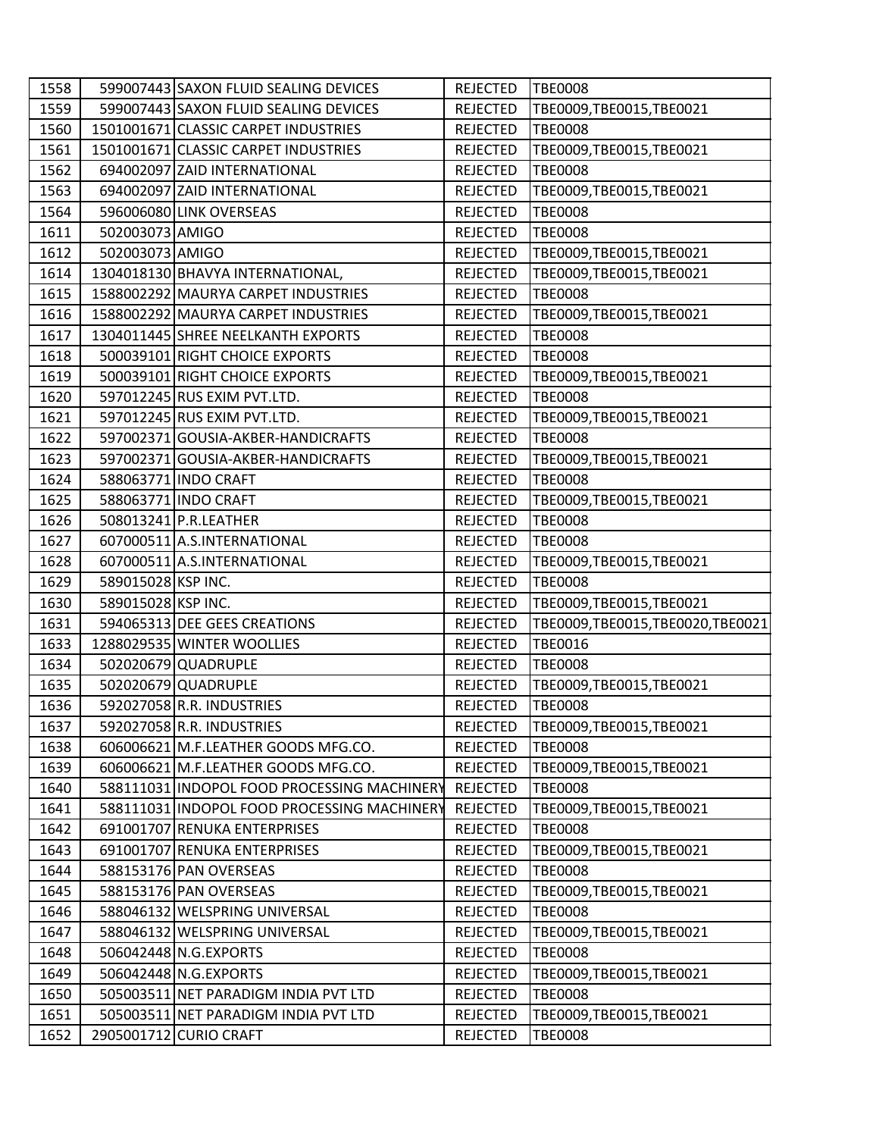| 1558 |                    | 599007443 SAXON FLUID SEALING DEVICES       | <b>REJECTED</b> | <b>TBE0008</b>                  |
|------|--------------------|---------------------------------------------|-----------------|---------------------------------|
| 1559 |                    | 599007443 SAXON FLUID SEALING DEVICES       | <b>REJECTED</b> | TBE0009, TBE0015, TBE0021       |
| 1560 |                    | 1501001671 CLASSIC CARPET INDUSTRIES        | <b>REJECTED</b> | <b>TBE0008</b>                  |
| 1561 |                    | 1501001671 CLASSIC CARPET INDUSTRIES        | <b>REJECTED</b> | TBE0009,TBE0015,TBE0021         |
| 1562 |                    | 694002097 ZAID INTERNATIONAL                | <b>REJECTED</b> | <b>TBE0008</b>                  |
| 1563 |                    | 694002097 ZAID INTERNATIONAL                | <b>REJECTED</b> | TBE0009,TBE0015,TBE0021         |
| 1564 |                    | 596006080 LINK OVERSEAS                     | <b>REJECTED</b> | <b>TBE0008</b>                  |
| 1611 | 502003073 AMIGO    |                                             | <b>REJECTED</b> | <b>TBE0008</b>                  |
| 1612 | 502003073 AMIGO    |                                             | <b>REJECTED</b> | TBE0009, TBE0015, TBE0021       |
| 1614 |                    | 1304018130 BHAVYA INTERNATIONAL,            | <b>REJECTED</b> | TBE0009,TBE0015,TBE0021         |
| 1615 |                    | 1588002292 MAURYA CARPET INDUSTRIES         | <b>REJECTED</b> | <b>TBE0008</b>                  |
| 1616 |                    | 1588002292 MAURYA CARPET INDUSTRIES         | <b>REJECTED</b> | TBE0009,TBE0015,TBE0021         |
| 1617 |                    | 1304011445 SHREE NEELKANTH EXPORTS          | <b>REJECTED</b> | <b>TBE0008</b>                  |
| 1618 |                    | 500039101 RIGHT CHOICE EXPORTS              | <b>REJECTED</b> | <b>TBE0008</b>                  |
| 1619 |                    | 500039101 RIGHT CHOICE EXPORTS              | <b>REJECTED</b> | TBE0009,TBE0015,TBE0021         |
| 1620 |                    | 597012245 RUS EXIM PVT.LTD.                 | <b>REJECTED</b> | <b>TBE0008</b>                  |
| 1621 |                    | 597012245 RUS EXIM PVT.LTD.                 | <b>REJECTED</b> | TBE0009,TBE0015,TBE0021         |
| 1622 |                    | 597002371 GOUSIA-AKBER-HANDICRAFTS          | <b>REJECTED</b> | <b>TBE0008</b>                  |
| 1623 |                    | 597002371 GOUSIA-AKBER-HANDICRAFTS          | <b>REJECTED</b> | TBE0009, TBE0015, TBE0021       |
| 1624 |                    | 588063771 INDO CRAFT                        | <b>REJECTED</b> | <b>TBE0008</b>                  |
| 1625 |                    | 588063771 INDO CRAFT                        | <b>REJECTED</b> | TBE0009, TBE0015, TBE0021       |
| 1626 |                    | 508013241 P.R.LEATHER                       | <b>REJECTED</b> | <b>TBE0008</b>                  |
| 1627 |                    | 607000511 A.S.INTERNATIONAL                 | <b>REJECTED</b> | <b>TBE0008</b>                  |
| 1628 |                    | 607000511 A.S.INTERNATIONAL                 | <b>REJECTED</b> | TBE0009,TBE0015,TBE0021         |
| 1629 | 589015028 KSP INC. |                                             | <b>REJECTED</b> | <b>TBE0008</b>                  |
| 1630 | 589015028 KSP INC. |                                             | <b>REJECTED</b> | TBE0009,TBE0015,TBE0021         |
| 1631 |                    | 594065313 DEE GEES CREATIONS                | <b>REJECTED</b> | TBE0009,TBE0015,TBE0020,TBE0021 |
| 1633 |                    | 1288029535 WINTER WOOLLIES                  | <b>REJECTED</b> | <b>TBE0016</b>                  |
| 1634 |                    | 502020679 QUADRUPLE                         | <b>REJECTED</b> | <b>TBE0008</b>                  |
| 1635 |                    | 502020679 QUADRUPLE                         | <b>REJECTED</b> | TBE0009, TBE0015, TBE0021       |
| 1636 |                    | 592027058 R.R. INDUSTRIES                   | <b>REJECTED</b> | <b>TBE0008</b>                  |
| 1637 |                    | 592027058 R.R. INDUSTRIES                   | <b>REJECTED</b> | TBE0009,TBE0015,TBE0021         |
| 1638 |                    | 606006621 M.F.LEATHER GOODS MFG.CO.         | <b>REJECTED</b> | <b>TBE0008</b>                  |
| 1639 |                    | 606006621 M.F.LEATHER GOODS MFG.CO.         | <b>REJECTED</b> | TBE0009,TBE0015,TBE0021         |
| 1640 |                    | 588111031 INDOPOL FOOD PROCESSING MACHINERY | <b>REJECTED</b> | <b>TBE0008</b>                  |
| 1641 |                    | 588111031 INDOPOL FOOD PROCESSING MACHINERY | <b>REJECTED</b> | TBE0009,TBE0015,TBE0021         |
| 1642 |                    | 691001707 RENUKA ENTERPRISES                | <b>REJECTED</b> | <b>TBE0008</b>                  |
| 1643 |                    | 691001707 RENUKA ENTERPRISES                | <b>REJECTED</b> | TBE0009,TBE0015,TBE0021         |
| 1644 |                    | 588153176 PAN OVERSEAS                      | <b>REJECTED</b> | <b>TBE0008</b>                  |
| 1645 |                    | 588153176 PAN OVERSEAS                      | <b>REJECTED</b> | TBE0009, TBE0015, TBE0021       |
| 1646 |                    | 588046132 WELSPRING UNIVERSAL               | <b>REJECTED</b> | <b>TBE0008</b>                  |
| 1647 |                    | 588046132 WELSPRING UNIVERSAL               | <b>REJECTED</b> | TBE0009, TBE0015, TBE0021       |
| 1648 |                    | 506042448 N.G. EXPORTS                      | <b>REJECTED</b> | <b>TBE0008</b>                  |
| 1649 |                    | 506042448 N.G. EXPORTS                      | <b>REJECTED</b> | TBE0009, TBE0015, TBE0021       |
| 1650 |                    | 505003511 NET PARADIGM INDIA PVT LTD        | <b>REJECTED</b> | <b>TBE0008</b>                  |
| 1651 |                    | 505003511 NET PARADIGM INDIA PVT LTD        | <b>REJECTED</b> | TBE0009, TBE0015, TBE0021       |
| 1652 |                    | 2905001712 CURIO CRAFT                      | <b>REJECTED</b> | <b>TBE0008</b>                  |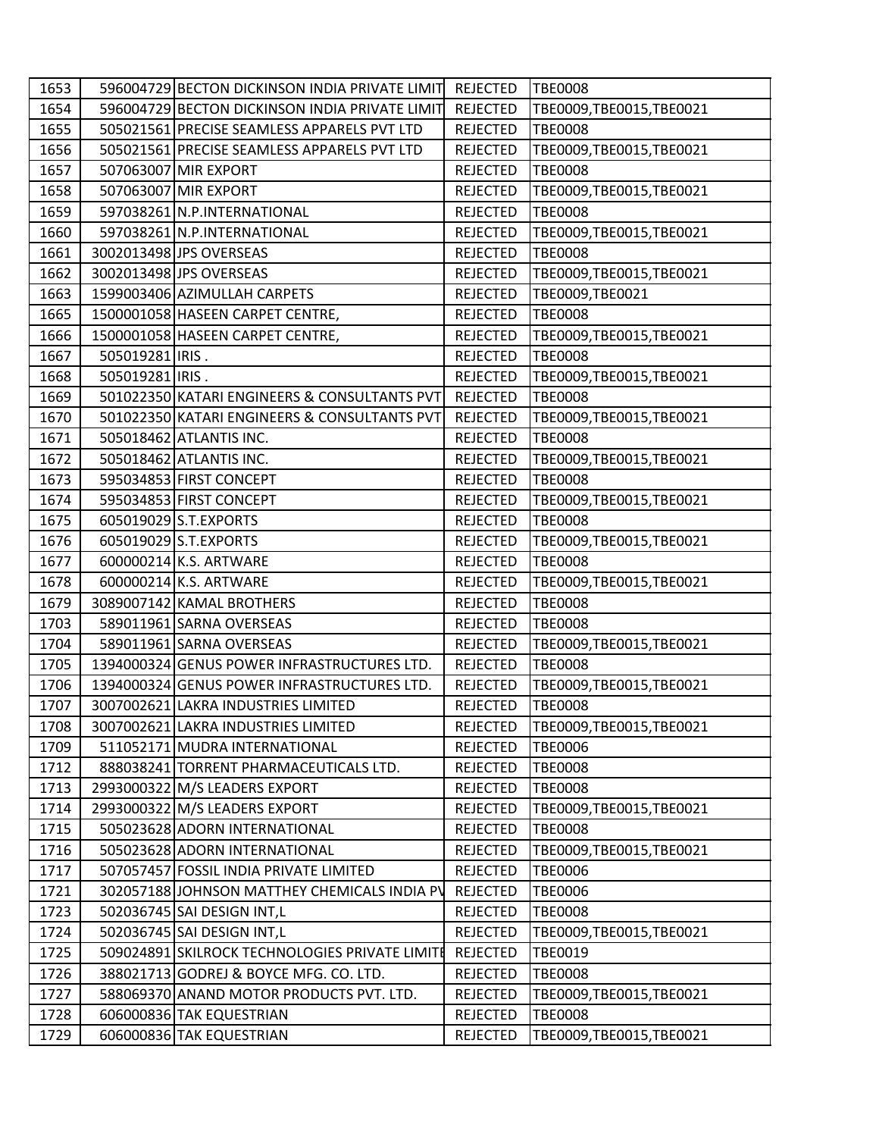| 1653 |                 | 596004729 BECTON DICKINSON INDIA PRIVATE LIMIT | <b>REJECTED</b> | <b>TBE0008</b>            |
|------|-----------------|------------------------------------------------|-----------------|---------------------------|
| 1654 |                 | 596004729 BECTON DICKINSON INDIA PRIVATE LIMIT | REJECTED        | TBE0009,TBE0015,TBE0021   |
| 1655 |                 | 505021561 PRECISE SEAMLESS APPARELS PVT LTD    | <b>REJECTED</b> | <b>TBE0008</b>            |
| 1656 |                 | 505021561 PRECISE SEAMLESS APPARELS PVT LTD    | <b>REJECTED</b> | TBE0009, TBE0015, TBE0021 |
| 1657 |                 | 507063007 MIR EXPORT                           | <b>REJECTED</b> | <b>TBE0008</b>            |
| 1658 |                 | 507063007 MIR EXPORT                           | <b>REJECTED</b> | TBE0009, TBE0015, TBE0021 |
| 1659 |                 | 597038261 N.P.INTERNATIONAL                    | <b>REJECTED</b> | <b>TBE0008</b>            |
| 1660 |                 | 597038261 N.P.INTERNATIONAL                    | <b>REJECTED</b> | TBE0009, TBE0015, TBE0021 |
| 1661 |                 | 3002013498 JPS OVERSEAS                        | <b>REJECTED</b> | <b>TBE0008</b>            |
| 1662 |                 | 3002013498 JPS OVERSEAS                        | <b>REJECTED</b> | TBE0009,TBE0015,TBE0021   |
| 1663 |                 | 1599003406 AZIMULLAH CARPETS                   | <b>REJECTED</b> | TBE0009, TBE0021          |
| 1665 |                 | 1500001058 HASEEN CARPET CENTRE,               | <b>REJECTED</b> | <b>TBE0008</b>            |
| 1666 |                 | 1500001058 HASEEN CARPET CENTRE,               | <b>REJECTED</b> | TBE0009, TBE0015, TBE0021 |
| 1667 | 505019281 IRIS. |                                                | <b>REJECTED</b> | <b>TBE0008</b>            |
| 1668 | 505019281 IRIS. |                                                | <b>REJECTED</b> | TBE0009,TBE0015,TBE0021   |
| 1669 |                 | 501022350 KATARI ENGINEERS & CONSULTANTS PVT   | REJECTED        | <b>TBE0008</b>            |
| 1670 |                 | 501022350 KATARI ENGINEERS & CONSULTANTS PVT   | <b>REJECTED</b> | TBE0009, TBE0015, TBE0021 |
| 1671 |                 | 505018462 ATLANTIS INC.                        | <b>REJECTED</b> | <b>TBE0008</b>            |
| 1672 |                 | 505018462 ATLANTIS INC.                        | <b>REJECTED</b> | TBE0009,TBE0015,TBE0021   |
| 1673 |                 | 595034853 FIRST CONCEPT                        | <b>REJECTED</b> | <b>TBE0008</b>            |
| 1674 |                 | 595034853 FIRST CONCEPT                        | <b>REJECTED</b> | TBE0009, TBE0015, TBE0021 |
| 1675 |                 | 605019029 S.T.EXPORTS                          | <b>REJECTED</b> | <b>TBE0008</b>            |
| 1676 |                 | 605019029 S.T. EXPORTS                         | <b>REJECTED</b> | TBE0009, TBE0015, TBE0021 |
| 1677 |                 | 600000214 K.S. ARTWARE                         | <b>REJECTED</b> | <b>TBE0008</b>            |
| 1678 |                 | 600000214 K.S. ARTWARE                         | <b>REJECTED</b> | TBE0009,TBE0015,TBE0021   |
| 1679 |                 | 3089007142 KAMAL BROTHERS                      | <b>REJECTED</b> | <b>TBE0008</b>            |
| 1703 |                 | 589011961 SARNA OVERSEAS                       | <b>REJECTED</b> | <b>TBE0008</b>            |
| 1704 |                 | 589011961 SARNA OVERSEAS                       | <b>REJECTED</b> | TBE0009, TBE0015, TBE0021 |
| 1705 |                 | 1394000324 GENUS POWER INFRASTRUCTURES LTD.    | <b>REJECTED</b> | <b>TBE0008</b>            |
| 1706 |                 | 1394000324 GENUS POWER INFRASTRUCTURES LTD.    | <b>REJECTED</b> | TBE0009,TBE0015,TBE0021   |
| 1707 |                 | 3007002621 LAKRA INDUSTRIES LIMITED            | <b>REJECTED</b> | <b>TBE0008</b>            |
| 1708 |                 | 3007002621 LAKRA INDUSTRIES LIMITED            | <b>REJECTED</b> | TBE0009,TBE0015,TBE0021   |
| 1709 |                 | 511052171 MUDRA INTERNATIONAL                  | <b>REJECTED</b> | <b>TBE0006</b>            |
| 1712 |                 | 888038241 TORRENT PHARMACEUTICALS LTD.         | <b>REJECTED</b> | <b>TBE0008</b>            |
| 1713 |                 | 2993000322 M/S LEADERS EXPORT                  | <b>REJECTED</b> | <b>TBE0008</b>            |
| 1714 |                 | 2993000322 M/S LEADERS EXPORT                  | <b>REJECTED</b> | TBE0009, TBE0015, TBE0021 |
| 1715 |                 | 505023628 ADORN INTERNATIONAL                  | <b>REJECTED</b> | <b>TBE0008</b>            |
| 1716 |                 | 505023628 ADORN INTERNATIONAL                  | <b>REJECTED</b> | TBE0009,TBE0015,TBE0021   |
| 1717 |                 | 507057457 FOSSIL INDIA PRIVATE LIMITED         | <b>REJECTED</b> | <b>TBE0006</b>            |
| 1721 |                 | 302057188 JOHNSON MATTHEY CHEMICALS INDIA PV   | <b>REJECTED</b> | <b>TBE0006</b>            |
| 1723 |                 | 502036745 SAI DESIGN INT,L                     | <b>REJECTED</b> | <b>TBE0008</b>            |
| 1724 |                 | 502036745 SAI DESIGN INT,L                     | <b>REJECTED</b> | TBE0009, TBE0015, TBE0021 |
| 1725 |                 | 509024891 SKILROCK TECHNOLOGIES PRIVATE LIMITE | <b>REJECTED</b> | TBE0019                   |
| 1726 |                 | 388021713 GODREJ & BOYCE MFG. CO. LTD.         | <b>REJECTED</b> | <b>TBE0008</b>            |
| 1727 |                 | 588069370 ANAND MOTOR PRODUCTS PVT. LTD.       | <b>REJECTED</b> | TBE0009, TBE0015, TBE0021 |
| 1728 |                 | 606000836 TAK EQUESTRIAN                       | <b>REJECTED</b> | <b>TBE0008</b>            |
| 1729 |                 | 606000836 TAK EQUESTRIAN                       | <b>REJECTED</b> | TBE0009, TBE0015, TBE0021 |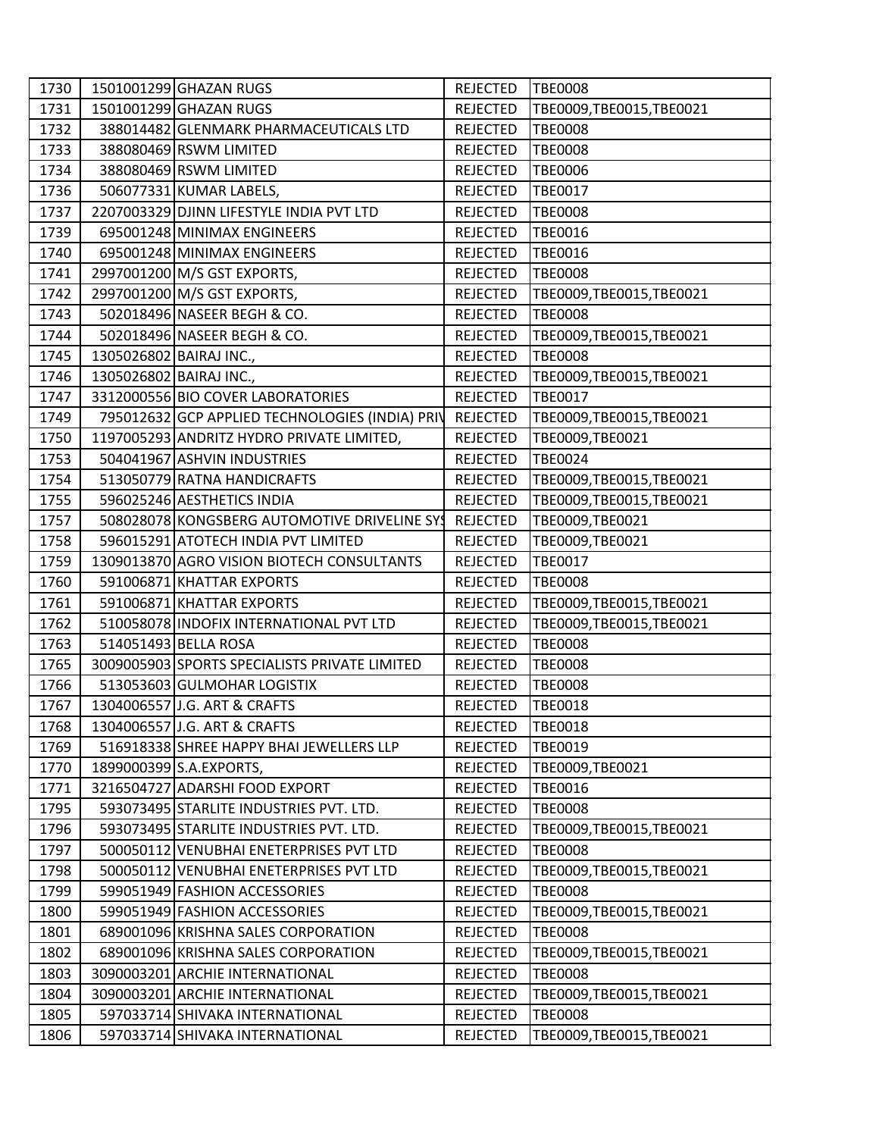| 1730 |                         | 1501001299 GHAZAN RUGS                                   | REJECTED        | <b>TBE0008</b>            |
|------|-------------------------|----------------------------------------------------------|-----------------|---------------------------|
| 1731 |                         | 1501001299 GHAZAN RUGS                                   | REJECTED        | TBE0009, TBE0015, TBE0021 |
| 1732 |                         | 388014482 GLENMARK PHARMACEUTICALS LTD                   | <b>REJECTED</b> | <b>TBE0008</b>            |
| 1733 |                         | 388080469 RSWM LIMITED                                   | <b>REJECTED</b> | <b>TBE0008</b>            |
| 1734 |                         | 388080469 RSWM LIMITED                                   | REJECTED        | <b>TBE0006</b>            |
| 1736 |                         | 506077331 KUMAR LABELS,                                  | <b>REJECTED</b> | <b>TBE0017</b>            |
| 1737 |                         | 2207003329 DJINN LIFESTYLE INDIA PVT LTD                 | REJECTED        | <b>TBE0008</b>            |
| 1739 |                         | 695001248 MINIMAX ENGINEERS                              | REJECTED        | <b>TBE0016</b>            |
| 1740 |                         | 695001248 MINIMAX ENGINEERS                              | <b>REJECTED</b> | <b>TBE0016</b>            |
| 1741 |                         | 2997001200 M/S GST EXPORTS,                              | REJECTED        | <b>TBE0008</b>            |
| 1742 |                         | 2997001200 M/S GST EXPORTS,                              | <b>REJECTED</b> | TBE0009, TBE0015, TBE0021 |
| 1743 |                         | 502018496 NASEER BEGH & CO.                              | REJECTED        | <b>TBE0008</b>            |
| 1744 |                         | 502018496 NASEER BEGH & CO.                              | REJECTED        | TBE0009, TBE0015, TBE0021 |
| 1745 |                         | 1305026802 BAIRAJ INC.,                                  | <b>REJECTED</b> | <b>TBE0008</b>            |
| 1746 | 1305026802 BAIRAJ INC., |                                                          | <b>REJECTED</b> | TBE0009,TBE0015,TBE0021   |
| 1747 |                         | 3312000556 BIO COVER LABORATORIES                        | <b>REJECTED</b> | <b>TBE0017</b>            |
| 1749 |                         | 795012632 GCP APPLIED TECHNOLOGIES (INDIA) PRIV REJECTED |                 | TBE0009,TBE0015,TBE0021   |
| 1750 |                         | 1197005293 ANDRITZ HYDRO PRIVATE LIMITED,                | <b>REJECTED</b> | TBE0009,TBE0021           |
| 1753 |                         | 504041967 ASHVIN INDUSTRIES                              | <b>REJECTED</b> | <b>TBE0024</b>            |
| 1754 |                         | 513050779 RATNA HANDICRAFTS                              | REJECTED        | TBE0009, TBE0015, TBE0021 |
| 1755 |                         | 596025246 AESTHETICS INDIA                               | REJECTED        | TBE0009, TBE0015, TBE0021 |
| 1757 |                         | 508028078 KONGSBERG AUTOMOTIVE DRIVELINE SYS             | REJECTED        | TBE0009,TBE0021           |
| 1758 |                         | 596015291 ATOTECH INDIA PVT LIMITED                      | <b>REJECTED</b> | TBE0009, TBE0021          |
| 1759 |                         | 1309013870 AGRO VISION BIOTECH CONSULTANTS               | <b>REJECTED</b> | <b>TBE0017</b>            |
| 1760 |                         | 591006871 KHATTAR EXPORTS                                | <b>REJECTED</b> | <b>TBE0008</b>            |
| 1761 |                         | 591006871 KHATTAR EXPORTS                                | REJECTED        | TBE0009,TBE0015,TBE0021   |
| 1762 |                         | 510058078 INDOFIX INTERNATIONAL PVT LTD                  | <b>REJECTED</b> | TBE0009, TBE0015, TBE0021 |
| 1763 |                         | 514051493 BELLA ROSA                                     | <b>REJECTED</b> | <b>TBE0008</b>            |
| 1765 |                         | 3009005903 SPORTS SPECIALISTS PRIVATE LIMITED            | <b>REJECTED</b> | <b>TBE0008</b>            |
| 1766 |                         | 513053603 GULMOHAR LOGISTIX                              | <b>REJECTED</b> | <b>TBE0008</b>            |
| 1767 |                         | 1304006557 J.G. ART & CRAFTS                             | <b>REJECTED</b> | <b>TBE0018</b>            |
| 1768 |                         | 1304006557 J.G. ART & CRAFTS                             | <b>REJECTED</b> | <b>TBE0018</b>            |
| 1769 |                         | 516918338 SHREE HAPPY BHAI JEWELLERS LLP                 | <b>REJECTED</b> | TBE0019                   |
| 1770 |                         | 1899000399 S.A. EXPORTS,                                 | <b>REJECTED</b> | TBE0009,TBE0021           |
| 1771 |                         | 3216504727 ADARSHI FOOD EXPORT                           | <b>REJECTED</b> | <b>TBE0016</b>            |
| 1795 |                         | 593073495 STARLITE INDUSTRIES PVT. LTD.                  | <b>REJECTED</b> | <b>TBE0008</b>            |
| 1796 |                         | 593073495 STARLITE INDUSTRIES PVT. LTD.                  | <b>REJECTED</b> | TBE0009, TBE0015, TBE0021 |
| 1797 |                         | 500050112 VENUBHAI ENETERPRISES PVT LTD                  | <b>REJECTED</b> | <b>TBE0008</b>            |
| 1798 |                         | 500050112 VENUBHAI ENETERPRISES PVT LTD                  | <b>REJECTED</b> | TBE0009, TBE0015, TBE0021 |
| 1799 |                         | 599051949 FASHION ACCESSORIES                            | <b>REJECTED</b> | <b>TBE0008</b>            |
| 1800 |                         | 599051949 FASHION ACCESSORIES                            | <b>REJECTED</b> | TBE0009, TBE0015, TBE0021 |
| 1801 |                         | 689001096 KRISHNA SALES CORPORATION                      | <b>REJECTED</b> | <b>TBE0008</b>            |
| 1802 |                         | 689001096 KRISHNA SALES CORPORATION                      | <b>REJECTED</b> | TBE0009, TBE0015, TBE0021 |
| 1803 |                         | 3090003201 ARCHIE INTERNATIONAL                          | <b>REJECTED</b> | <b>TBE0008</b>            |
| 1804 |                         | 3090003201 ARCHIE INTERNATIONAL                          | <b>REJECTED</b> | TBE0009, TBE0015, TBE0021 |
| 1805 |                         | 597033714 SHIVAKA INTERNATIONAL                          | <b>REJECTED</b> | <b>TBE0008</b>            |
| 1806 |                         | 597033714 SHIVAKA INTERNATIONAL                          | <b>REJECTED</b> | TBE0009,TBE0015,TBE0021   |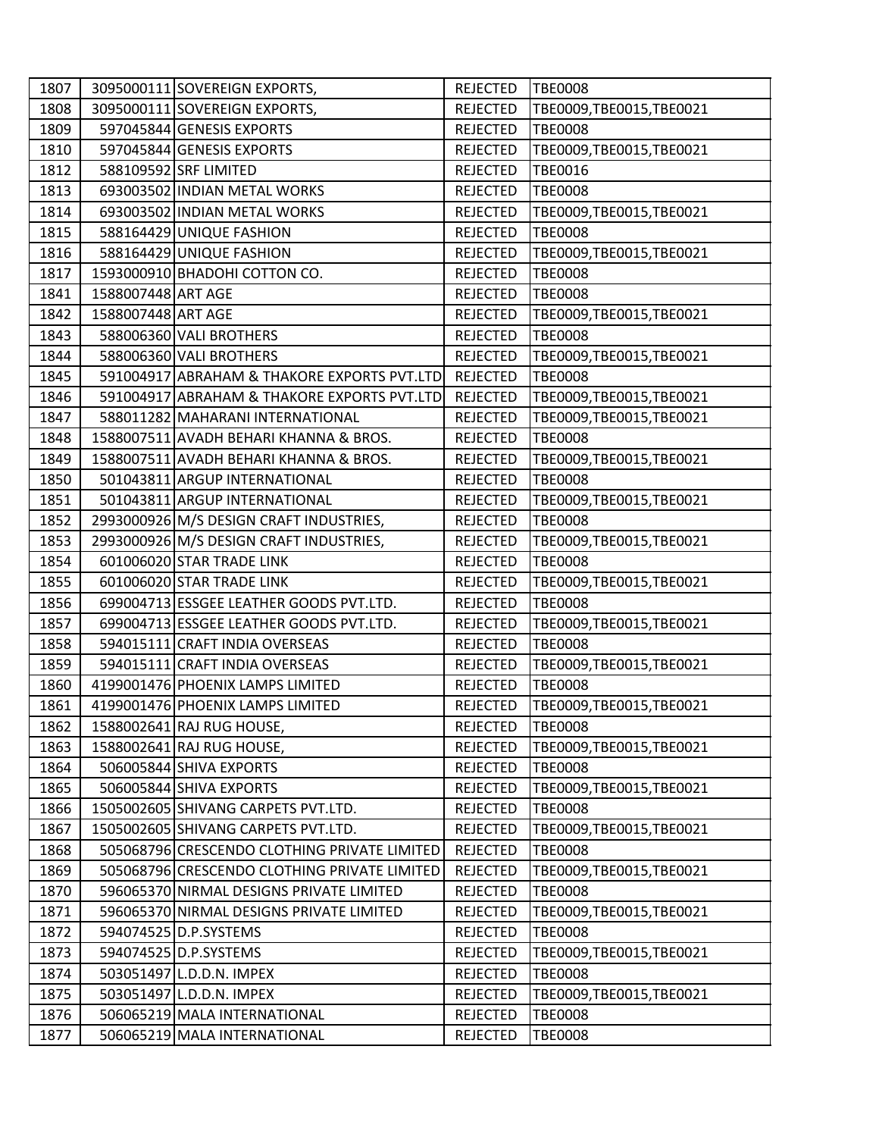| 1807 |                    | 3095000111 SOVEREIGN EXPORTS,                | REJECTED        | <b>TBE0008</b>            |
|------|--------------------|----------------------------------------------|-----------------|---------------------------|
| 1808 |                    | 3095000111 SOVEREIGN EXPORTS,                | REJECTED        | TBE0009, TBE0015, TBE0021 |
| 1809 |                    | 597045844 GENESIS EXPORTS                    | <b>REJECTED</b> | <b>TBE0008</b>            |
| 1810 |                    | 597045844 GENESIS EXPORTS                    | <b>REJECTED</b> | TBE0009, TBE0015, TBE0021 |
| 1812 |                    | 588109592 SRF LIMITED                        | <b>REJECTED</b> | <b>TBE0016</b>            |
| 1813 |                    | 693003502 INDIAN METAL WORKS                 | <b>REJECTED</b> | <b>TBE0008</b>            |
| 1814 |                    | 693003502 INDIAN METAL WORKS                 | <b>REJECTED</b> | TBE0009,TBE0015,TBE0021   |
| 1815 |                    | 588164429 UNIQUE FASHION                     | <b>REJECTED</b> | <b>TBE0008</b>            |
| 1816 |                    | 588164429 UNIQUE FASHION                     | <b>REJECTED</b> | TBE0009,TBE0015,TBE0021   |
| 1817 |                    | 1593000910 BHADOHI COTTON CO.                | <b>REJECTED</b> | <b>TBE0008</b>            |
| 1841 | 1588007448 ART AGE |                                              | REJECTED        | <b>TBE0008</b>            |
| 1842 | 1588007448 ART AGE |                                              | <b>REJECTED</b> | TBE0009, TBE0015, TBE0021 |
| 1843 |                    | 588006360 VALI BROTHERS                      | <b>REJECTED</b> | <b>TBE0008</b>            |
| 1844 |                    | 588006360 VALI BROTHERS                      | <b>REJECTED</b> | TBE0009, TBE0015, TBE0021 |
| 1845 |                    | 591004917 ABRAHAM & THAKORE EXPORTS PVT.LTD  | <b>REJECTED</b> | <b>TBE0008</b>            |
| 1846 |                    | 591004917 ABRAHAM & THAKORE EXPORTS PVT.LTD. | <b>REJECTED</b> | TBE0009, TBE0015, TBE0021 |
| 1847 |                    | 588011282 MAHARANI INTERNATIONAL             | <b>REJECTED</b> | TBE0009, TBE0015, TBE0021 |
| 1848 |                    | 1588007511 AVADH BEHARI KHANNA & BROS.       | <b>REJECTED</b> | <b>TBE0008</b>            |
| 1849 |                    | 1588007511 AVADH BEHARI KHANNA & BROS.       | <b>REJECTED</b> | TBE0009, TBE0015, TBE0021 |
| 1850 |                    | 501043811 ARGUP INTERNATIONAL                | <b>REJECTED</b> | <b>TBE0008</b>            |
| 1851 |                    | 501043811 ARGUP INTERNATIONAL                | <b>REJECTED</b> | TBE0009, TBE0015, TBE0021 |
| 1852 |                    | 2993000926 M/S DESIGN CRAFT INDUSTRIES,      | <b>REJECTED</b> | <b>TBE0008</b>            |
| 1853 |                    | 2993000926 M/S DESIGN CRAFT INDUSTRIES,      | <b>REJECTED</b> | TBE0009, TBE0015, TBE0021 |
| 1854 |                    | 601006020 STAR TRADE LINK                    | <b>REJECTED</b> | <b>TBE0008</b>            |
| 1855 |                    | 601006020 STAR TRADE LINK                    | <b>REJECTED</b> | TBE0009,TBE0015,TBE0021   |
| 1856 |                    | 699004713 ESSGEE LEATHER GOODS PVT.LTD.      | <b>REJECTED</b> | <b>TBE0008</b>            |
| 1857 |                    | 699004713 ESSGEE LEATHER GOODS PVT.LTD.      | <b>REJECTED</b> | TBE0009, TBE0015, TBE0021 |
| 1858 |                    | 594015111 CRAFT INDIA OVERSEAS               | <b>REJECTED</b> | <b>TBE0008</b>            |
| 1859 |                    | 594015111 CRAFT INDIA OVERSEAS               | <b>REJECTED</b> | TBE0009, TBE0015, TBE0021 |
| 1860 |                    | 4199001476 PHOENIX LAMPS LIMITED             | <b>REJECTED</b> | <b>TBE0008</b>            |
| 1861 |                    | 4199001476 PHOENIX LAMPS LIMITED             | <b>REJECTED</b> | TBE0009,TBE0015,TBE0021   |
| 1862 |                    | 1588002641 RAJ RUG HOUSE,                    | REJECTED        | <b>TBE0008</b>            |
| 1863 |                    | 1588002641 RAJ RUG HOUSE,                    | <b>REJECTED</b> | TBE0009, TBE0015, TBE0021 |
| 1864 |                    | 506005844 SHIVA EXPORTS                      | <b>REJECTED</b> | <b>TBE0008</b>            |
| 1865 |                    | 506005844 SHIVA EXPORTS                      | <b>REJECTED</b> | TBE0009,TBE0015,TBE0021   |
| 1866 |                    | 1505002605 SHIVANG CARPETS PVT.LTD.          | <b>REJECTED</b> | <b>TBE0008</b>            |
| 1867 |                    | 1505002605 SHIVANG CARPETS PVT.LTD.          | <b>REJECTED</b> | TBE0009, TBE0015, TBE0021 |
| 1868 |                    | 505068796 CRESCENDO CLOTHING PRIVATE LIMITED | <b>REJECTED</b> | <b>TBE0008</b>            |
| 1869 |                    | 505068796 CRESCENDO CLOTHING PRIVATE LIMITED | <b>REJECTED</b> | TBE0009, TBE0015, TBE0021 |
| 1870 |                    | 596065370 NIRMAL DESIGNS PRIVATE LIMITED     | <b>REJECTED</b> | <b>TBE0008</b>            |
| 1871 |                    | 596065370 NIRMAL DESIGNS PRIVATE LIMITED     | <b>REJECTED</b> | TBE0009, TBE0015, TBE0021 |
| 1872 |                    | 594074525 D.P.SYSTEMS                        | <b>REJECTED</b> | <b>TBE0008</b>            |
| 1873 |                    | 594074525 D.P.SYSTEMS                        | <b>REJECTED</b> | TBE0009,TBE0015,TBE0021   |
| 1874 |                    | 503051497 L.D.D.N. IMPEX                     | <b>REJECTED</b> | <b>TBE0008</b>            |
| 1875 |                    | 503051497 L.D.D.N. IMPEX                     | <b>REJECTED</b> | TBE0009, TBE0015, TBE0021 |
| 1876 |                    | 506065219 MALA INTERNATIONAL                 | <b>REJECTED</b> | <b>TBE0008</b>            |
| 1877 |                    | 506065219 MALA INTERNATIONAL                 | <b>REJECTED</b> | <b>TBE0008</b>            |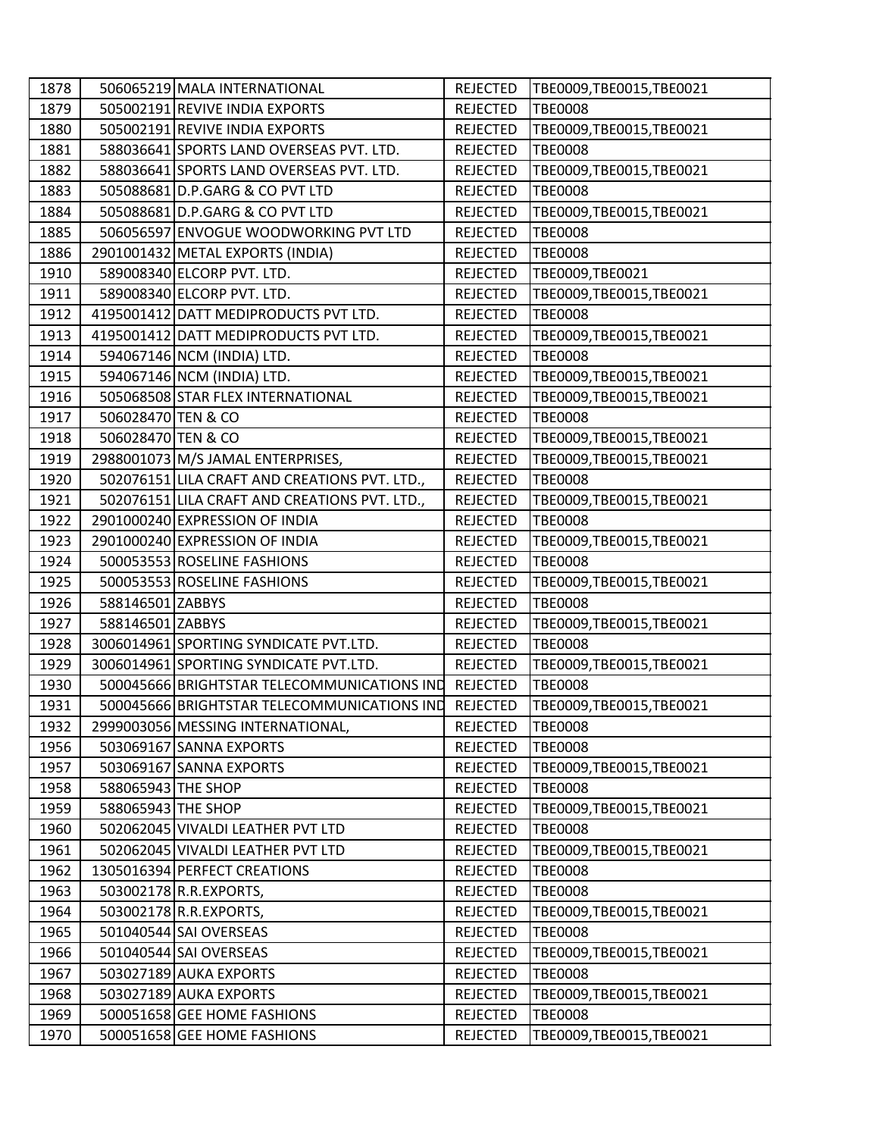| 1878 |                    | 506065219 MALA INTERNATIONAL                  | <b>REJECTED</b> | TBE0009, TBE0015, TBE0021 |
|------|--------------------|-----------------------------------------------|-----------------|---------------------------|
| 1879 |                    | 505002191 REVIVE INDIA EXPORTS                | <b>REJECTED</b> | <b>TBE0008</b>            |
| 1880 |                    | 505002191 REVIVE INDIA EXPORTS                | <b>REJECTED</b> | TBE0009, TBE0015, TBE0021 |
| 1881 |                    | 588036641 SPORTS LAND OVERSEAS PVT. LTD.      | <b>REJECTED</b> | <b>TBE0008</b>            |
| 1882 |                    | 588036641 SPORTS LAND OVERSEAS PVT. LTD.      | <b>REJECTED</b> | TBE0009, TBE0015, TBE0021 |
| 1883 |                    | 505088681 D.P.GARG & CO PVT LTD               | <b>REJECTED</b> | <b>TBE0008</b>            |
| 1884 |                    | 505088681 D.P.GARG & CO PVT LTD               | <b>REJECTED</b> | TBE0009,TBE0015,TBE0021   |
| 1885 |                    | 506056597 ENVOGUE WOODWORKING PVT LTD         | <b>REJECTED</b> | <b>TBE0008</b>            |
| 1886 |                    | 2901001432 METAL EXPORTS (INDIA)              | <b>REJECTED</b> | <b>TBE0008</b>            |
| 1910 |                    | 589008340 ELCORP PVT. LTD.                    | <b>REJECTED</b> | TBE0009, TBE0021          |
| 1911 |                    | 589008340 ELCORP PVT. LTD.                    | <b>REJECTED</b> | TBE0009, TBE0015, TBE0021 |
| 1912 |                    | 4195001412 DATT MEDIPRODUCTS PVT LTD.         | <b>REJECTED</b> | <b>TBE0008</b>            |
| 1913 |                    | 4195001412 DATT MEDIPRODUCTS PVT LTD.         | <b>REJECTED</b> | TBE0009,TBE0015,TBE0021   |
| 1914 |                    | 594067146 NCM (INDIA) LTD.                    | <b>REJECTED</b> | <b>TBE0008</b>            |
| 1915 |                    | 594067146 NCM (INDIA) LTD.                    | <b>REJECTED</b> | TBE0009,TBE0015,TBE0021   |
| 1916 |                    | 505068508 STAR FLEX INTERNATIONAL             | <b>REJECTED</b> | TBE0009, TBE0015, TBE0021 |
| 1917 | 506028470 TEN & CO |                                               | <b>REJECTED</b> | <b>TBE0008</b>            |
| 1918 | 506028470 TEN & CO |                                               | <b>REJECTED</b> | TBE0009,TBE0015,TBE0021   |
| 1919 |                    | 2988001073 M/S JAMAL ENTERPRISES,             | <b>REJECTED</b> | TBE0009, TBE0015, TBE0021 |
| 1920 |                    | 502076151 LILA CRAFT AND CREATIONS PVT. LTD., | <b>REJECTED</b> | <b>TBE0008</b>            |
| 1921 |                    | 502076151 LILA CRAFT AND CREATIONS PVT. LTD., | <b>REJECTED</b> | TBE0009, TBE0015, TBE0021 |
| 1922 |                    | 2901000240 EXPRESSION OF INDIA                | <b>REJECTED</b> | <b>TBE0008</b>            |
| 1923 |                    | 2901000240 EXPRESSION OF INDIA                | <b>REJECTED</b> | TBE0009, TBE0015, TBE0021 |
| 1924 |                    | 500053553 ROSELINE FASHIONS                   | <b>REJECTED</b> | <b>TBE0008</b>            |
| 1925 |                    | 500053553 ROSELINE FASHIONS                   | <b>REJECTED</b> | TBE0009, TBE0015, TBE0021 |
| 1926 | 588146501 ZABBYS   |                                               | <b>REJECTED</b> | <b>TBE0008</b>            |
| 1927 | 588146501 ZABBYS   |                                               | <b>REJECTED</b> | TBE0009, TBE0015, TBE0021 |
| 1928 |                    | 3006014961 SPORTING SYNDICATE PVT.LTD.        | <b>REJECTED</b> | <b>TBE0008</b>            |
| 1929 |                    | 3006014961 SPORTING SYNDICATE PVT.LTD.        | <b>REJECTED</b> | TBE0009, TBE0015, TBE0021 |
| 1930 |                    | 500045666 BRIGHTSTAR TELECOMMUNICATIONS IND   | <b>REJECTED</b> | <b>TBE0008</b>            |
| 1931 |                    | 500045666 BRIGHTSTAR TELECOMMUNICATIONS IND   | <b>REJECTED</b> | TBE0009, TBE0015, TBE0021 |
| 1932 |                    | 2999003056 MESSING INTERNATIONAL,             | <b>REJECTED</b> | <b>TBE0008</b>            |
| 1956 |                    | 503069167 SANNA EXPORTS                       | <b>REJECTED</b> | <b>TBE0008</b>            |
| 1957 |                    | 503069167 SANNA EXPORTS                       | <b>REJECTED</b> | TBE0009, TBE0015, TBE0021 |
| 1958 | 588065943 THE SHOP |                                               | <b>REJECTED</b> | <b>TBE0008</b>            |
| 1959 | 588065943 THE SHOP |                                               | <b>REJECTED</b> | TBE0009,TBE0015,TBE0021   |
| 1960 |                    | 502062045 VIVALDI LEATHER PVT LTD             | <b>REJECTED</b> | <b>TBE0008</b>            |
| 1961 |                    | 502062045 VIVALDI LEATHER PVT LTD             | <b>REJECTED</b> | TBE0009,TBE0015,TBE0021   |
| 1962 |                    | 1305016394 PERFECT CREATIONS                  | <b>REJECTED</b> | <b>TBE0008</b>            |
| 1963 |                    | 503002178 R.R.EXPORTS,                        | <b>REJECTED</b> | <b>TBE0008</b>            |
| 1964 |                    | 503002178 R.R.EXPORTS,                        | <b>REJECTED</b> | TBE0009, TBE0015, TBE0021 |
| 1965 |                    | 501040544 SAI OVERSEAS                        | <b>REJECTED</b> | <b>TBE0008</b>            |
| 1966 |                    | 501040544 SAI OVERSEAS                        | <b>REJECTED</b> | TBE0009, TBE0015, TBE0021 |
| 1967 |                    | 503027189 AUKA EXPORTS                        | <b>REJECTED</b> | <b>TBE0008</b>            |
| 1968 |                    | 503027189 AUKA EXPORTS                        | <b>REJECTED</b> | TBE0009, TBE0015, TBE0021 |
| 1969 |                    | 500051658 GEE HOME FASHIONS                   | <b>REJECTED</b> | <b>TBE0008</b>            |
| 1970 |                    | 500051658 GEE HOME FASHIONS                   | <b>REJECTED</b> | TBE0009, TBE0015, TBE0021 |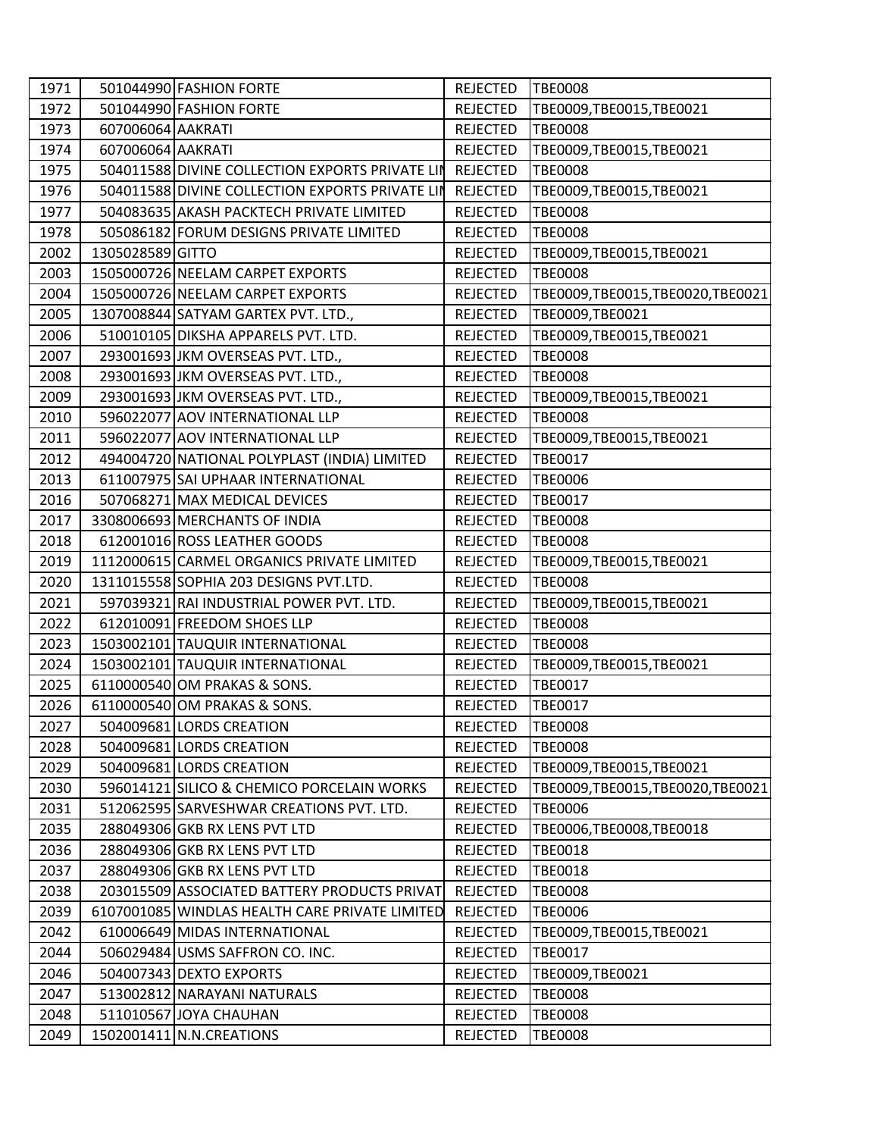| 1971 |                   | 501044990 FASHION FORTE                                  | <b>REJECTED</b> | <b>TBE0008</b>                     |
|------|-------------------|----------------------------------------------------------|-----------------|------------------------------------|
| 1972 |                   | 501044990 FASHION FORTE                                  | <b>REJECTED</b> | TBE0009,TBE0015,TBE0021            |
| 1973 | 607006064 AAKRATI |                                                          | <b>REJECTED</b> | <b>TBE0008</b>                     |
| 1974 | 607006064 AAKRATI |                                                          | <b>REJECTED</b> | TBE0009, TBE0015, TBE0021          |
| 1975 |                   | 504011588 DIVINE COLLECTION EXPORTS PRIVATE LIN REJECTED |                 | <b>TBE0008</b>                     |
| 1976 |                   | 504011588 DIVINE COLLECTION EXPORTS PRIVATE LIN          | <b>REJECTED</b> | TBE0009,TBE0015,TBE0021            |
| 1977 |                   | 504083635 AKASH PACKTECH PRIVATE LIMITED                 | <b>REJECTED</b> | <b>TBE0008</b>                     |
| 1978 |                   | 505086182 FORUM DESIGNS PRIVATE LIMITED                  | <b>REJECTED</b> | <b>TBE0008</b>                     |
| 2002 | 1305028589 GITTO  |                                                          | <b>REJECTED</b> | TBE0009, TBE0015, TBE0021          |
| 2003 |                   | 1505000726 NEELAM CARPET EXPORTS                         | <b>REJECTED</b> | <b>TBE0008</b>                     |
| 2004 |                   | 1505000726 NEELAM CARPET EXPORTS                         | <b>REJECTED</b> | TBE0009, TBE0015, TBE0020, TBE0021 |
| 2005 |                   | 1307008844 SATYAM GARTEX PVT. LTD.,                      | <b>REJECTED</b> | TBE0009,TBE0021                    |
| 2006 |                   | 510010105 DIKSHA APPARELS PVT. LTD.                      | <b>REJECTED</b> | TBE0009,TBE0015,TBE0021            |
| 2007 |                   | 293001693 JKM OVERSEAS PVT. LTD.,                        | <b>REJECTED</b> | <b>TBE0008</b>                     |
| 2008 |                   | 293001693 JKM OVERSEAS PVT. LTD.,                        | <b>REJECTED</b> | <b>TBE0008</b>                     |
| 2009 |                   | 293001693 JKM OVERSEAS PVT. LTD.,                        | <b>REJECTED</b> | TBE0009, TBE0015, TBE0021          |
| 2010 |                   | 596022077 AOV INTERNATIONAL LLP                          | <b>REJECTED</b> | <b>TBE0008</b>                     |
| 2011 |                   | 596022077 AOV INTERNATIONAL LLP                          | <b>REJECTED</b> | TBE0009,TBE0015,TBE0021            |
| 2012 |                   | 494004720 NATIONAL POLYPLAST (INDIA) LIMITED             | <b>REJECTED</b> | <b>TBE0017</b>                     |
| 2013 |                   | 611007975 SAI UPHAAR INTERNATIONAL                       | <b>REJECTED</b> | <b>TBE0006</b>                     |
| 2016 |                   | 507068271 MAX MEDICAL DEVICES                            | <b>REJECTED</b> | <b>TBE0017</b>                     |
| 2017 |                   | 3308006693 MERCHANTS OF INDIA                            | <b>REJECTED</b> | <b>TBE0008</b>                     |
| 2018 |                   | 612001016 ROSS LEATHER GOODS                             | <b>REJECTED</b> | <b>TBE0008</b>                     |
| 2019 |                   | 1112000615 CARMEL ORGANICS PRIVATE LIMITED               | <b>REJECTED</b> | TBE0009, TBE0015, TBE0021          |
| 2020 |                   | 1311015558 SOPHIA 203 DESIGNS PVT.LTD.                   | <b>REJECTED</b> | <b>TBE0008</b>                     |
| 2021 |                   | 597039321 RAI INDUSTRIAL POWER PVT. LTD.                 | <b>REJECTED</b> | TBE0009, TBE0015, TBE0021          |
| 2022 |                   | 612010091 FREEDOM SHOES LLP                              | <b>REJECTED</b> | <b>TBE0008</b>                     |
| 2023 |                   | 1503002101 TAUQUIR INTERNATIONAL                         | <b>REJECTED</b> | <b>TBE0008</b>                     |
| 2024 |                   | 1503002101 TAUQUIR INTERNATIONAL                         | <b>REJECTED</b> | TBE0009, TBE0015, TBE0021          |
| 2025 |                   | 6110000540 OM PRAKAS & SONS.                             | <b>REJECTED</b> | <b>TBE0017</b>                     |
| 2026 |                   | 6110000540 OM PRAKAS & SONS.                             | <b>REJECTED</b> | <b>TBE0017</b>                     |
| 2027 |                   | 504009681 LORDS CREATION                                 | <b>REJECTED</b> | <b>TBE0008</b>                     |
| 2028 |                   | 504009681 LORDS CREATION                                 | <b>REJECTED</b> | <b>TBE0008</b>                     |
| 2029 |                   | 504009681 LORDS CREATION                                 | <b>REJECTED</b> | TBE0009,TBE0015,TBE0021            |
| 2030 |                   | 596014121 SILICO & CHEMICO PORCELAIN WORKS               | <b>REJECTED</b> | TBE0009, TBE0015, TBE0020, TBE0021 |
| 2031 |                   | 512062595 SARVESHWAR CREATIONS PVT. LTD.                 | <b>REJECTED</b> | <b>TBE0006</b>                     |
| 2035 |                   | 288049306 GKB RX LENS PVT LTD                            | <b>REJECTED</b> | TBE0006, TBE0008, TBE0018          |
| 2036 |                   | 288049306 GKB RX LENS PVT LTD                            | <b>REJECTED</b> | <b>TBE0018</b>                     |
| 2037 |                   | 288049306 GKB RX LENS PVT LTD                            | <b>REJECTED</b> | <b>TBE0018</b>                     |
| 2038 |                   | 203015509 ASSOCIATED BATTERY PRODUCTS PRIVAT             | <b>REJECTED</b> | <b>TBE0008</b>                     |
| 2039 |                   | 6107001085 WINDLAS HEALTH CARE PRIVATE LIMITED           | <b>REJECTED</b> | <b>TBE0006</b>                     |
| 2042 |                   | 610006649 MIDAS INTERNATIONAL                            | <b>REJECTED</b> | TBE0009, TBE0015, TBE0021          |
| 2044 |                   | 506029484 USMS SAFFRON CO. INC.                          | <b>REJECTED</b> | <b>TBE0017</b>                     |
| 2046 |                   | 504007343 DEXTO EXPORTS                                  | <b>REJECTED</b> | TBE0009, TBE0021                   |
| 2047 |                   | 513002812 NARAYANI NATURALS                              | <b>REJECTED</b> | <b>TBE0008</b>                     |
| 2048 |                   | 511010567 JOYA CHAUHAN                                   | <b>REJECTED</b> | <b>TBE0008</b>                     |
| 2049 |                   | 1502001411 N.N.CREATIONS                                 | <b>REJECTED</b> | <b>TBE0008</b>                     |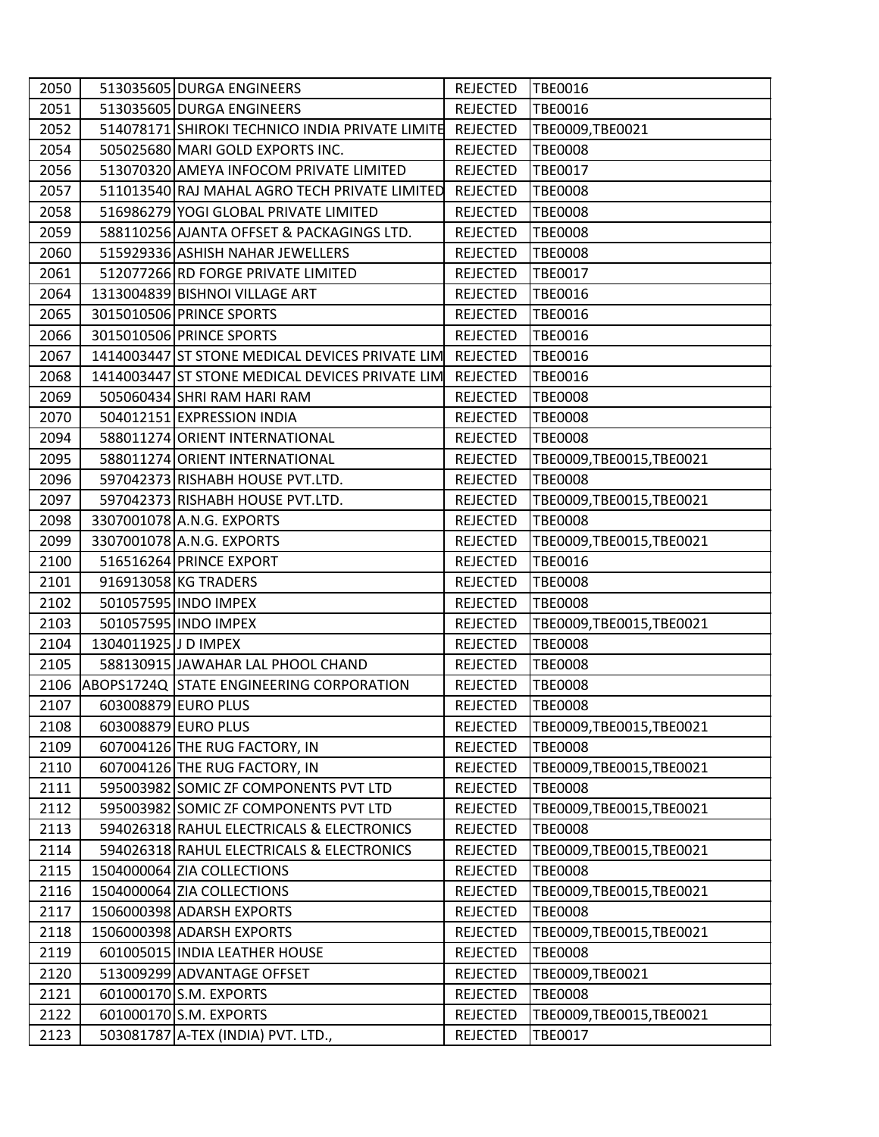| 2050 |                      | 513035605 DURGA ENGINEERS                       | <b>REJECTED</b> | <b>TBE0016</b>            |
|------|----------------------|-------------------------------------------------|-----------------|---------------------------|
| 2051 |                      | 513035605 DURGA ENGINEERS                       | <b>REJECTED</b> | <b>TBE0016</b>            |
| 2052 |                      | 514078171 SHIROKI TECHNICO INDIA PRIVATE LIMITE | REJECTED        | TBE0009,TBE0021           |
| 2054 |                      | 505025680 MARI GOLD EXPORTS INC.                | <b>REJECTED</b> | <b>TBE0008</b>            |
| 2056 |                      | 513070320 AMEYA INFOCOM PRIVATE LIMITED         | <b>REJECTED</b> | <b>TBE0017</b>            |
| 2057 |                      | 511013540 RAJ MAHAL AGRO TECH PRIVATE LIMITED   | <b>REJECTED</b> | <b>TBE0008</b>            |
| 2058 |                      | 516986279 YOGI GLOBAL PRIVATE LIMITED           | <b>REJECTED</b> | <b>TBE0008</b>            |
| 2059 |                      | 588110256 AJANTA OFFSET & PACKAGINGS LTD.       | <b>REJECTED</b> | <b>TBE0008</b>            |
| 2060 |                      | 515929336 ASHISH NAHAR JEWELLERS                | <b>REJECTED</b> | <b>TBE0008</b>            |
| 2061 |                      | 512077266 RD FORGE PRIVATE LIMITED              | <b>REJECTED</b> | <b>TBE0017</b>            |
| 2064 |                      | 1313004839 BISHNOI VILLAGE ART                  | <b>REJECTED</b> | <b>TBE0016</b>            |
| 2065 |                      | 3015010506 PRINCE SPORTS                        | <b>REJECTED</b> | <b>TBE0016</b>            |
| 2066 |                      | 3015010506 PRINCE SPORTS                        | <b>REJECTED</b> | <b>TBE0016</b>            |
| 2067 |                      | 1414003447 ST STONE MEDICAL DEVICES PRIVATE LIM | <b>REJECTED</b> | <b>TBE0016</b>            |
| 2068 |                      | 1414003447 ST STONE MEDICAL DEVICES PRIVATE LIM | <b>REJECTED</b> | <b>TBE0016</b>            |
| 2069 |                      | 505060434 SHRI RAM HARI RAM                     | <b>REJECTED</b> | <b>TBE0008</b>            |
| 2070 |                      | 504012151 EXPRESSION INDIA                      | <b>REJECTED</b> | <b>TBE0008</b>            |
| 2094 |                      | 588011274 ORIENT INTERNATIONAL                  | <b>REJECTED</b> | <b>TBE0008</b>            |
| 2095 |                      | 588011274 ORIENT INTERNATIONAL                  | <b>REJECTED</b> | TBE0009, TBE0015, TBE0021 |
| 2096 |                      | 597042373 RISHABH HOUSE PVT.LTD.                | <b>REJECTED</b> | <b>TBE0008</b>            |
| 2097 |                      | 597042373 RISHABH HOUSE PVT.LTD.                | REJECTED        | TBE0009, TBE0015, TBE0021 |
| 2098 |                      | 3307001078 A.N.G. EXPORTS                       | <b>REJECTED</b> | <b>TBE0008</b>            |
| 2099 |                      | 3307001078 A.N.G. EXPORTS                       | <b>REJECTED</b> | TBE0009, TBE0015, TBE0021 |
| 2100 |                      | 516516264 PRINCE EXPORT                         | <b>REJECTED</b> | <b>TBE0016</b>            |
| 2101 |                      | 916913058 KG TRADERS                            | <b>REJECTED</b> | <b>TBE0008</b>            |
| 2102 |                      | 501057595 INDO IMPEX                            | <b>REJECTED</b> | <b>TBE0008</b>            |
| 2103 |                      | 501057595 INDO IMPEX                            | <b>REJECTED</b> | TBE0009, TBE0015, TBE0021 |
| 2104 | 1304011925 J D IMPEX |                                                 | <b>REJECTED</b> | <b>TBE0008</b>            |
| 2105 |                      | 588130915 JAWAHAR LAL PHOOL CHAND               | <b>REJECTED</b> | <b>TBE0008</b>            |
|      |                      | 2106 ABOPS1724Q STATE ENGINEERING CORPORATION   | <b>REJECTED</b> | <b>TBE0008</b>            |
| 2107 |                      | 603008879 EURO PLUS                             | <b>REJECTED</b> | <b>TBE0008</b>            |
| 2108 |                      | 603008879 EURO PLUS                             | <b>REJECTED</b> | TBE0009, TBE0015, TBE0021 |
| 2109 |                      | 607004126 THE RUG FACTORY, IN                   | <b>REJECTED</b> | <b>TBE0008</b>            |
| 2110 |                      | 607004126 THE RUG FACTORY, IN                   | <b>REJECTED</b> | TBE0009, TBE0015, TBE0021 |
| 2111 |                      | 595003982 SOMIC ZF COMPONENTS PVT LTD           | <b>REJECTED</b> | <b>TBE0008</b>            |
| 2112 |                      | 595003982 SOMIC ZF COMPONENTS PVT LTD           | <b>REJECTED</b> | TBE0009, TBE0015, TBE0021 |
| 2113 |                      | 594026318 RAHUL ELECTRICALS & ELECTRONICS       | <b>REJECTED</b> | <b>TBE0008</b>            |
| 2114 |                      | 594026318 RAHUL ELECTRICALS & ELECTRONICS       | <b>REJECTED</b> | TBE0009, TBE0015, TBE0021 |
| 2115 |                      | 1504000064 ZIA COLLECTIONS                      | <b>REJECTED</b> | <b>TBE0008</b>            |
| 2116 |                      | 1504000064 ZIA COLLECTIONS                      | <b>REJECTED</b> | TBE0009, TBE0015, TBE0021 |
| 2117 |                      | 1506000398 ADARSH EXPORTS                       | <b>REJECTED</b> | <b>TBE0008</b>            |
| 2118 |                      | 1506000398 ADARSH EXPORTS                       | <b>REJECTED</b> | TBE0009, TBE0015, TBE0021 |
| 2119 |                      | 601005015 INDIA LEATHER HOUSE                   | <b>REJECTED</b> | <b>TBE0008</b>            |
| 2120 |                      | 513009299 ADVANTAGE OFFSET                      | <b>REJECTED</b> | TBE0009, TBE0021          |
| 2121 |                      | 601000170 S.M. EXPORTS                          | <b>REJECTED</b> | <b>TBE0008</b>            |
| 2122 |                      | 601000170 S.M. EXPORTS                          | <b>REJECTED</b> | TBE0009, TBE0015, TBE0021 |
| 2123 |                      | 503081787 A-TEX (INDIA) PVT. LTD.,              | <b>REJECTED</b> | <b>TBE0017</b>            |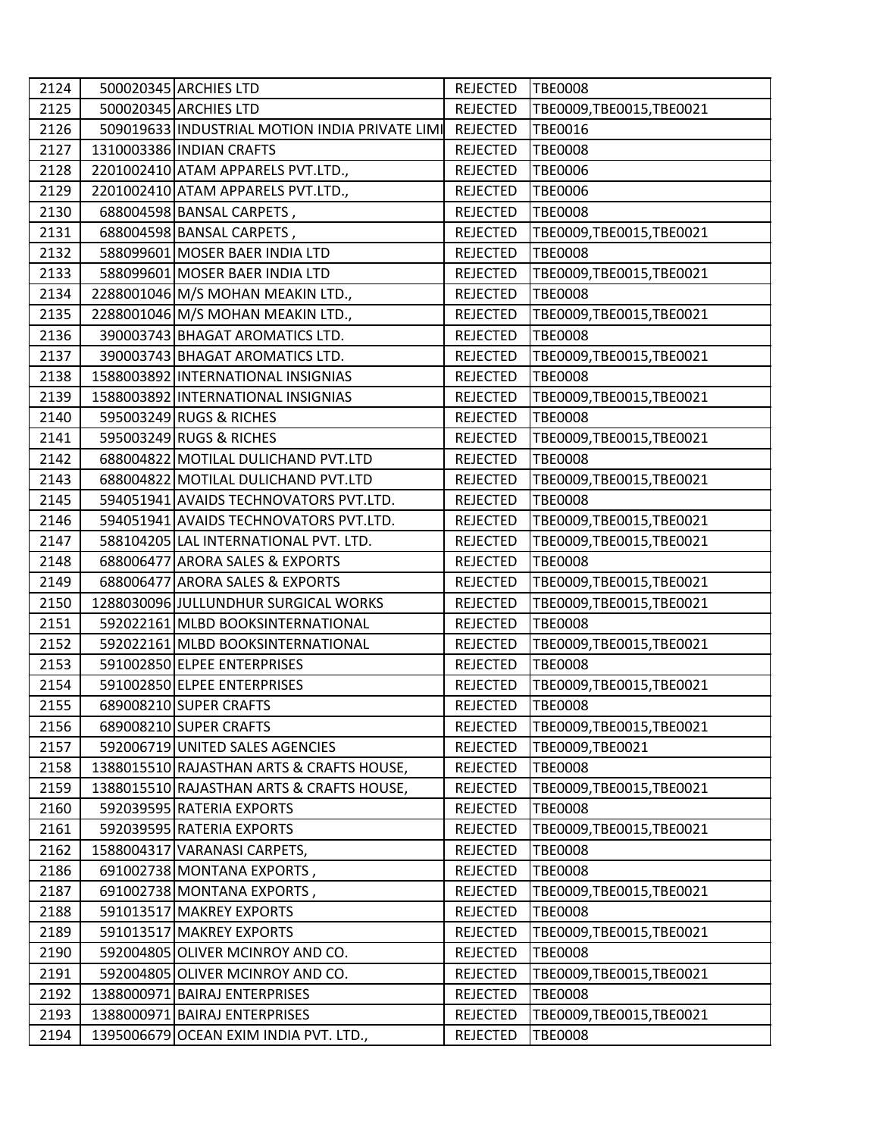| 2124 | 500020345 ARCHIES LTD                          | REJECTED        | <b>TBE0008</b>            |
|------|------------------------------------------------|-----------------|---------------------------|
| 2125 | 500020345 ARCHIES LTD                          | REJECTED        | TBE0009, TBE0015, TBE0021 |
| 2126 | 509019633 INDUSTRIAL MOTION INDIA PRIVATE LIMI | <b>REJECTED</b> | <b>TBE0016</b>            |
| 2127 | 1310003386 INDIAN CRAFTS                       | <b>REJECTED</b> | <b>TBE0008</b>            |
| 2128 | 2201002410 ATAM APPARELS PVT.LTD.,             | <b>REJECTED</b> | <b>TBE0006</b>            |
| 2129 | 2201002410 ATAM APPARELS PVT.LTD.,             | <b>REJECTED</b> | <b>TBE0006</b>            |
| 2130 | 688004598 BANSAL CARPETS,                      | <b>REJECTED</b> | <b>TBE0008</b>            |
| 2131 | 688004598 BANSAL CARPETS,                      | <b>REJECTED</b> | TBE0009, TBE0015, TBE0021 |
| 2132 | 588099601 MOSER BAER INDIA LTD                 | <b>REJECTED</b> | <b>TBE0008</b>            |
| 2133 | 588099601 MOSER BAER INDIA LTD                 | <b>REJECTED</b> | TBE0009, TBE0015, TBE0021 |
| 2134 | 2288001046 M/S MOHAN MEAKIN LTD.,              | <b>REJECTED</b> | <b>TBE0008</b>            |
| 2135 | 2288001046 M/S MOHAN MEAKIN LTD.,              | <b>REJECTED</b> | TBE0009,TBE0015,TBE0021   |
| 2136 | 390003743 BHAGAT AROMATICS LTD.                | <b>REJECTED</b> | <b>TBE0008</b>            |
| 2137 | 390003743 BHAGAT AROMATICS LTD.                | <b>REJECTED</b> | TBE0009, TBE0015, TBE0021 |
| 2138 | 1588003892 INTERNATIONAL INSIGNIAS             | <b>REJECTED</b> | <b>TBE0008</b>            |
| 2139 | 1588003892 INTERNATIONAL INSIGNIAS             | <b>REJECTED</b> | TBE0009, TBE0015, TBE0021 |
| 2140 | 595003249 RUGS & RICHES                        | <b>REJECTED</b> | <b>TBE0008</b>            |
| 2141 | 595003249 RUGS & RICHES                        | <b>REJECTED</b> | TBE0009,TBE0015,TBE0021   |
| 2142 | 688004822 MOTILAL DULICHAND PVT.LTD            | <b>REJECTED</b> | <b>TBE0008</b>            |
| 2143 | 688004822 MOTILAL DULICHAND PVT.LTD            | <b>REJECTED</b> | TBE0009,TBE0015,TBE0021   |
| 2145 | 594051941 AVAIDS TECHNOVATORS PVT.LTD.         | <b>REJECTED</b> | <b>TBE0008</b>            |
| 2146 | 594051941 AVAIDS TECHNOVATORS PVT.LTD.         | <b>REJECTED</b> | TBE0009, TBE0015, TBE0021 |
| 2147 | 588104205 LAL INTERNATIONAL PVT. LTD.          | <b>REJECTED</b> | TBE0009, TBE0015, TBE0021 |
| 2148 | 688006477 ARORA SALES & EXPORTS                | <b>REJECTED</b> | <b>TBE0008</b>            |
| 2149 | 688006477 ARORA SALES & EXPORTS                | <b>REJECTED</b> | TBE0009,TBE0015,TBE0021   |
| 2150 | 1288030096 JULLUNDHUR SURGICAL WORKS           | <b>REJECTED</b> | TBE0009, TBE0015, TBE0021 |
| 2151 | 592022161 MLBD BOOKSINTERNATIONAL              | <b>REJECTED</b> | <b>TBE0008</b>            |
| 2152 | 592022161 MLBD BOOKSINTERNATIONAL              | <b>REJECTED</b> | TBE0009, TBE0015, TBE0021 |
| 2153 | 591002850 ELPEE ENTERPRISES                    | <b>REJECTED</b> | <b>TBE0008</b>            |
| 2154 | 591002850 ELPEE ENTERPRISES                    | <b>REJECTED</b> | TBE0009,TBE0015,TBE0021   |
| 2155 | 689008210 SUPER CRAFTS                         | <b>REJECTED</b> | <b>TBE0008</b>            |
| 2156 | 689008210 SUPER CRAFTS                         | <b>REJECTED</b> | TBE0009, TBE0015, TBE0021 |
| 2157 | 592006719 UNITED SALES AGENCIES                | <b>REJECTED</b> | TBE0009, TBE0021          |
| 2158 | 1388015510 RAJASTHAN ARTS & CRAFTS HOUSE,      | <b>REJECTED</b> | <b>TBE0008</b>            |
| 2159 | 1388015510 RAJASTHAN ARTS & CRAFTS HOUSE,      | <b>REJECTED</b> | TBE0009, TBE0015, TBE0021 |
| 2160 | 592039595 RATERIA EXPORTS                      | <b>REJECTED</b> | <b>TBE0008</b>            |
| 2161 | 592039595 RATERIA EXPORTS                      | <b>REJECTED</b> | TBE0009, TBE0015, TBE0021 |
| 2162 | 1588004317 VARANASI CARPETS,                   | <b>REJECTED</b> | <b>TBE0008</b>            |
| 2186 | 691002738 MONTANA EXPORTS,                     | <b>REJECTED</b> | <b>TBE0008</b>            |
| 2187 | 691002738 MONTANA EXPORTS,                     | <b>REJECTED</b> | TBE0009, TBE0015, TBE0021 |
| 2188 | 591013517 MAKREY EXPORTS                       | <b>REJECTED</b> | <b>TBE0008</b>            |
| 2189 | 591013517 MAKREY EXPORTS                       | <b>REJECTED</b> | TBE0009, TBE0015, TBE0021 |
| 2190 | 592004805 OLIVER MCINROY AND CO.               | <b>REJECTED</b> | <b>TBE0008</b>            |
| 2191 | 592004805 OLIVER MCINROY AND CO.               | <b>REJECTED</b> | TBE0009, TBE0015, TBE0021 |
| 2192 | 1388000971 BAIRAJ ENTERPRISES                  | <b>REJECTED</b> | <b>TBE0008</b>            |
| 2193 | 1388000971 BAIRAJ ENTERPRISES                  | <b>REJECTED</b> | TBE0009, TBE0015, TBE0021 |
| 2194 | 1395006679 OCEAN EXIM INDIA PVT. LTD.,         | <b>REJECTED</b> | <b>TBE0008</b>            |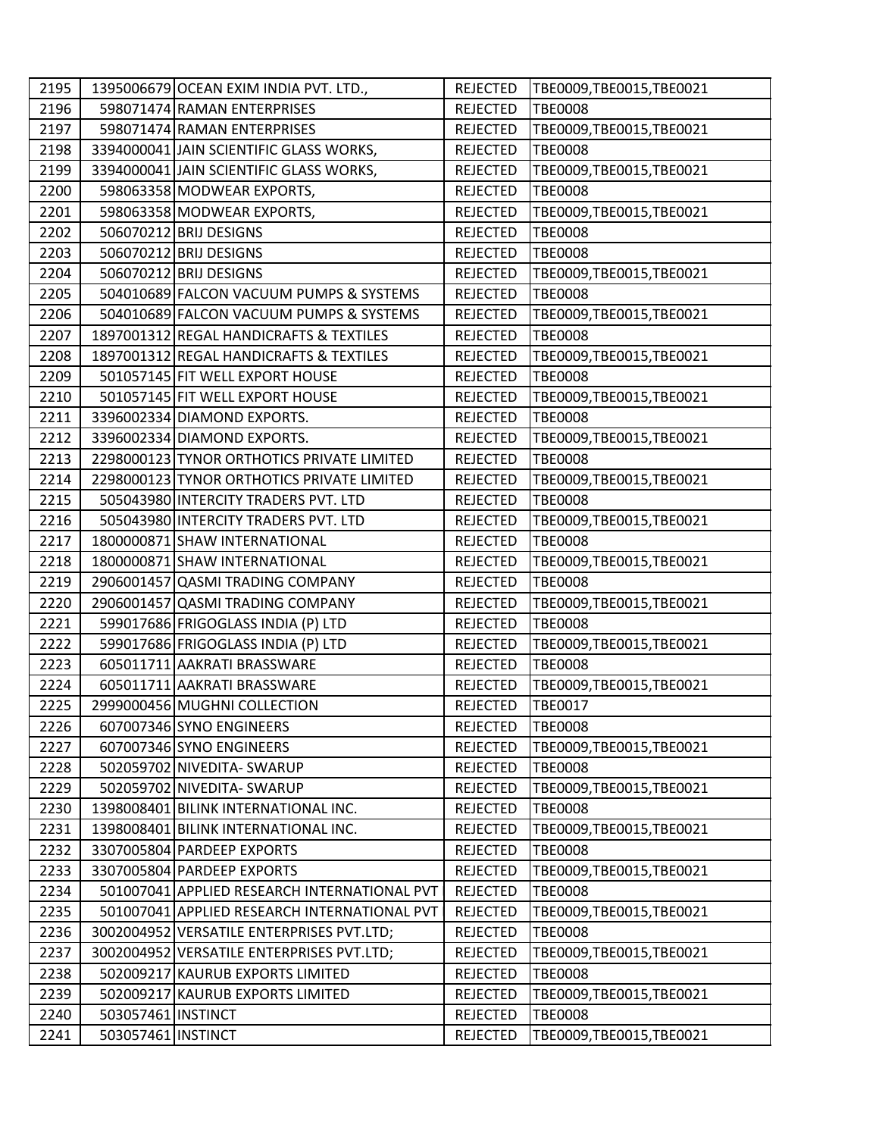| 2195 |                    | 1395006679 OCEAN EXIM INDIA PVT. LTD.,       | <b>REJECTED</b> | TBE0009, TBE0015, TBE0021 |
|------|--------------------|----------------------------------------------|-----------------|---------------------------|
| 2196 |                    | 598071474 RAMAN ENTERPRISES                  | <b>REJECTED</b> | <b>TBE0008</b>            |
| 2197 |                    | 598071474 RAMAN ENTERPRISES                  | <b>REJECTED</b> | TBE0009, TBE0015, TBE0021 |
| 2198 |                    | 3394000041 JAIN SCIENTIFIC GLASS WORKS,      | <b>REJECTED</b> | <b>TBE0008</b>            |
| 2199 |                    | 3394000041 JAIN SCIENTIFIC GLASS WORKS,      | <b>REJECTED</b> | TBE0009, TBE0015, TBE0021 |
| 2200 |                    | 598063358 MODWEAR EXPORTS,                   | <b>REJECTED</b> | <b>TBE0008</b>            |
| 2201 |                    | 598063358 MODWEAR EXPORTS,                   | <b>REJECTED</b> | TBE0009,TBE0015,TBE0021   |
| 2202 |                    | 506070212 BRIJ DESIGNS                       | <b>REJECTED</b> | <b>TBE0008</b>            |
| 2203 |                    | 506070212 BRIJ DESIGNS                       | <b>REJECTED</b> | <b>TBE0008</b>            |
| 2204 |                    | 506070212 BRIJ DESIGNS                       | <b>REJECTED</b> | TBE0009,TBE0015,TBE0021   |
| 2205 |                    | 504010689 FALCON VACUUM PUMPS & SYSTEMS      | <b>REJECTED</b> | <b>TBE0008</b>            |
| 2206 |                    | 504010689 FALCON VACUUM PUMPS & SYSTEMS      | <b>REJECTED</b> | TBE0009,TBE0015,TBE0021   |
| 2207 |                    | 1897001312 REGAL HANDICRAFTS & TEXTILES      | <b>REJECTED</b> | <b>TBE0008</b>            |
| 2208 |                    | 1897001312 REGAL HANDICRAFTS & TEXTILES      | <b>REJECTED</b> | TBE0009, TBE0015, TBE0021 |
| 2209 |                    | 501057145 FIT WELL EXPORT HOUSE              | <b>REJECTED</b> | <b>TBE0008</b>            |
| 2210 |                    | 501057145 FIT WELL EXPORT HOUSE              | <b>REJECTED</b> | TBE0009, TBE0015, TBE0021 |
| 2211 |                    | 3396002334 DIAMOND EXPORTS.                  | <b>REJECTED</b> | <b>TBE0008</b>            |
| 2212 |                    | 3396002334 DIAMOND EXPORTS.                  | <b>REJECTED</b> | TBE0009, TBE0015, TBE0021 |
| 2213 |                    | 2298000123 TYNOR ORTHOTICS PRIVATE LIMITED   | <b>REJECTED</b> | <b>TBE0008</b>            |
| 2214 |                    | 2298000123 TYNOR ORTHOTICS PRIVATE LIMITED   | <b>REJECTED</b> | TBE0009, TBE0015, TBE0021 |
| 2215 |                    | 505043980 INTERCITY TRADERS PVT. LTD         | <b>REJECTED</b> | <b>TBE0008</b>            |
| 2216 |                    | 505043980 INTERCITY TRADERS PVT. LTD         | <b>REJECTED</b> | TBE0009, TBE0015, TBE0021 |
| 2217 |                    | 1800000871 SHAW INTERNATIONAL                | <b>REJECTED</b> | <b>TBE0008</b>            |
| 2218 |                    | 1800000871 SHAW INTERNATIONAL                | <b>REJECTED</b> | TBE0009,TBE0015,TBE0021   |
| 2219 |                    | 2906001457 QASMI TRADING COMPANY             | <b>REJECTED</b> | <b>TBE0008</b>            |
| 2220 |                    | 2906001457 QASMI TRADING COMPANY             | <b>REJECTED</b> | TBE0009, TBE0015, TBE0021 |
| 2221 |                    | 599017686 FRIGOGLASS INDIA (P) LTD           | <b>REJECTED</b> | <b>TBE0008</b>            |
| 2222 |                    | 599017686 FRIGOGLASS INDIA (P) LTD           | <b>REJECTED</b> | TBE0009, TBE0015, TBE0021 |
| 2223 |                    | 605011711 AAKRATI BRASSWARE                  | <b>REJECTED</b> | <b>TBE0008</b>            |
| 2224 |                    | 605011711 AAKRATI BRASSWARE                  | <b>REJECTED</b> | TBE0009, TBE0015, TBE0021 |
| 2225 |                    | 2999000456 MUGHNI COLLECTION                 | <b>REJECTED</b> | <b>TBE0017</b>            |
| 2226 |                    | 607007346 SYNO ENGINEERS                     | REJECTED        | TBE0008                   |
| 2227 |                    | 607007346 SYNO ENGINEERS                     | <b>REJECTED</b> | TBE0009,TBE0015,TBE0021   |
| 2228 |                    | 502059702 NIVEDITA- SWARUP                   | REJECTED        | <b>TBE0008</b>            |
| 2229 |                    | 502059702 NIVEDITA- SWARUP                   | <b>REJECTED</b> | TBE0009, TBE0015, TBE0021 |
| 2230 |                    | 1398008401 BILINK INTERNATIONAL INC.         | <b>REJECTED</b> | <b>TBE0008</b>            |
| 2231 |                    | 1398008401 BILINK INTERNATIONAL INC.         | <b>REJECTED</b> | TBE0009, TBE0015, TBE0021 |
| 2232 |                    | 3307005804 PARDEEP EXPORTS                   | <b>REJECTED</b> | <b>TBE0008</b>            |
| 2233 |                    | 3307005804 PARDEEP EXPORTS                   | <b>REJECTED</b> | TBE0009, TBE0015, TBE0021 |
| 2234 |                    | 501007041 APPLIED RESEARCH INTERNATIONAL PVT | <b>REJECTED</b> | <b>TBE0008</b>            |
| 2235 |                    | 501007041 APPLIED RESEARCH INTERNATIONAL PVT | <b>REJECTED</b> | TBE0009, TBE0015, TBE0021 |
| 2236 |                    | 3002004952 VERSATILE ENTERPRISES PVT.LTD;    | <b>REJECTED</b> | <b>TBE0008</b>            |
| 2237 |                    | 3002004952 VERSATILE ENTERPRISES PVT.LTD;    | <b>REJECTED</b> | TBE0009, TBE0015, TBE0021 |
| 2238 |                    | 502009217 KAURUB EXPORTS LIMITED             | <b>REJECTED</b> | <b>TBE0008</b>            |
| 2239 |                    | 502009217 KAURUB EXPORTS LIMITED             | <b>REJECTED</b> | TBE0009, TBE0015, TBE0021 |
| 2240 | 503057461 INSTINCT |                                              | <b>REJECTED</b> | <b>TBE0008</b>            |
| 2241 | 503057461 INSTINCT |                                              | <b>REJECTED</b> | TBE0009, TBE0015, TBE0021 |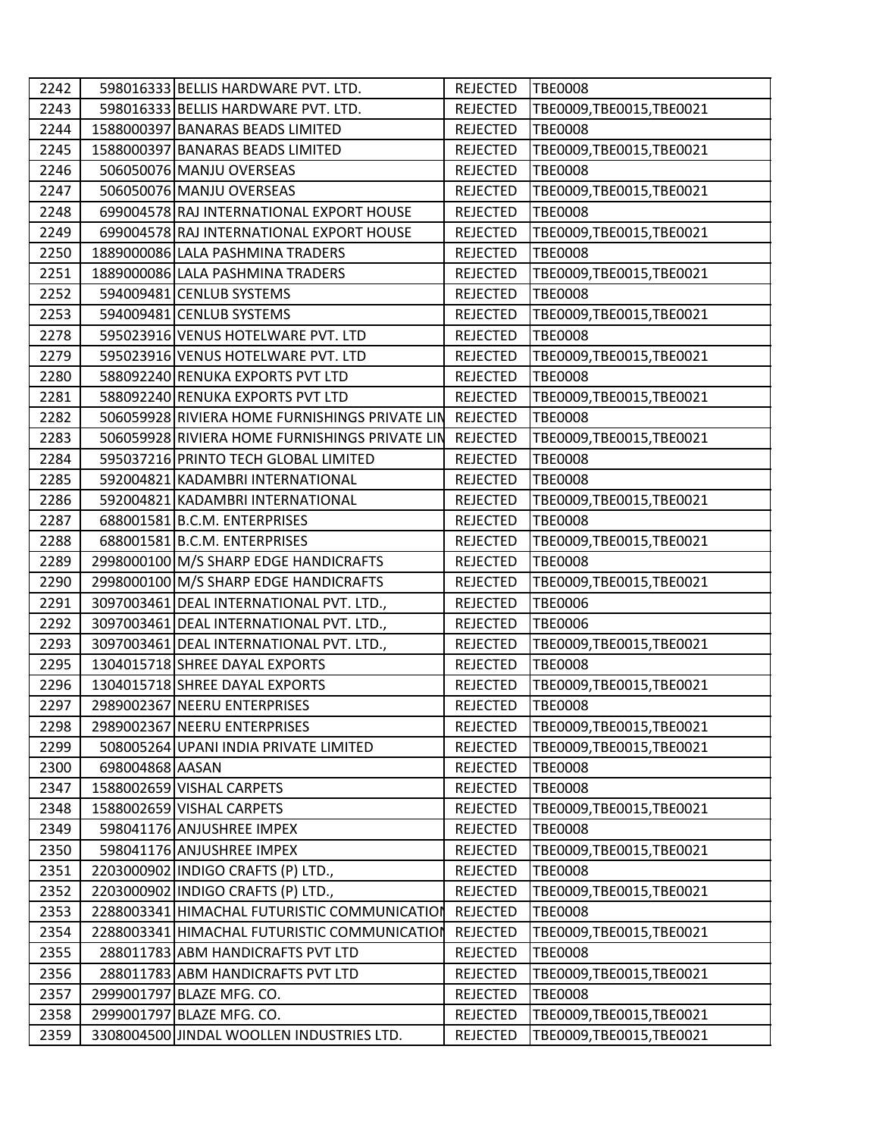| 2242 |                 | 598016333 BELLIS HARDWARE PVT. LTD.                     | <b>REJECTED</b> | <b>TBE0008</b>            |
|------|-----------------|---------------------------------------------------------|-----------------|---------------------------|
| 2243 |                 | 598016333 BELLIS HARDWARE PVT. LTD.                     | <b>REJECTED</b> | TBE0009, TBE0015, TBE0021 |
| 2244 |                 | 1588000397 BANARAS BEADS LIMITED                        | <b>REJECTED</b> | <b>TBE0008</b>            |
| 2245 |                 | 1588000397 BANARAS BEADS LIMITED                        | <b>REJECTED</b> | TBE0009, TBE0015, TBE0021 |
| 2246 |                 | 506050076 MANJU OVERSEAS                                | <b>REJECTED</b> | <b>TBE0008</b>            |
| 2247 |                 | 506050076 MANJU OVERSEAS                                | <b>REJECTED</b> | TBE0009, TBE0015, TBE0021 |
| 2248 |                 | 699004578 RAJ INTERNATIONAL EXPORT HOUSE                | <b>REJECTED</b> | <b>TBE0008</b>            |
| 2249 |                 | 699004578 RAJ INTERNATIONAL EXPORT HOUSE                | <b>REJECTED</b> | TBE0009, TBE0015, TBE0021 |
| 2250 |                 | 1889000086 LALA PASHMINA TRADERS                        | <b>REJECTED</b> | <b>TBE0008</b>            |
| 2251 |                 | 1889000086 LALA PASHMINA TRADERS                        | <b>REJECTED</b> | TBE0009,TBE0015,TBE0021   |
| 2252 |                 | 594009481 CENLUB SYSTEMS                                | <b>REJECTED</b> | <b>TBE0008</b>            |
| 2253 |                 | 594009481 CENLUB SYSTEMS                                | <b>REJECTED</b> | TBE0009,TBE0015,TBE0021   |
| 2278 |                 | 595023916 VENUS HOTELWARE PVT. LTD                      | <b>REJECTED</b> | <b>TBE0008</b>            |
| 2279 |                 | 595023916 VENUS HOTELWARE PVT. LTD                      | <b>REJECTED</b> | TBE0009, TBE0015, TBE0021 |
| 2280 |                 | 588092240 RENUKA EXPORTS PVT LTD                        | <b>REJECTED</b> | <b>TBE0008</b>            |
| 2281 |                 | 588092240 RENUKA EXPORTS PVT LTD                        | <b>REJECTED</b> | TBE0009, TBE0015, TBE0021 |
| 2282 |                 | 506059928 RIVIERA HOME FURNISHINGS PRIVATE LIN REJECTED |                 | <b>TBE0008</b>            |
| 2283 |                 | 506059928 RIVIERA HOME FURNISHINGS PRIVATE LIN          | <b>REJECTED</b> | TBE0009, TBE0015, TBE0021 |
| 2284 |                 | 595037216 PRINTO TECH GLOBAL LIMITED                    | <b>REJECTED</b> | <b>TBE0008</b>            |
| 2285 |                 | 592004821 KADAMBRI INTERNATIONAL                        | <b>REJECTED</b> | <b>TBE0008</b>            |
| 2286 |                 | 592004821 KADAMBRI INTERNATIONAL                        | <b>REJECTED</b> | TBE0009, TBE0015, TBE0021 |
| 2287 |                 | 688001581 B.C.M. ENTERPRISES                            | <b>REJECTED</b> | <b>TBE0008</b>            |
| 2288 |                 | 688001581 B.C.M. ENTERPRISES                            | <b>REJECTED</b> | TBE0009, TBE0015, TBE0021 |
| 2289 |                 | 2998000100 M/S SHARP EDGE HANDICRAFTS                   | <b>REJECTED</b> | <b>TBE0008</b>            |
| 2290 |                 | 2998000100 M/S SHARP EDGE HANDICRAFTS                   | <b>REJECTED</b> | TBE0009,TBE0015,TBE0021   |
| 2291 |                 | 3097003461 DEAL INTERNATIONAL PVT. LTD.,                | <b>REJECTED</b> | <b>TBE0006</b>            |
| 2292 |                 | 3097003461 DEAL INTERNATIONAL PVT. LTD.,                | <b>REJECTED</b> | <b>TBE0006</b>            |
| 2293 |                 | 3097003461 DEAL INTERNATIONAL PVT. LTD.,                | <b>REJECTED</b> | TBE0009,TBE0015,TBE0021   |
| 2295 |                 | 1304015718 SHREE DAYAL EXPORTS                          | <b>REJECTED</b> | <b>TBE0008</b>            |
| 2296 |                 | 1304015718 SHREE DAYAL EXPORTS                          | <b>REJECTED</b> | TBE0009, TBE0015, TBE0021 |
| 2297 |                 | 2989002367 NEERU ENTERPRISES                            | <b>REJECTED</b> | <b>TBE0008</b>            |
| 2298 |                 | 2989002367 NEERU ENTERPRISES                            | <b>REJECTED</b> | TBE0009,TBE0015,TBE0021   |
| 2299 |                 | 508005264 UPANI INDIA PRIVATE LIMITED                   | <b>REJECTED</b> | TBE0009, TBE0015, TBE0021 |
| 2300 | 698004868 AASAN |                                                         | REJECTED        | <b>TBE0008</b>            |
| 2347 |                 | 1588002659 VISHAL CARPETS                               | <b>REJECTED</b> | <b>TBE0008</b>            |
| 2348 |                 | 1588002659 VISHAL CARPETS                               | <b>REJECTED</b> | TBE0009, TBE0015, TBE0021 |
| 2349 |                 | 598041176 ANJUSHREE IMPEX                               | <b>REJECTED</b> | <b>TBE0008</b>            |
| 2350 |                 | 598041176 ANJUSHREE IMPEX                               | <b>REJECTED</b> | TBE0009, TBE0015, TBE0021 |
| 2351 |                 | 2203000902 INDIGO CRAFTS (P) LTD.,                      | <b>REJECTED</b> | <b>TBE0008</b>            |
| 2352 |                 | 2203000902 INDIGO CRAFTS (P) LTD.,                      | <b>REJECTED</b> | TBE0009, TBE0015, TBE0021 |
| 2353 |                 | 2288003341 HIMACHAL FUTURISTIC COMMUNICATION            | <b>REJECTED</b> | <b>TBE0008</b>            |
| 2354 |                 | 2288003341 HIMACHAL FUTURISTIC COMMUNICATION            | <b>REJECTED</b> | TBE0009, TBE0015, TBE0021 |
| 2355 |                 | 288011783 ABM HANDICRAFTS PVT LTD                       | <b>REJECTED</b> | <b>TBE0008</b>            |
| 2356 |                 | 288011783 ABM HANDICRAFTS PVT LTD                       | <b>REJECTED</b> | TBE0009, TBE0015, TBE0021 |
| 2357 |                 | 2999001797 BLAZE MFG. CO.                               | <b>REJECTED</b> | <b>TBE0008</b>            |
| 2358 |                 | 2999001797 BLAZE MFG. CO.                               | <b>REJECTED</b> | TBE0009, TBE0015, TBE0021 |
| 2359 |                 | 3308004500 JINDAL WOOLLEN INDUSTRIES LTD.               | <b>REJECTED</b> | TBE0009, TBE0015, TBE0021 |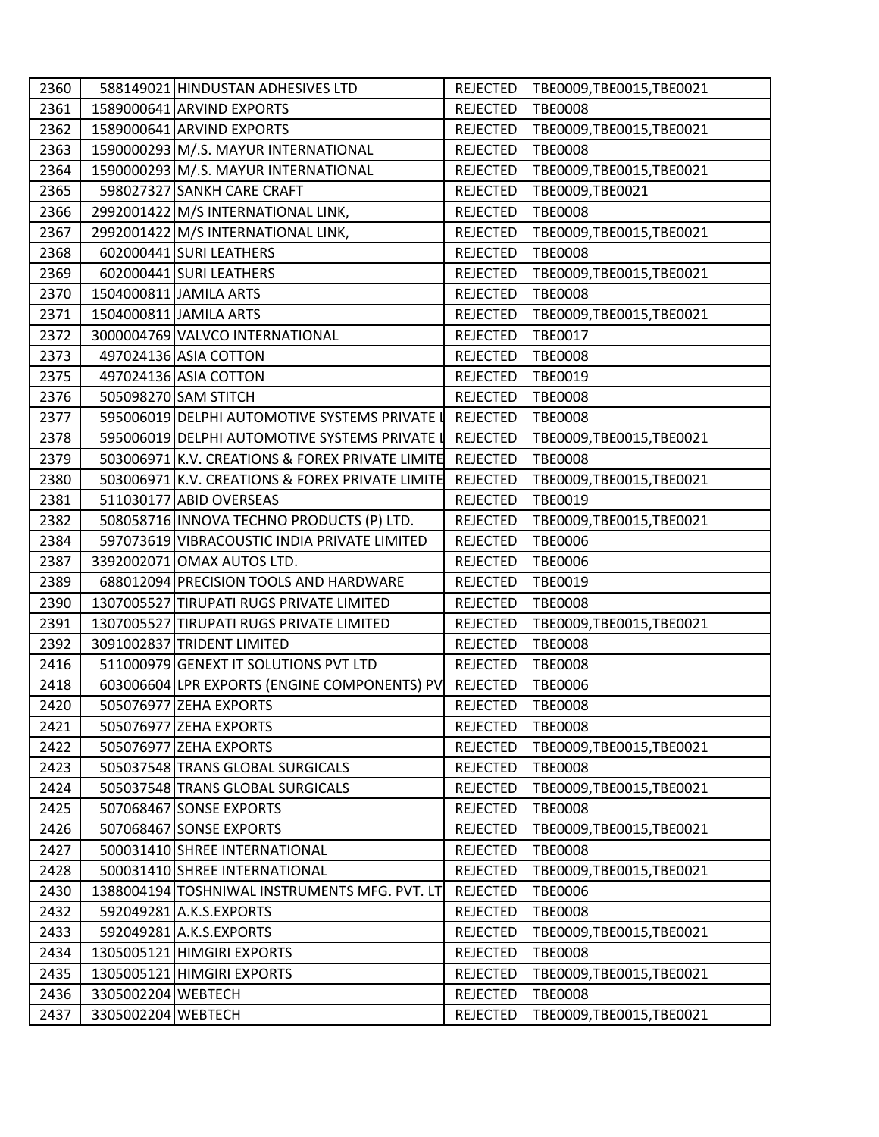| 2360 |                    | 588149021 HINDUSTAN ADHESIVES LTD               | <b>REJECTED</b> | TBE0009, TBE0015, TBE0021 |
|------|--------------------|-------------------------------------------------|-----------------|---------------------------|
| 2361 |                    | 1589000641 ARVIND EXPORTS                       | <b>REJECTED</b> | <b>TBE0008</b>            |
| 2362 |                    | 1589000641 ARVIND EXPORTS                       | <b>REJECTED</b> | TBE0009, TBE0015, TBE0021 |
| 2363 |                    | 1590000293 M/.S. MAYUR INTERNATIONAL            | <b>REJECTED</b> | <b>TBE0008</b>            |
| 2364 |                    | 1590000293 M/.S. MAYUR INTERNATIONAL            | <b>REJECTED</b> | TBE0009,TBE0015,TBE0021   |
| 2365 |                    | 598027327 SANKH CARE CRAFT                      | <b>REJECTED</b> | TBE0009,TBE0021           |
| 2366 |                    | 2992001422 M/S INTERNATIONAL LINK,              | <b>REJECTED</b> | <b>TBE0008</b>            |
| 2367 |                    | 2992001422 M/S INTERNATIONAL LINK,              | <b>REJECTED</b> | TBE0009, TBE0015, TBE0021 |
| 2368 |                    | 602000441 SURI LEATHERS                         | <b>REJECTED</b> | <b>TBE0008</b>            |
| 2369 |                    | 602000441 SURI LEATHERS                         | <b>REJECTED</b> | TBE0009,TBE0015,TBE0021   |
| 2370 |                    | 1504000811 JAMILA ARTS                          | REJECTED        | <b>TBE0008</b>            |
| 2371 |                    | 1504000811 JAMILA ARTS                          | REJECTED        | TBE0009,TBE0015,TBE0021   |
| 2372 |                    | 3000004769 VALVCO INTERNATIONAL                 | <b>REJECTED</b> | <b>TBE0017</b>            |
| 2373 |                    | 497024136 ASIA COTTON                           | <b>REJECTED</b> | <b>TBE0008</b>            |
| 2375 |                    | 497024136 ASIA COTTON                           | <b>REJECTED</b> | TBE0019                   |
| 2376 |                    | 505098270 SAM STITCH                            | <b>REJECTED</b> | <b>TBE0008</b>            |
| 2377 |                    | 595006019 DELPHI AUTOMOTIVE SYSTEMS PRIVATE I   | <b>REJECTED</b> | <b>TBE0008</b>            |
| 2378 |                    | 595006019 DELPHI AUTOMOTIVE SYSTEMS PRIVATE L   | <b>REJECTED</b> | TBE0009, TBE0015, TBE0021 |
| 2379 |                    | 503006971 K.V. CREATIONS & FOREX PRIVATE LIMITE | <b>REJECTED</b> | <b>TBE0008</b>            |
| 2380 |                    | 503006971 K.V. CREATIONS & FOREX PRIVATE LIMITE | <b>REJECTED</b> | TBE0009,TBE0015,TBE0021   |
| 2381 |                    | 511030177 ABID OVERSEAS                         | REJECTED        | TBE0019                   |
| 2382 |                    | 508058716 INNOVA TECHNO PRODUCTS (P) LTD.       | <b>REJECTED</b> | TBE0009, TBE0015, TBE0021 |
| 2384 |                    | 597073619 VIBRACOUSTIC INDIA PRIVATE LIMITED    | <b>REJECTED</b> | <b>TBE0006</b>            |
|      |                    |                                                 |                 |                           |
| 2387 |                    | 3392002071 OMAX AUTOS LTD.                      | <b>REJECTED</b> | <b>TBE0006</b>            |
| 2389 |                    | 688012094 PRECISION TOOLS AND HARDWARE          | <b>REJECTED</b> | <b>TBE0019</b>            |
| 2390 |                    | 1307005527 TIRUPATI RUGS PRIVATE LIMITED        | <b>REJECTED</b> | <b>TBE0008</b>            |
| 2391 |                    | 1307005527 TIRUPATI RUGS PRIVATE LIMITED        | <b>REJECTED</b> | TBE0009, TBE0015, TBE0021 |
| 2392 |                    | 3091002837 TRIDENT LIMITED                      | <b>REJECTED</b> | <b>TBE0008</b>            |
| 2416 |                    | 511000979 GENEXT IT SOLUTIONS PVT LTD           | <b>REJECTED</b> | <b>TBE0008</b>            |
| 2418 |                    | 603006604 LPR EXPORTS (ENGINE COMPONENTS) PV    | <b>REJECTED</b> | <b>TBE0006</b>            |
| 2420 |                    | 505076977 ZEHA EXPORTS                          | <b>REJECTED</b> | <b>TBE0008</b>            |
| 2421 |                    | 505076977 ZEHA EXPORTS                          | <b>REJECTED</b> | TBE0008                   |
| 2422 |                    | 505076977 ZEHA EXPORTS                          | <b>REJECTED</b> | TBE0009,TBE0015,TBE0021   |
| 2423 |                    | 505037548 TRANS GLOBAL SURGICALS                | <b>REJECTED</b> | <b>TBE0008</b>            |
| 2424 |                    | 505037548 TRANS GLOBAL SURGICALS                | <b>REJECTED</b> | TBE0009,TBE0015,TBE0021   |
| 2425 |                    | 507068467 SONSE EXPORTS                         | <b>REJECTED</b> | <b>TBE0008</b>            |
| 2426 |                    | 507068467 SONSE EXPORTS                         | <b>REJECTED</b> | TBE0009, TBE0015, TBE0021 |
| 2427 |                    | 500031410 SHREE INTERNATIONAL                   | <b>REJECTED</b> | <b>TBE0008</b>            |
| 2428 |                    | 500031410 SHREE INTERNATIONAL                   | <b>REJECTED</b> | TBE0009, TBE0015, TBE0021 |
| 2430 |                    | 1388004194 TOSHNIWAL INSTRUMENTS MFG. PVT. LT   | <b>REJECTED</b> | <b>TBE0006</b>            |
| 2432 |                    | 592049281 A.K.S.EXPORTS                         | <b>REJECTED</b> | <b>TBE0008</b>            |
| 2433 |                    | 592049281 A.K.S.EXPORTS                         | <b>REJECTED</b> | TBE0009, TBE0015, TBE0021 |
| 2434 |                    | 1305005121 HIMGIRI EXPORTS                      | <b>REJECTED</b> | <b>TBE0008</b>            |
| 2435 |                    | 1305005121 HIMGIRI EXPORTS                      | <b>REJECTED</b> | TBE0009, TBE0015, TBE0021 |
| 2436 | 3305002204 WEBTECH |                                                 | <b>REJECTED</b> | <b>TBE0008</b>            |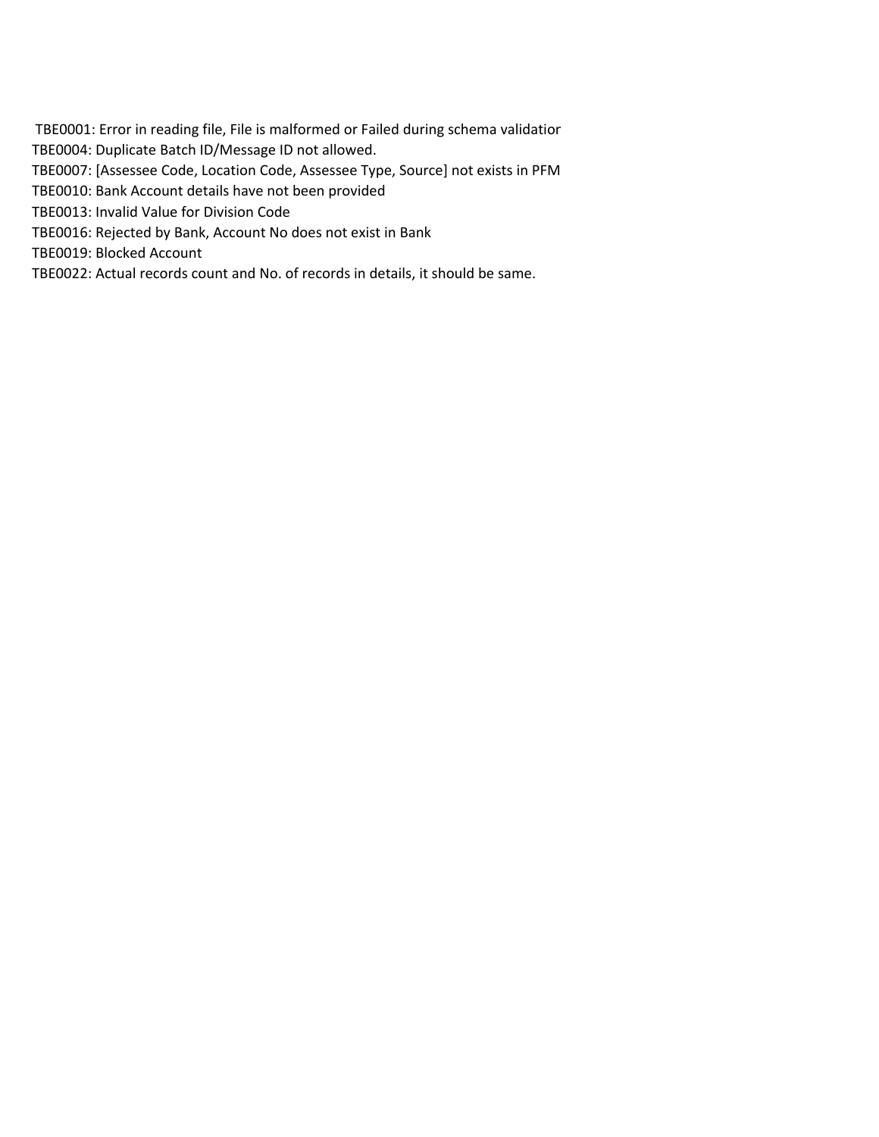TBE0001: Error in reading file, File is malformed or Failed during schema validation TBE0004: Duplicate Batch ID/Message ID not allowed.

TBE0007: [Assessee Code, Location Code, Assessee Type, Source] not exists in PFM

TBE0010: Bank Account details have not been provided

TBE0013: Invalid Value for Division Code

TBE0016: Rejected by Bank, Account No does not exist in Bank

TBE0019: Blocked Account

TBE0022: Actual records count and No. of records in details, it should be same.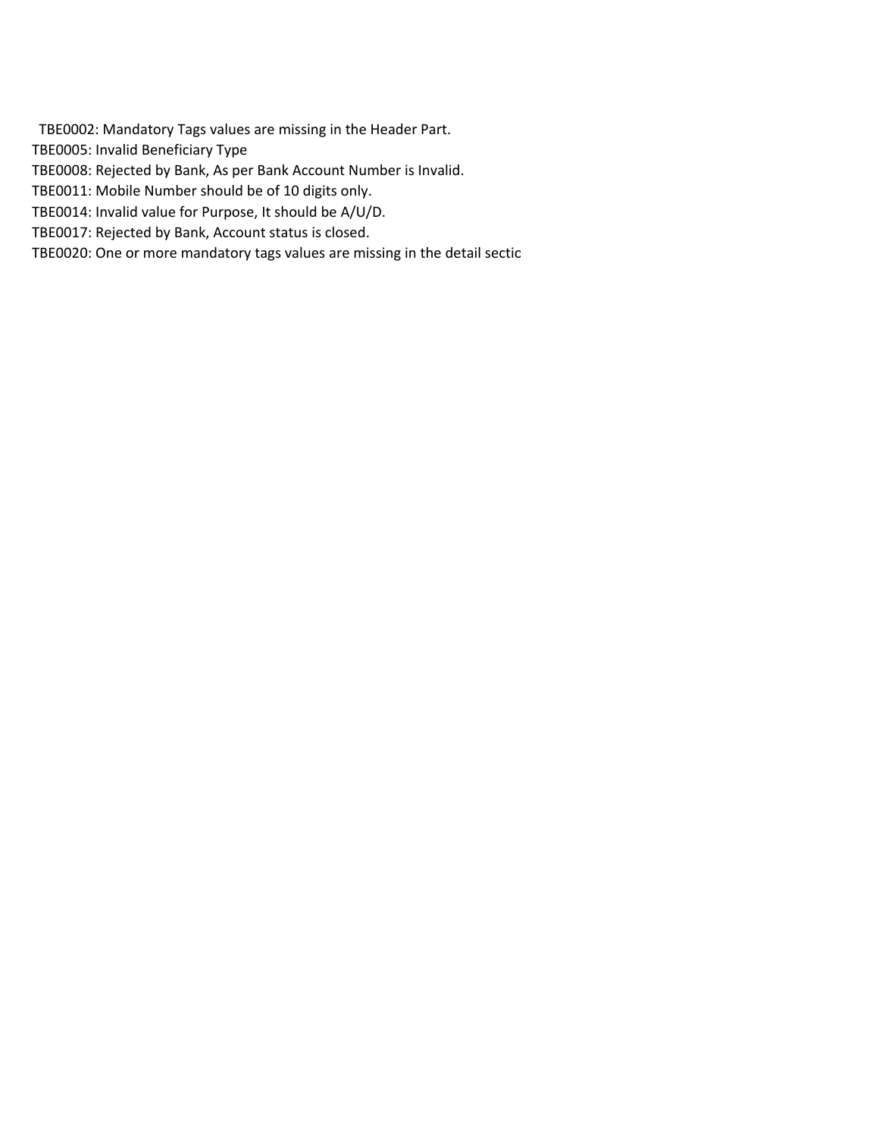TBE0002: Mandatory Tags values are missing in the Header Part.

TBE0005: Invalid Beneficiary Type

TBE0008: Rejected by Bank, As per Bank Account Number is Invalid.

TBE0011: Mobile Number should be of 10 digits only.

TBE0014: Invalid value for Purpose, It should be A/U/D.

TBE0017: Rejected by Bank, Account status is closed.

TBE0020: One or more mandatory tags values are missing in the detail sectio